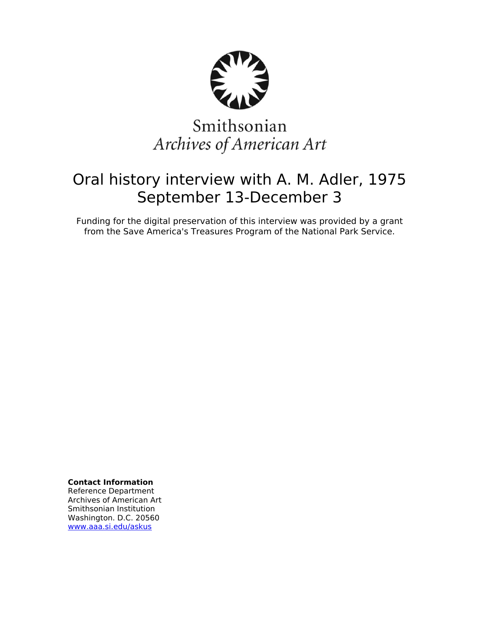

# Smithsonian Archives of American Art

## Oral history interview with A. M. Adler, 1975 September 13-December 3

Funding for the digital preservation of this interview was provided by a grant from the Save America's Treasures Program of the National Park Service.

**Contact Information**

Reference Department Archives of American Art Smithsonian Institution Washington. D.C. 20560 [www.aaa.si.edu/askus](http://www.aaa.si.edu/askus)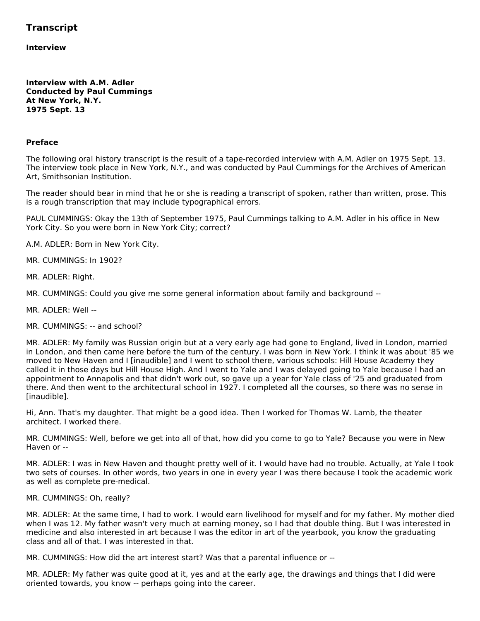### **Transcript**

**Interview**

**Interview with A.M. Adler Conducted by Paul Cummings At New York, N.Y. 1975 Sept. 13**

#### **Preface**

The following oral history transcript is the result of a tape-recorded interview with A.M. Adler on 1975 Sept. 13. The interview took place in New York, N.Y., and was conducted by Paul Cummings for the Archives of American Art, Smithsonian Institution.

The reader should bear in mind that he or she is reading a transcript of spoken, rather than written, prose. This is a rough transcription that may include typographical errors.

PAUL CUMMINGS: Okay the 13th of September 1975, Paul Cummings talking to A.M. Adler in his office in New York City. So you were born in New York City; correct?

A.M. ADLER: Born in New York City.

MR. CUMMINGS: In 1902?

MR. ADLER: Right.

MR. CUMMINGS: Could you give me some general information about family and background --

MR. ADLER: Well --

MR. CUMMINGS: -- and school?

MR. ADLER: My family was Russian origin but at a very early age had gone to England, lived in London, married in London, and then came here before the turn of the century. I was born in New York. I think it was about '85 we moved to New Haven and I [inaudible] and I went to school there, various schools: Hill House Academy they called it in those days but Hill House High. And I went to Yale and I was delayed going to Yale because I had an appointment to Annapolis and that didn't work out, so gave up a year for Yale class of '25 and graduated from there. And then went to the architectural school in 1927. I completed all the courses, so there was no sense in [inaudible].

Hi, Ann. That's my daughter. That might be a good idea. Then I worked for Thomas W. Lamb, the theater architect. I worked there.

MR. CUMMINGS: Well, before we get into all of that, how did you come to go to Yale? Because you were in New Haven or --

MR. ADLER: I was in New Haven and thought pretty well of it. I would have had no trouble. Actually, at Yale I took two sets of courses. In other words, two years in one in every year I was there because I took the academic work as well as complete pre-medical.

MR. CUMMINGS: Oh, really?

MR. ADLER: At the same time, I had to work. I would earn livelihood for myself and for my father. My mother died when I was 12. My father wasn't very much at earning money, so I had that double thing. But I was interested in medicine and also interested in art because I was the editor in art of the yearbook, you know the graduating class and all of that. I was interested in that.

MR. CUMMINGS: How did the art interest start? Was that a parental influence or --

MR. ADLER: My father was quite good at it, yes and at the early age, the drawings and things that I did were oriented towards, you know -- perhaps going into the career.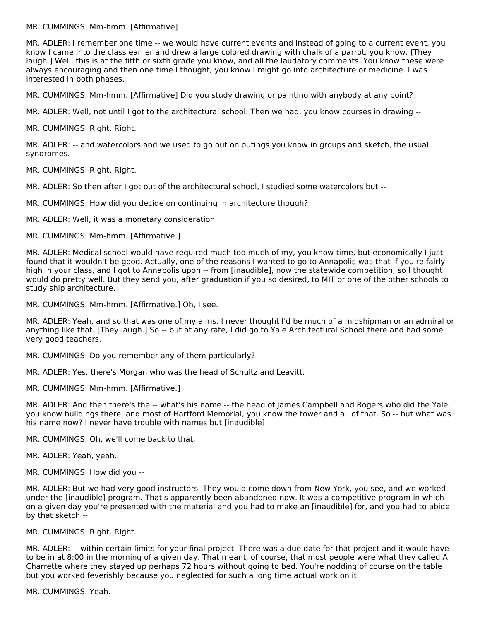MR. CUMMINGS: Mm-hmm. [Affirmative]

MR. ADLER: I remember one time -- we would have current events and instead of going to a current event, you know I came into the class earlier and drew a large colored drawing with chalk of a parrot, you know. [They laugh.] Well, this is at the fifth or sixth grade you know, and all the laudatory comments. You know these were always encouraging and then one time I thought, you know I might go into architecture or medicine. I was interested in both phases.

MR. CUMMINGS: Mm-hmm. [Affirmative] Did you study drawing or painting with anybody at any point?

MR. ADLER: Well, not until I got to the architectural school. Then we had, you know courses in drawing --

MR. CUMMINGS: Right. Right.

MR. ADLER: -- and watercolors and we used to go out on outings you know in groups and sketch, the usual syndromes.

MR. CUMMINGS: Right. Right.

MR. ADLER: So then after I got out of the architectural school, I studied some watercolors but --

MR. CUMMINGS: How did you decide on continuing in architecture though?

MR. ADLER: Well, it was a monetary consideration.

MR. CUMMINGS: Mm-hmm. [Affirmative.]

MR. ADLER: Medical school would have required much too much of my, you know time, but economically I just found that it wouldn't be good. Actually, one of the reasons I wanted to go to Annapolis was that if you're fairly high in your class, and I got to Annapolis upon -- from [inaudible], now the statewide competition, so I thought I would do pretty well. But they send you, after graduation if you so desired, to MIT or one of the other schools to study ship architecture.

MR. CUMMINGS: Mm-hmm. [Affirmative.] Oh, I see.

MR. ADLER: Yeah, and so that was one of my aims. I never thought I'd be much of a midshipman or an admiral or anything like that. [They laugh.] So -- but at any rate, I did go to Yale Architectural School there and had some very good teachers.

MR. CUMMINGS: Do you remember any of them particularly?

MR. ADLER: Yes, there's Morgan who was the head of Schultz and Leavitt.

MR. CUMMINGS: Mm-hmm. [Affirmative.]

MR. ADLER: And then there's the -- what's his name -- the head of James Campbell and Rogers who did the Yale, you know buildings there, and most of Hartford Memorial, you know the tower and all of that. So -- but what was his name now? I never have trouble with names but [inaudible].

MR. CUMMINGS: Oh, we'll come back to that.

MR. ADLER: Yeah, yeah.

MR. CUMMINGS: How did you --

MR. ADLER: But we had very good instructors. They would come down from New York, you see, and we worked under the [inaudible] program. That's apparently been abandoned now. It was a competitive program in which on a given day you're presented with the material and you had to make an [inaudible] for, and you had to abide by that sketch --

MR. CUMMINGS: Right. Right.

MR. ADLER: -- within certain limits for your final project. There was a due date for that project and it would have to be in at 8:00 in the morning of a given day. That meant, of course, that most people were what they called A Charrette where they stayed up perhaps 72 hours without going to bed. You're nodding of course on the table but you worked feverishly because you neglected for such a long time actual work on it.

MR. CUMMINGS: Yeah.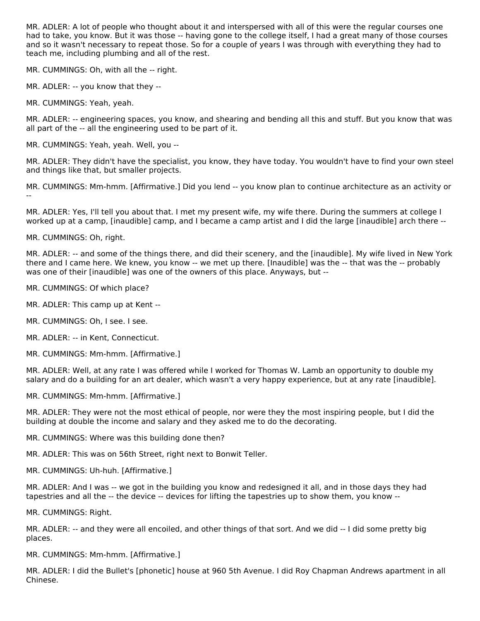MR. ADLER: A lot of people who thought about it and interspersed with all of this were the regular courses one had to take, you know. But it was those -- having gone to the college itself, I had a great many of those courses and so it wasn't necessary to repeat those. So for a couple of years I was through with everything they had to teach me, including plumbing and all of the rest.

MR. CUMMINGS: Oh, with all the -- right.

MR. ADLER: -- you know that they --

MR. CUMMINGS: Yeah, yeah.

MR. ADLER: -- engineering spaces, you know, and shearing and bending all this and stuff. But you know that was all part of the -- all the engineering used to be part of it.

MR. CUMMINGS: Yeah, yeah. Well, you --

MR. ADLER: They didn't have the specialist, you know, they have today. You wouldn't have to find your own steel and things like that, but smaller projects.

MR. CUMMINGS: Mm-hmm. [Affirmative.] Did you lend -- you know plan to continue architecture as an activity or --

MR. ADLER: Yes, I'll tell you about that. I met my present wife, my wife there. During the summers at college I worked up at a camp, [inaudible] camp, and I became a camp artist and I did the large [inaudible] arch there --

MR. CUMMINGS: Oh, right.

MR. ADLER: -- and some of the things there, and did their scenery, and the [inaudible]. My wife lived in New York there and I came here. We knew, you know -- we met up there. [Inaudible] was the -- that was the -- probably was one of their [inaudible] was one of the owners of this place. Anyways, but --

MR. CUMMINGS: Of which place?

MR. ADLER: This camp up at Kent --

MR. CUMMINGS: Oh, I see. I see.

MR. ADLER: -- in Kent, Connecticut.

MR. CUMMINGS: Mm-hmm. [Affirmative.]

MR. ADLER: Well, at any rate I was offered while I worked for Thomas W. Lamb an opportunity to double my salary and do a building for an art dealer, which wasn't a very happy experience, but at any rate [inaudible].

MR. CUMMINGS: Mm-hmm. [Affirmative.]

MR. ADLER: They were not the most ethical of people, nor were they the most inspiring people, but I did the building at double the income and salary and they asked me to do the decorating.

MR. CUMMINGS: Where was this building done then?

MR. ADLER: This was on 56th Street, right next to Bonwit Teller.

MR. CUMMINGS: Uh-huh. [Affirmative.]

MR. ADLER: And I was -- we got in the building you know and redesigned it all, and in those days they had tapestries and all the -- the device -- devices for lifting the tapestries up to show them, you know --

MR. CUMMINGS: Right.

MR. ADLER: -- and they were all encoiled, and other things of that sort. And we did -- I did some pretty big places.

MR. CUMMINGS: Mm-hmm. [Affirmative.]

MR. ADLER: I did the Bullet's [phonetic] house at 960 5th Avenue. I did Roy Chapman Andrews apartment in all Chinese.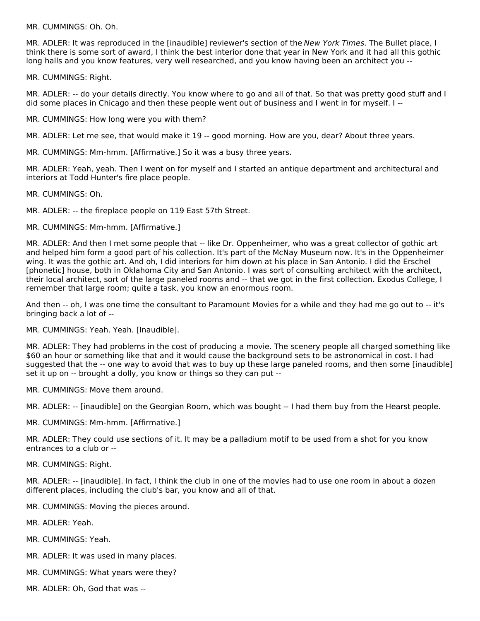MR. CUMMINGS: Oh. Oh.

MR. ADLER: It was reproduced in the [inaudible] reviewer's section of the New York Times. The Bullet place, I think there is some sort of award, I think the best interior done that year in New York and it had all this gothic long halls and you know features, very well researched, and you know having been an architect you --

MR. CUMMINGS: Right.

MR. ADLER: -- do your details directly. You know where to go and all of that. So that was pretty good stuff and I did some places in Chicago and then these people went out of business and I went in for myself. I --

MR. CUMMINGS: How long were you with them?

MR. ADLER: Let me see, that would make it 19 -- good morning. How are you, dear? About three years.

MR. CUMMINGS: Mm-hmm. [Affirmative.] So it was a busy three years.

MR. ADLER: Yeah, yeah. Then I went on for myself and I started an antique department and architectural and interiors at Todd Hunter's fire place people.

MR. CUMMINGS: Oh.

MR. ADLER: -- the fireplace people on 119 East 57th Street.

MR. CUMMINGS: Mm-hmm. [Affirmative.]

MR. ADLER: And then I met some people that -- like Dr. Oppenheimer, who was a great collector of gothic art and helped him form a good part of his collection. It's part of the McNay Museum now. It's in the Oppenheimer wing. It was the gothic art. And oh, I did interiors for him down at his place in San Antonio. I did the Erschel [phonetic] house, both in Oklahoma City and San Antonio. I was sort of consulting architect with the architect, their local architect, sort of the large paneled rooms and -- that we got in the first collection. Exodus College, I remember that large room; quite a task, you know an enormous room.

And then -- oh, I was one time the consultant to Paramount Movies for a while and they had me go out to -- it's bringing back a lot of --

MR. CUMMINGS: Yeah. Yeah. [Inaudible].

MR. ADLER: They had problems in the cost of producing a movie. The scenery people all charged something like \$60 an hour or something like that and it would cause the background sets to be astronomical in cost. I had suggested that the -- one way to avoid that was to buy up these large paneled rooms, and then some [inaudible] set it up on -- brought a dolly, you know or things so they can put --

MR. CUMMINGS: Move them around.

MR. ADLER: -- [inaudible] on the Georgian Room, which was bought -- I had them buy from the Hearst people.

MR. CUMMINGS: Mm-hmm. [Affirmative.]

MR. ADLER: They could use sections of it. It may be a palladium motif to be used from a shot for you know entrances to a club or --

MR. CUMMINGS: Right.

MR. ADLER: -- [inaudible]. In fact, I think the club in one of the movies had to use one room in about a dozen different places, including the club's bar, you know and all of that.

MR. CUMMINGS: Moving the pieces around.

MR. ADLER: Yeah.

MR. CUMMINGS: Yeah.

- MR. ADLER: It was used in many places.
- MR. CUMMINGS: What years were they?

MR. ADLER: Oh, God that was --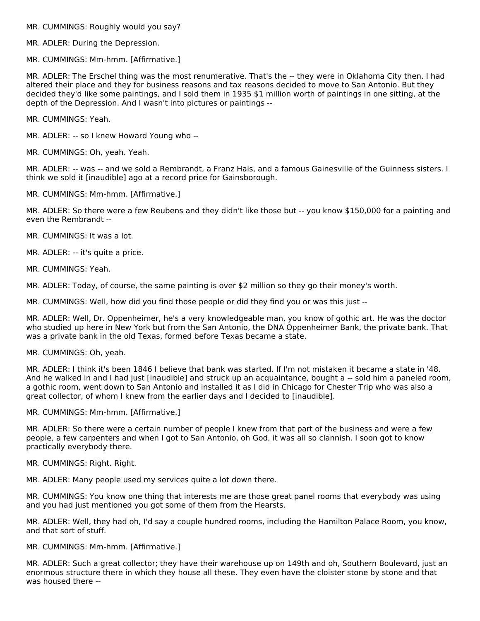MR. CUMMINGS: Roughly would you say?

MR. ADLER: During the Depression.

MR. CUMMINGS: Mm-hmm. [Affirmative.]

MR. ADLER: The Erschel thing was the most renumerative. That's the -- they were in Oklahoma City then. I had altered their place and they for business reasons and tax reasons decided to move to San Antonio. But they decided they'd like some paintings, and I sold them in 1935 \$1 million worth of paintings in one sitting, at the depth of the Depression. And I wasn't into pictures or paintings --

MR. CUMMINGS: Yeah.

MR. ADLER: -- so I knew Howard Young who --

MR. CUMMINGS: Oh, yeah. Yeah.

MR. ADLER: -- was -- and we sold a Rembrandt, a Franz Hals, and a famous Gainesville of the Guinness sisters. I think we sold it [inaudible] ago at a record price for Gainsborough.

MR. CUMMINGS: Mm-hmm. [Affirmative.]

MR. ADLER: So there were a few Reubens and they didn't like those but -- you know \$150,000 for a painting and even the Rembrandt --

MR. CUMMINGS: It was a lot.

MR. ADLER: -- it's quite a price.

MR. CUMMINGS: Yeah.

MR. ADLER: Today, of course, the same painting is over \$2 million so they go their money's worth.

MR. CUMMINGS: Well, how did you find those people or did they find you or was this just --

MR. ADLER: Well, Dr. Oppenheimer, he's a very knowledgeable man, you know of gothic art. He was the doctor who studied up here in New York but from the San Antonio, the DNA Oppenheimer Bank, the private bank. That was a private bank in the old Texas, formed before Texas became a state.

MR. CUMMINGS: Oh, yeah.

MR. ADLER: I think it's been 1846 I believe that bank was started. If I'm not mistaken it became a state in '48. And he walked in and I had just [inaudible] and struck up an acquaintance, bought a -- sold him a paneled room, a gothic room, went down to San Antonio and installed it as I did in Chicago for Chester Trip who was also a great collector, of whom I knew from the earlier days and I decided to [inaudible].

MR. CUMMINGS: Mm-hmm. [Affirmative.]

MR. ADLER: So there were a certain number of people I knew from that part of the business and were a few people, a few carpenters and when I got to San Antonio, oh God, it was all so clannish. I soon got to know practically everybody there.

MR. CUMMINGS: Right. Right.

MR. ADLER: Many people used my services quite a lot down there.

MR. CUMMINGS: You know one thing that interests me are those great panel rooms that everybody was using and you had just mentioned you got some of them from the Hearsts.

MR. ADLER: Well, they had oh, I'd say a couple hundred rooms, including the Hamilton Palace Room, you know, and that sort of stuff.

MR. CUMMINGS: Mm-hmm. [Affirmative.]

MR. ADLER: Such a great collector; they have their warehouse up on 149th and oh, Southern Boulevard, just an enormous structure there in which they house all these. They even have the cloister stone by stone and that was housed there --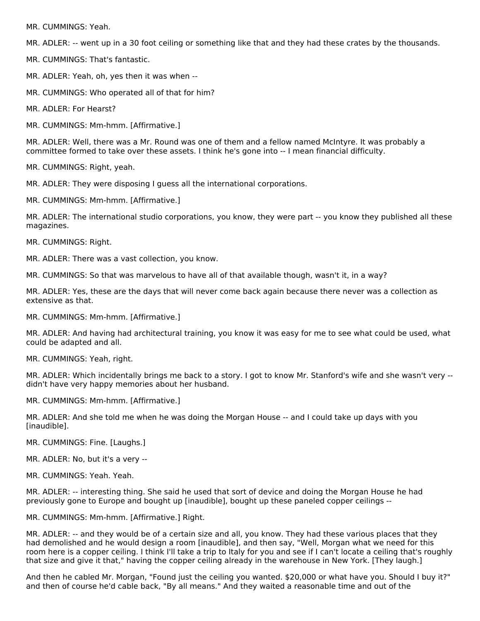MR. CUMMINGS: Yeah.

MR. ADLER: -- went up in a 30 foot ceiling or something like that and they had these crates by the thousands.

MR. CUMMINGS: That's fantastic.

MR. ADLER: Yeah, oh, yes then it was when --

MR. CUMMINGS: Who operated all of that for him?

MR. ADLER: For Hearst?

MR. CUMMINGS: Mm-hmm. [Affirmative.]

MR. ADLER: Well, there was a Mr. Round was one of them and a fellow named McIntyre. It was probably a committee formed to take over these assets. I think he's gone into -- I mean financial difficulty.

MR. CUMMINGS: Right, yeah.

MR. ADLER: They were disposing I guess all the international corporations.

MR. CUMMINGS: Mm-hmm. [Affirmative.]

MR. ADLER: The international studio corporations, you know, they were part -- you know they published all these magazines.

MR. CUMMINGS: Right.

MR. ADLER: There was a vast collection, you know.

MR. CUMMINGS: So that was marvelous to have all of that available though, wasn't it, in a way?

MR. ADLER: Yes, these are the days that will never come back again because there never was a collection as extensive as that.

MR. CUMMINGS: Mm-hmm. [Affirmative.]

MR. ADLER: And having had architectural training, you know it was easy for me to see what could be used, what could be adapted and all.

MR. CUMMINGS: Yeah, right.

MR. ADLER: Which incidentally brings me back to a story. I got to know Mr. Stanford's wife and she wasn't very - didn't have very happy memories about her husband.

MR. CUMMINGS: Mm-hmm. [Affirmative.]

MR. ADLER: And she told me when he was doing the Morgan House -- and I could take up days with you [inaudible].

MR. CUMMINGS: Fine. [Laughs.]

MR. ADLER: No, but it's a very --

MR. CUMMINGS: Yeah. Yeah.

MR. ADLER: -- interesting thing. She said he used that sort of device and doing the Morgan House he had previously gone to Europe and bought up [inaudible], bought up these paneled copper ceilings --

MR. CUMMINGS: Mm-hmm. [Affirmative.] Right.

MR. ADLER: -- and they would be of a certain size and all, you know. They had these various places that they had demolished and he would design a room [inaudible], and then say, "Well, Morgan what we need for this room here is a copper ceiling. I think I'll take a trip to Italy for you and see if I can't locate a ceiling that's roughly that size and give it that," having the copper ceiling already in the warehouse in New York. [They laugh.]

And then he cabled Mr. Morgan, "Found just the ceiling you wanted. \$20,000 or what have you. Should I buy it?" and then of course he'd cable back, "By all means." And they waited a reasonable time and out of the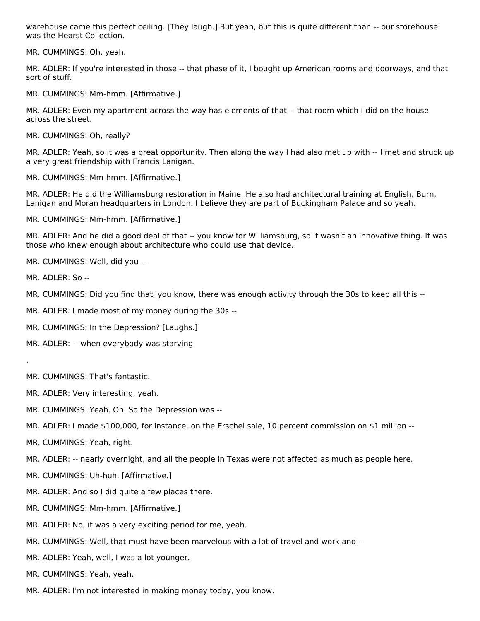warehouse came this perfect ceiling. [They laugh.] But yeah, but this is quite different than -- our storehouse was the Hearst Collection.

MR. CUMMINGS: Oh, yeah.

MR. ADLER: If you're interested in those -- that phase of it, I bought up American rooms and doorways, and that sort of stuff.

MR. CUMMINGS: Mm-hmm. [Affirmative.]

MR. ADLER: Even my apartment across the way has elements of that -- that room which I did on the house across the street.

MR. CUMMINGS: Oh, really?

MR. ADLER: Yeah, so it was a great opportunity. Then along the way I had also met up with -- I met and struck up a very great friendship with Francis Lanigan.

MR. CUMMINGS: Mm-hmm. [Affirmative.]

MR. ADLER: He did the Williamsburg restoration in Maine. He also had architectural training at English, Burn, Lanigan and Moran headquarters in London. I believe they are part of Buckingham Palace and so yeah.

MR. CUMMINGS: Mm-hmm. [Affirmative.]

MR. ADLER: And he did a good deal of that -- you know for Williamsburg, so it wasn't an innovative thing. It was those who knew enough about architecture who could use that device.

MR. CUMMINGS: Well, did you --

MR. ADLER: So --

MR. CUMMINGS: Did you find that, you know, there was enough activity through the 30s to keep all this --

MR. ADLER: I made most of my money during the 30s --

MR. CUMMINGS: In the Depression? [Laughs.]

MR. ADLER: -- when everybody was starving

.

MR. CUMMINGS: That's fantastic.

MR. ADLER: Very interesting, yeah.

MR. CUMMINGS: Yeah. Oh. So the Depression was --

MR. ADLER: I made \$100,000, for instance, on the Erschel sale, 10 percent commission on \$1 million --

MR. CUMMINGS: Yeah, right.

MR. ADLER: -- nearly overnight, and all the people in Texas were not affected as much as people here.

MR. CUMMINGS: Uh-huh. [Affirmative.]

MR. ADLER: And so I did quite a few places there.

MR. CUMMINGS: Mm-hmm. [Affirmative.]

MR. ADLER: No, it was a very exciting period for me, yeah.

MR. CUMMINGS: Well, that must have been marvelous with a lot of travel and work and --

MR. ADLER: Yeah, well, I was a lot younger.

MR. CUMMINGS: Yeah, yeah.

MR. ADLER: I'm not interested in making money today, you know.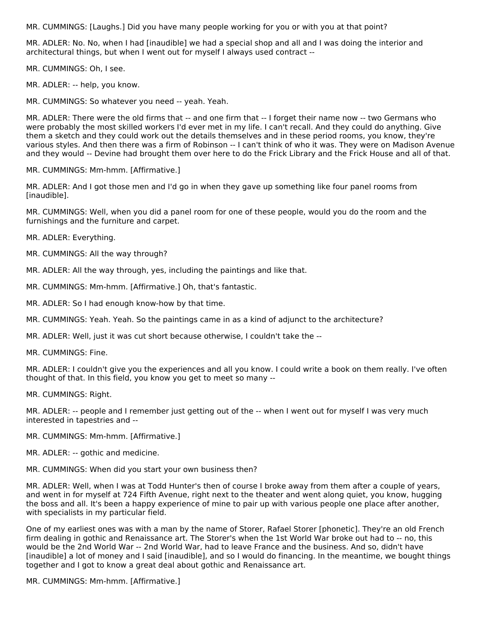MR. CUMMINGS: [Laughs.] Did you have many people working for you or with you at that point?

MR. ADLER: No. No, when I had [inaudible] we had a special shop and all and I was doing the interior and architectural things, but when I went out for myself I always used contract --

MR. CUMMINGS: Oh, I see.

MR. ADLER: -- help, you know.

MR. CUMMINGS: So whatever you need -- yeah. Yeah.

MR. ADLER: There were the old firms that -- and one firm that -- I forget their name now -- two Germans who were probably the most skilled workers I'd ever met in my life. I can't recall. And they could do anything. Give them a sketch and they could work out the details themselves and in these period rooms, you know, they're various styles. And then there was a firm of Robinson -- I can't think of who it was. They were on Madison Avenue and they would -- Devine had brought them over here to do the Frick Library and the Frick House and all of that.

MR. CUMMINGS: Mm-hmm. [Affirmative.]

MR. ADLER: And I got those men and I'd go in when they gave up something like four panel rooms from [inaudible].

MR. CUMMINGS: Well, when you did a panel room for one of these people, would you do the room and the furnishings and the furniture and carpet.

MR. ADLER: Everything.

MR. CUMMINGS: All the way through?

MR. ADLER: All the way through, yes, including the paintings and like that.

MR. CUMMINGS: Mm-hmm. [Affirmative.] Oh, that's fantastic.

MR. ADLER: So I had enough know-how by that time.

MR. CUMMINGS: Yeah. Yeah. So the paintings came in as a kind of adjunct to the architecture?

MR. ADLER: Well, just it was cut short because otherwise, I couldn't take the --

MR. CUMMINGS: Fine.

MR. ADLER: I couldn't give you the experiences and all you know. I could write a book on them really. I've often thought of that. In this field, you know you get to meet so many --

MR. CUMMINGS: Right.

MR. ADLER: -- people and I remember just getting out of the -- when I went out for myself I was very much interested in tapestries and --

MR. CUMMINGS: Mm-hmm. [Affirmative.]

MR. ADLER: -- gothic and medicine.

MR. CUMMINGS: When did you start your own business then?

MR. ADLER: Well, when I was at Todd Hunter's then of course I broke away from them after a couple of years, and went in for myself at 724 Fifth Avenue, right next to the theater and went along quiet, you know, hugging the boss and all. It's been a happy experience of mine to pair up with various people one place after another, with specialists in my particular field.

One of my earliest ones was with a man by the name of Storer, Rafael Storer [phonetic]. They're an old French firm dealing in gothic and Renaissance art. The Storer's when the 1st World War broke out had to -- no, this would be the 2nd World War -- 2nd World War, had to leave France and the business. And so, didn't have [inaudible] a lot of money and I said [inaudible], and so I would do financing. In the meantime, we bought things together and I got to know a great deal about gothic and Renaissance art.

MR. CUMMINGS: Mm-hmm. [Affirmative.]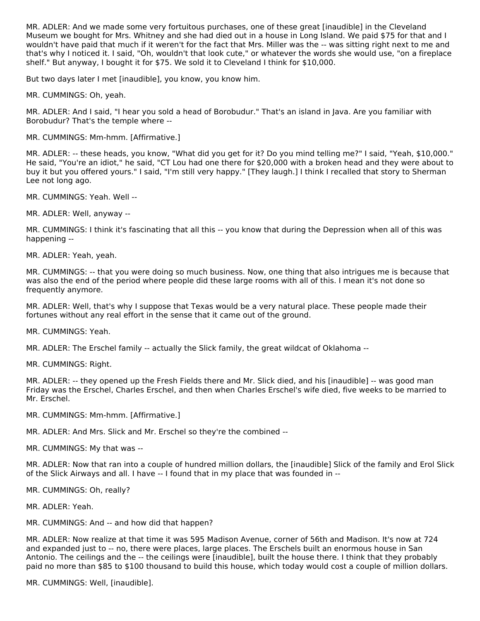MR. ADLER: And we made some very fortuitous purchases, one of these great [inaudible] in the Cleveland Museum we bought for Mrs. Whitney and she had died out in a house in Long Island. We paid \$75 for that and I wouldn't have paid that much if it weren't for the fact that Mrs. Miller was the -- was sitting right next to me and that's why I noticed it. I said, "Oh, wouldn't that look cute," or whatever the words she would use, "on a fireplace shelf." But anyway, I bought it for \$75. We sold it to Cleveland I think for \$10,000.

But two days later I met [inaudible], you know, you know him.

MR. CUMMINGS: Oh, yeah.

MR. ADLER: And I said, "I hear you sold a head of Borobudur." That's an island in Java. Are you familiar with Borobudur? That's the temple where --

MR. CUMMINGS: Mm-hmm. [Affirmative.]

MR. ADLER: -- these heads, you know, "What did you get for it? Do you mind telling me?" I said, "Yeah, \$10,000." He said, "You're an idiot," he said, "CT Lou had one there for \$20,000 with a broken head and they were about to buy it but you offered yours." I said, "I'm still very happy." [They laugh.] I think I recalled that story to Sherman Lee not long ago.

MR. CUMMINGS: Yeah. Well --

MR. ADLER: Well, anyway --

MR. CUMMINGS: I think it's fascinating that all this -- you know that during the Depression when all of this was happening --

MR. ADLER: Yeah, yeah.

MR. CUMMINGS: -- that you were doing so much business. Now, one thing that also intrigues me is because that was also the end of the period where people did these large rooms with all of this. I mean it's not done so frequently anymore.

MR. ADLER: Well, that's why I suppose that Texas would be a very natural place. These people made their fortunes without any real effort in the sense that it came out of the ground.

MR. CUMMINGS: Yeah.

MR. ADLER: The Erschel family -- actually the Slick family, the great wildcat of Oklahoma --

MR. CUMMINGS: Right.

MR. ADLER: -- they opened up the Fresh Fields there and Mr. Slick died, and his [inaudible] -- was good man Friday was the Erschel, Charles Erschel, and then when Charles Erschel's wife died, five weeks to be married to Mr. Erschel.

MR. CUMMINGS: Mm-hmm. [Affirmative.]

MR. ADLER: And Mrs. Slick and Mr. Erschel so they're the combined --

MR. CUMMINGS: My that was --

MR. ADLER: Now that ran into a couple of hundred million dollars, the [inaudible] Slick of the family and Erol Slick of the Slick Airways and all. I have -- I found that in my place that was founded in --

MR. CUMMINGS: Oh, really?

MR. ADLER: Yeah.

MR. CUMMINGS: And -- and how did that happen?

MR. ADLER: Now realize at that time it was 595 Madison Avenue, corner of 56th and Madison. It's now at 724 and expanded just to -- no, there were places, large places. The Erschels built an enormous house in San Antonio. The ceilings and the -- the ceilings were [inaudible], built the house there. I think that they probably paid no more than \$85 to \$100 thousand to build this house, which today would cost a couple of million dollars.

MR. CUMMINGS: Well, [inaudible].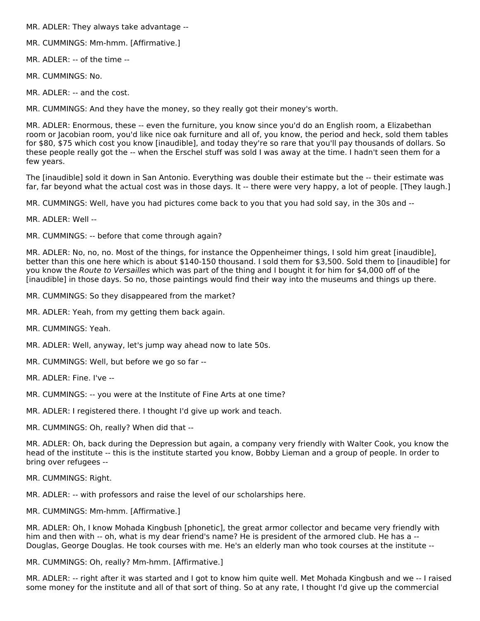MR. ADLER: They always take advantage --

- MR. CUMMINGS: Mm-hmm. [Affirmative.]
- MR. ADLER: -- of the time --
- MR. CUMMINGS: No.
- MR. ADLER: -- and the cost.

MR. CUMMINGS: And they have the money, so they really got their money's worth.

MR. ADLER: Enormous, these -- even the furniture, you know since you'd do an English room, a Elizabethan room or Jacobian room, you'd like nice oak furniture and all of, you know, the period and heck, sold them tables for \$80, \$75 which cost you know [inaudible], and today they're so rare that you'll pay thousands of dollars. So these people really got the -- when the Erschel stuff was sold I was away at the time. I hadn't seen them for a few years.

The [inaudible] sold it down in San Antonio. Everything was double their estimate but the -- their estimate was far, far beyond what the actual cost was in those days. It -- there were very happy, a lot of people. [They laugh.]

MR. CUMMINGS: Well, have you had pictures come back to you that you had sold say, in the 30s and --

MR. ADLER: Well --

MR. CUMMINGS: -- before that come through again?

MR. ADLER: No, no, no. Most of the things, for instance the Oppenheimer things, I sold him great [inaudible], better than this one here which is about \$140-150 thousand. I sold them for \$3,500. Sold them to [inaudible] for you know the Route to Versailles which was part of the thing and I bought it for him for \$4,000 off of the [inaudible] in those days. So no, those paintings would find their way into the museums and things up there.

- MR. CUMMINGS: So they disappeared from the market?
- MR. ADLER: Yeah, from my getting them back again.
- MR. CUMMINGS: Yeah.
- MR. ADLER: Well, anyway, let's jump way ahead now to late 50s.
- MR. CUMMINGS: Well, but before we go so far --
- MR. ADLER: Fine. I've --
- MR. CUMMINGS: -- you were at the Institute of Fine Arts at one time?
- MR. ADLER: I registered there. I thought I'd give up work and teach.
- MR. CUMMINGS: Oh, really? When did that --

MR. ADLER: Oh, back during the Depression but again, a company very friendly with Walter Cook, you know the head of the institute -- this is the institute started you know, Bobby Lieman and a group of people. In order to bring over refugees --

MR. CUMMINGS: Right.

MR. ADLER: -- with professors and raise the level of our scholarships here.

MR. CUMMINGS: Mm-hmm. [Affirmative.]

MR. ADLER: Oh, I know Mohada Kingbush [phonetic], the great armor collector and became very friendly with him and then with -- oh, what is my dear friend's name? He is president of the armored club. He has a --Douglas, George Douglas. He took courses with me. He's an elderly man who took courses at the institute --

MR. CUMMINGS: Oh, really? Mm-hmm. [Affirmative.]

MR. ADLER: -- right after it was started and I got to know him quite well. Met Mohada Kingbush and we -- I raised some money for the institute and all of that sort of thing. So at any rate, I thought I'd give up the commercial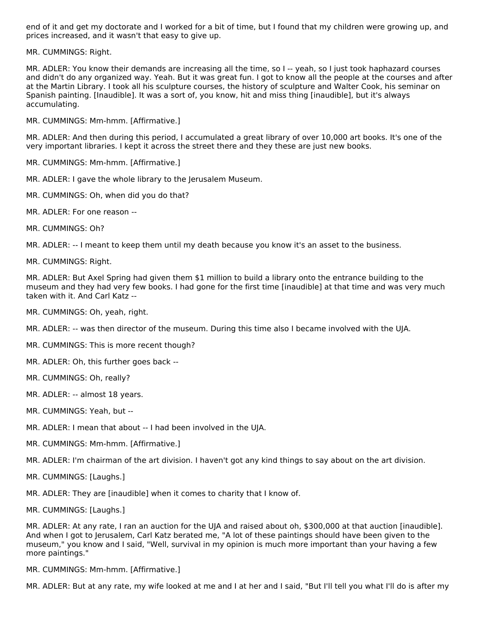end of it and get my doctorate and I worked for a bit of time, but I found that my children were growing up, and prices increased, and it wasn't that easy to give up.

MR. CUMMINGS: Right.

MR. ADLER: You know their demands are increasing all the time, so I -- yeah, so I just took haphazard courses and didn't do any organized way. Yeah. But it was great fun. I got to know all the people at the courses and after at the Martin Library. I took all his sculpture courses, the history of sculpture and Walter Cook, his seminar on Spanish painting. [Inaudible]. It was a sort of, you know, hit and miss thing [inaudible], but it's always accumulating.

MR. CUMMINGS: Mm-hmm. [Affirmative.]

MR. ADLER: And then during this period, I accumulated a great library of over 10,000 art books. It's one of the very important libraries. I kept it across the street there and they these are just new books.

MR. CUMMINGS: Mm-hmm. [Affirmative.]

MR. ADLER: I gave the whole library to the Jerusalem Museum.

MR. CUMMINGS: Oh, when did you do that?

MR. ADLER: For one reason --

MR. CUMMINGS: Oh?

MR. ADLER: -- I meant to keep them until my death because you know it's an asset to the business.

MR. CUMMINGS: Right.

MR. ADLER: But Axel Spring had given them \$1 million to build a library onto the entrance building to the museum and they had very few books. I had gone for the first time [inaudible] at that time and was very much taken with it. And Carl Katz --

MR. CUMMINGS: Oh, yeah, right.

MR. ADLER: -- was then director of the museum. During this time also I became involved with the UJA.

MR. CUMMINGS: This is more recent though?

MR. ADLER: Oh, this further goes back --

- MR. CUMMINGS: Oh, really?
- MR. ADLER: -- almost 18 years.
- MR. CUMMINGS: Yeah, but --
- MR. ADLER: I mean that about -- I had been involved in the UJA.
- MR. CUMMINGS: Mm-hmm. [Affirmative.]

MR. ADLER: I'm chairman of the art division. I haven't got any kind things to say about on the art division.

MR. CUMMINGS: [Laughs.]

MR. ADLER: They are [inaudible] when it comes to charity that I know of.

MR. CUMMINGS: [Laughs.]

MR. ADLER: At any rate, I ran an auction for the UJA and raised about oh, \$300,000 at that auction [inaudible]. And when I got to Jerusalem, Carl Katz berated me, "A lot of these paintings should have been given to the museum," you know and I said, "Well, survival in my opinion is much more important than your having a few more paintings."

MR. CUMMINGS: Mm-hmm. [Affirmative.]

MR. ADLER: But at any rate, my wife looked at me and I at her and I said, "But I'll tell you what I'll do is after my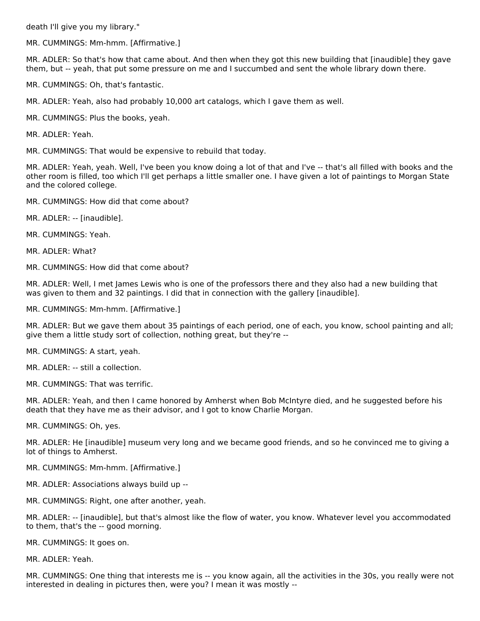death I'll give you my library."

MR. CUMMINGS: Mm-hmm. [Affirmative.]

MR. ADLER: So that's how that came about. And then when they got this new building that [inaudible] they gave them, but -- yeah, that put some pressure on me and I succumbed and sent the whole library down there.

MR. CUMMINGS: Oh, that's fantastic.

MR. ADLER: Yeah, also had probably 10,000 art catalogs, which I gave them as well.

MR. CUMMINGS: Plus the books, yeah.

MR. ADLER: Yeah.

MR. CUMMINGS: That would be expensive to rebuild that today.

MR. ADLER: Yeah, yeah. Well, I've been you know doing a lot of that and I've -- that's all filled with books and the other room is filled, too which I'll get perhaps a little smaller one. I have given a lot of paintings to Morgan State and the colored college.

- MR. CUMMINGS: How did that come about?
- MR. ADLER: -- [inaudible].
- MR. CUMMINGS: Yeah.

MR. ADLER: What?

MR. CUMMINGS: How did that come about?

MR. ADLER: Well, I met James Lewis who is one of the professors there and they also had a new building that was given to them and 32 paintings. I did that in connection with the gallery [inaudible].

MR. CUMMINGS: Mm-hmm. [Affirmative.]

MR. ADLER: But we gave them about 35 paintings of each period, one of each, you know, school painting and all; give them a little study sort of collection, nothing great, but they're --

MR. CUMMINGS: A start, yeah.

MR. ADLER: -- still a collection.

MR. CUMMINGS: That was terrific.

MR. ADLER: Yeah, and then I came honored by Amherst when Bob McIntyre died, and he suggested before his death that they have me as their advisor, and I got to know Charlie Morgan.

MR. CUMMINGS: Oh, yes.

MR. ADLER: He [inaudible] museum very long and we became good friends, and so he convinced me to giving a lot of things to Amherst.

MR. CUMMINGS: Mm-hmm. [Affirmative.]

- MR. ADLER: Associations always build up --
- MR. CUMMINGS: Right, one after another, yeah.

MR. ADLER: -- [inaudible], but that's almost like the flow of water, you know. Whatever level you accommodated to them, that's the -- good morning.

MR. CUMMINGS: It goes on.

MR. ADLER: Yeah.

MR. CUMMINGS: One thing that interests me is -- you know again, all the activities in the 30s, you really were not interested in dealing in pictures then, were you? I mean it was mostly --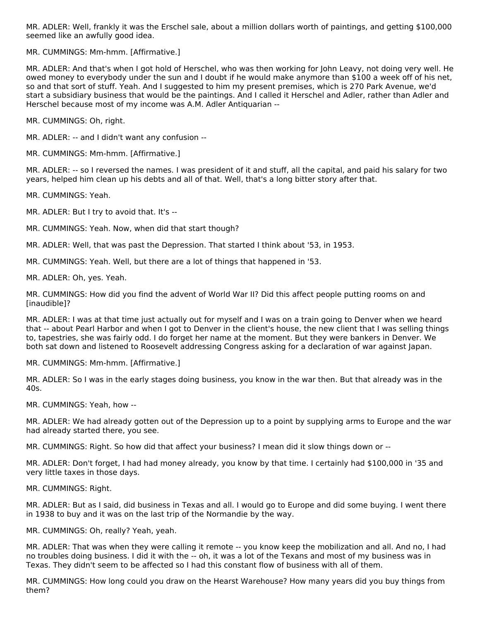MR. ADLER: Well, frankly it was the Erschel sale, about a million dollars worth of paintings, and getting \$100,000 seemed like an awfully good idea.

MR. CUMMINGS: Mm-hmm. [Affirmative.]

MR. ADLER: And that's when I got hold of Herschel, who was then working for John Leavy, not doing very well. He owed money to everybody under the sun and I doubt if he would make anymore than \$100 a week off of his net, so and that sort of stuff. Yeah. And I suggested to him my present premises, which is 270 Park Avenue, we'd start a subsidiary business that would be the paintings. And I called it Herschel and Adler, rather than Adler and Herschel because most of my income was A.M. Adler Antiquarian --

MR. CUMMINGS: Oh, right.

MR. ADLER: -- and I didn't want any confusion --

MR. CUMMINGS: Mm-hmm. [Affirmative.]

MR. ADLER: -- so I reversed the names. I was president of it and stuff, all the capital, and paid his salary for two years, helped him clean up his debts and all of that. Well, that's a long bitter story after that.

MR. CUMMINGS: Yeah.

MR. ADLER: But I try to avoid that. It's --

MR. CUMMINGS: Yeah. Now, when did that start though?

MR. ADLER: Well, that was past the Depression. That started I think about '53, in 1953.

MR. CUMMINGS: Yeah. Well, but there are a lot of things that happened in '53.

MR. ADLER: Oh, yes. Yeah.

MR. CUMMINGS: How did you find the advent of World War II? Did this affect people putting rooms on and [inaudible]?

MR. ADLER: I was at that time just actually out for myself and I was on a train going to Denver when we heard that -- about Pearl Harbor and when I got to Denver in the client's house, the new client that I was selling things to, tapestries, she was fairly odd. I do forget her name at the moment. But they were bankers in Denver. We both sat down and listened to Roosevelt addressing Congress asking for a declaration of war against Japan.

MR. CUMMINGS: Mm-hmm. [Affirmative.]

MR. ADLER: So I was in the early stages doing business, you know in the war then. But that already was in the 40s.

MR. CUMMINGS: Yeah, how --

MR. ADLER: We had already gotten out of the Depression up to a point by supplying arms to Europe and the war had already started there, you see.

MR. CUMMINGS: Right. So how did that affect your business? I mean did it slow things down or --

MR. ADLER: Don't forget, I had had money already, you know by that time. I certainly had \$100,000 in '35 and very little taxes in those days.

MR. CUMMINGS: Right.

MR. ADLER: But as I said, did business in Texas and all. I would go to Europe and did some buying. I went there in 1938 to buy and it was on the last trip of the Normandie by the way.

MR. CUMMINGS: Oh, really? Yeah, yeah.

MR. ADLER: That was when they were calling it remote -- you know keep the mobilization and all. And no, I had no troubles doing business. I did it with the -- oh, it was a lot of the Texans and most of my business was in Texas. They didn't seem to be affected so I had this constant flow of business with all of them.

MR. CUMMINGS: How long could you draw on the Hearst Warehouse? How many years did you buy things from them?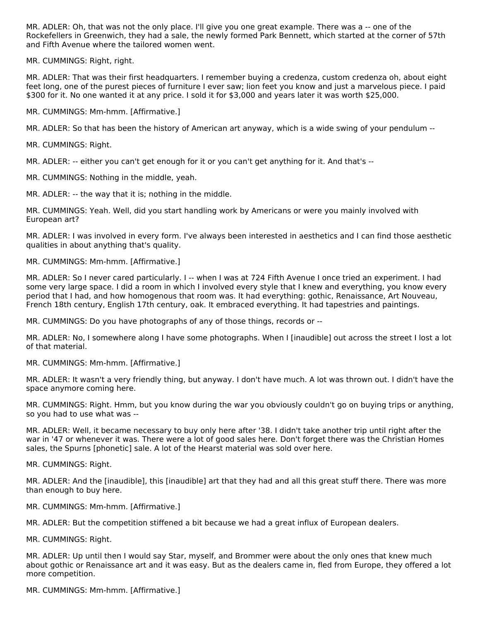MR. ADLER: Oh, that was not the only place. I'll give you one great example. There was a -- one of the Rockefellers in Greenwich, they had a sale, the newly formed Park Bennett, which started at the corner of 57th and Fifth Avenue where the tailored women went.

MR. CUMMINGS: Right, right.

MR. ADLER: That was their first headquarters. I remember buying a credenza, custom credenza oh, about eight feet long, one of the purest pieces of furniture I ever saw; lion feet you know and just a marvelous piece. I paid \$300 for it. No one wanted it at any price. I sold it for \$3,000 and years later it was worth \$25,000.

MR. CUMMINGS: Mm-hmm. [Affirmative.]

MR. ADLER: So that has been the history of American art anyway, which is a wide swing of your pendulum --

MR. CUMMINGS: Right.

MR. ADLER: -- either you can't get enough for it or you can't get anything for it. And that's --

MR. CUMMINGS: Nothing in the middle, yeah.

MR. ADLER: -- the way that it is; nothing in the middle.

MR. CUMMINGS: Yeah. Well, did you start handling work by Americans or were you mainly involved with European art?

MR. ADLER: I was involved in every form. I've always been interested in aesthetics and I can find those aesthetic qualities in about anything that's quality.

MR. CUMMINGS: Mm-hmm. [Affirmative.]

MR. ADLER: So I never cared particularly. I -- when I was at 724 Fifth Avenue I once tried an experiment. I had some very large space. I did a room in which I involved every style that I knew and everything, you know every period that I had, and how homogenous that room was. It had everything: gothic, Renaissance, Art Nouveau, French 18th century, English 17th century, oak. It embraced everything. It had tapestries and paintings.

MR. CUMMINGS: Do you have photographs of any of those things, records or --

MR. ADLER: No, I somewhere along I have some photographs. When I [inaudible] out across the street I lost a lot of that material.

MR. CUMMINGS: Mm-hmm. [Affirmative.]

MR. ADLER: It wasn't a very friendly thing, but anyway. I don't have much. A lot was thrown out. I didn't have the space anymore coming here.

MR. CUMMINGS: Right. Hmm, but you know during the war you obviously couldn't go on buying trips or anything, so you had to use what was --

MR. ADLER: Well, it became necessary to buy only here after '38. I didn't take another trip until right after the war in '47 or whenever it was. There were a lot of good sales here. Don't forget there was the Christian Homes sales, the Spurns [phonetic] sale. A lot of the Hearst material was sold over here.

MR. CUMMINGS: Right.

MR. ADLER: And the [inaudible], this [inaudible] art that they had and all this great stuff there. There was more than enough to buy here.

MR. CUMMINGS: Mm-hmm. [Affirmative.]

MR. ADLER: But the competition stiffened a bit because we had a great influx of European dealers.

MR. CUMMINGS: Right.

MR. ADLER: Up until then I would say Star, myself, and Brommer were about the only ones that knew much about gothic or Renaissance art and it was easy. But as the dealers came in, fled from Europe, they offered a lot more competition.

MR. CUMMINGS: Mm-hmm. [Affirmative.]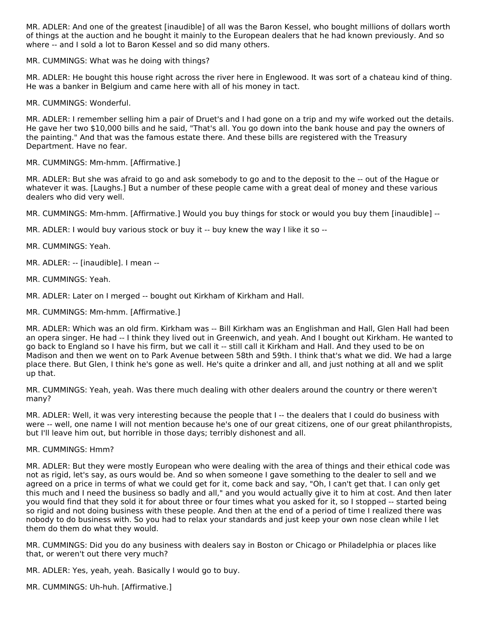MR. ADLER: And one of the greatest [inaudible] of all was the Baron Kessel, who bought millions of dollars worth of things at the auction and he bought it mainly to the European dealers that he had known previously. And so where -- and I sold a lot to Baron Kessel and so did many others.

MR. CUMMINGS: What was he doing with things?

MR. ADLER: He bought this house right across the river here in Englewood. It was sort of a chateau kind of thing. He was a banker in Belgium and came here with all of his money in tact.

MR. CUMMINGS: Wonderful.

MR. ADLER: I remember selling him a pair of Druet's and I had gone on a trip and my wife worked out the details. He gave her two \$10,000 bills and he said, "That's all. You go down into the bank house and pay the owners of the painting." And that was the famous estate there. And these bills are registered with the Treasury Department. Have no fear.

MR. CUMMINGS: Mm-hmm. [Affirmative.]

MR. ADLER: But she was afraid to go and ask somebody to go and to the deposit to the -- out of the Hague or whatever it was. [Laughs.] But a number of these people came with a great deal of money and these various dealers who did very well.

MR. CUMMINGS: Mm-hmm. [Affirmative.] Would you buy things for stock or would you buy them [inaudible] --

MR. ADLER: I would buy various stock or buy it -- buy knew the way I like it so --

MR. CUMMINGS: Yeah.

MR. ADLER: -- [inaudible]. I mean --

MR. CUMMINGS: Yeah.

MR. ADLER: Later on I merged -- bought out Kirkham of Kirkham and Hall.

MR. CUMMINGS: Mm-hmm. [Affirmative.]

MR. ADLER: Which was an old firm. Kirkham was -- Bill Kirkham was an Englishman and Hall, Glen Hall had been an opera singer. He had -- I think they lived out in Greenwich, and yeah. And I bought out Kirkham. He wanted to go back to England so I have his firm, but we call it -- still call it Kirkham and Hall. And they used to be on Madison and then we went on to Park Avenue between 58th and 59th. I think that's what we did. We had a large place there. But Glen, I think he's gone as well. He's quite a drinker and all, and just nothing at all and we split up that.

MR. CUMMINGS: Yeah, yeah. Was there much dealing with other dealers around the country or there weren't many?

MR. ADLER: Well, it was very interesting because the people that I -- the dealers that I could do business with were -- well, one name I will not mention because he's one of our great citizens, one of our great philanthropists, but I'll leave him out, but horrible in those days; terribly dishonest and all.

#### MR. CUMMINGS: Hmm?

MR. ADLER: But they were mostly European who were dealing with the area of things and their ethical code was not as rigid, let's say, as ours would be. And so when someone I gave something to the dealer to sell and we agreed on a price in terms of what we could get for it, come back and say, "Oh, I can't get that. I can only get this much and I need the business so badly and all," and you would actually give it to him at cost. And then later you would find that they sold it for about three or four times what you asked for it, so I stopped -- started being so rigid and not doing business with these people. And then at the end of a period of time I realized there was nobody to do business with. So you had to relax your standards and just keep your own nose clean while I let them do them do what they would.

MR. CUMMINGS: Did you do any business with dealers say in Boston or Chicago or Philadelphia or places like that, or weren't out there very much?

MR. ADLER: Yes, yeah, yeah. Basically I would go to buy.

MR. CUMMINGS: Uh-huh. [Affirmative.]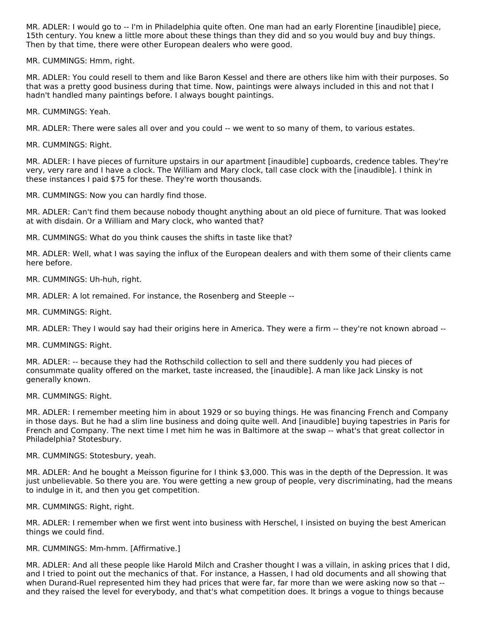MR. ADLER: I would go to -- I'm in Philadelphia quite often. One man had an early Florentine [inaudible] piece, 15th century. You knew a little more about these things than they did and so you would buy and buy things. Then by that time, there were other European dealers who were good.

MR. CUMMINGS: Hmm, right.

MR. ADLER: You could resell to them and like Baron Kessel and there are others like him with their purposes. So that was a pretty good business during that time. Now, paintings were always included in this and not that I hadn't handled many paintings before. I always bought paintings.

MR. CUMMINGS: Yeah.

MR. ADLER: There were sales all over and you could -- we went to so many of them, to various estates.

MR. CUMMINGS: Right.

MR. ADLER: I have pieces of furniture upstairs in our apartment [inaudible] cupboards, credence tables. They're very, very rare and I have a clock. The William and Mary clock, tall case clock with the [inaudible]. I think in these instances I paid \$75 for these. They're worth thousands.

MR. CUMMINGS: Now you can hardly find those.

MR. ADLER: Can't find them because nobody thought anything about an old piece of furniture. That was looked at with disdain. Or a William and Mary clock, who wanted that?

MR. CUMMINGS: What do you think causes the shifts in taste like that?

MR. ADLER: Well, what I was saying the influx of the European dealers and with them some of their clients came here before.

MR. CUMMINGS: Uh-huh, right.

MR. ADLER: A lot remained. For instance, the Rosenberg and Steeple --

MR. CUMMINGS: Right.

MR. ADLER: They I would say had their origins here in America. They were a firm -- they're not known abroad --

MR. CUMMINGS: Right.

MR. ADLER: -- because they had the Rothschild collection to sell and there suddenly you had pieces of consummate quality offered on the market, taste increased, the [inaudible]. A man like Jack Linsky is not generally known.

MR. CUMMINGS: Right.

MR. ADLER: I remember meeting him in about 1929 or so buying things. He was financing French and Company in those days. But he had a slim line business and doing quite well. And [inaudible] buying tapestries in Paris for French and Company. The next time I met him he was in Baltimore at the swap -- what's that great collector in Philadelphia? Stotesbury.

MR. CUMMINGS: Stotesbury, yeah.

MR. ADLER: And he bought a Meisson figurine for I think \$3,000. This was in the depth of the Depression. It was just unbelievable. So there you are. You were getting a new group of people, very discriminating, had the means to indulge in it, and then you get competition.

MR. CUMMINGS: Right, right.

MR. ADLER: I remember when we first went into business with Herschel, I insisted on buying the best American things we could find.

#### MR. CUMMINGS: Mm-hmm. [Affirmative.]

MR. ADLER: And all these people like Harold Milch and Crasher thought I was a villain, in asking prices that I did, and I tried to point out the mechanics of that. For instance, a Hassen, I had old documents and all showing that when Durand-Ruel represented him they had prices that were far, far more than we were asking now so that -and they raised the level for everybody, and that's what competition does. It brings a vogue to things because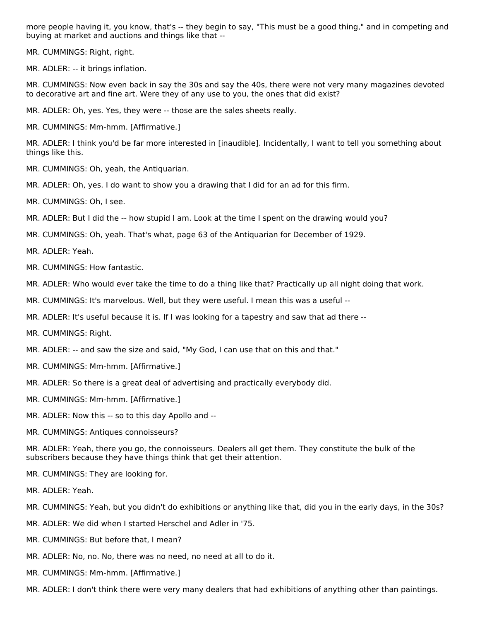more people having it, you know, that's -- they begin to say, "This must be a good thing," and in competing and buying at market and auctions and things like that --

MR. CUMMINGS: Right, right.

MR. ADLER: -- it brings inflation.

MR. CUMMINGS: Now even back in say the 30s and say the 40s, there were not very many magazines devoted to decorative art and fine art. Were they of any use to you, the ones that did exist?

MR. ADLER: Oh, yes. Yes, they were -- those are the sales sheets really.

MR. CUMMINGS: Mm-hmm. [Affirmative.]

MR. ADLER: I think you'd be far more interested in [inaudible]. Incidentally, I want to tell you something about things like this.

MR. CUMMINGS: Oh, yeah, the Antiquarian.

MR. ADLER: Oh, yes. I do want to show you a drawing that I did for an ad for this firm.

MR. CUMMINGS: Oh, I see.

MR. ADLER: But I did the -- how stupid I am. Look at the time I spent on the drawing would you?

MR. CUMMINGS: Oh, yeah. That's what, page 63 of the Antiquarian for December of 1929.

MR. ADLER: Yeah.

MR. CUMMINGS: How fantastic.

MR. ADLER: Who would ever take the time to do a thing like that? Practically up all night doing that work.

MR. CUMMINGS: It's marvelous. Well, but they were useful. I mean this was a useful --

MR. ADLER: It's useful because it is. If I was looking for a tapestry and saw that ad there --

MR. CUMMINGS: Right.

MR. ADLER: -- and saw the size and said, "My God, I can use that on this and that."

- MR. CUMMINGS: Mm-hmm. [Affirmative.]
- MR. ADLER: So there is a great deal of advertising and practically everybody did.
- MR. CUMMINGS: Mm-hmm. [Affirmative.]

MR. ADLER: Now this -- so to this day Apollo and --

MR. CUMMINGS: Antiques connoisseurs?

MR. ADLER: Yeah, there you go, the connoisseurs. Dealers all get them. They constitute the bulk of the subscribers because they have things think that get their attention.

MR. CUMMINGS: They are looking for.

MR. ADLER: Yeah.

MR. CUMMINGS: Yeah, but you didn't do exhibitions or anything like that, did you in the early days, in the 30s?

MR. ADLER: We did when I started Herschel and Adler in '75.

- MR. CUMMINGS: But before that, I mean?
- MR. ADLER: No, no. No, there was no need, no need at all to do it.
- MR. CUMMINGS: Mm-hmm. [Affirmative.]

MR. ADLER: I don't think there were very many dealers that had exhibitions of anything other than paintings.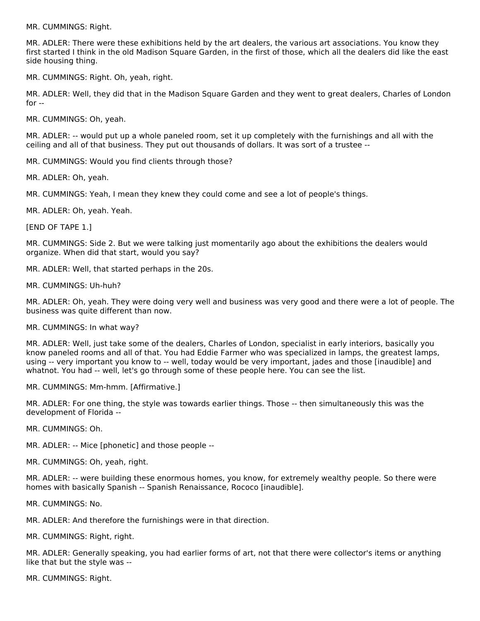MR. CUMMINGS: Right.

MR. ADLER: There were these exhibitions held by the art dealers, the various art associations. You know they first started I think in the old Madison Square Garden, in the first of those, which all the dealers did like the east side housing thing.

MR. CUMMINGS: Right. Oh, yeah, right.

MR. ADLER: Well, they did that in the Madison Square Garden and they went to great dealers, Charles of London for --

MR. CUMMINGS: Oh, yeah.

MR. ADLER: -- would put up a whole paneled room, set it up completely with the furnishings and all with the ceiling and all of that business. They put out thousands of dollars. It was sort of a trustee --

MR. CUMMINGS: Would you find clients through those?

MR. ADLER: Oh, yeah.

MR. CUMMINGS: Yeah, I mean they knew they could come and see a lot of people's things.

MR. ADLER: Oh, yeah. Yeah.

[END OF TAPE 1.]

MR. CUMMINGS: Side 2. But we were talking just momentarily ago about the exhibitions the dealers would organize. When did that start, would you say?

MR. ADLER: Well, that started perhaps in the 20s.

MR. CUMMINGS: Uh-huh?

MR. ADLER: Oh, yeah. They were doing very well and business was very good and there were a lot of people. The business was quite different than now.

MR. CUMMINGS: In what way?

MR. ADLER: Well, just take some of the dealers, Charles of London, specialist in early interiors, basically you know paneled rooms and all of that. You had Eddie Farmer who was specialized in lamps, the greatest lamps, using -- very important you know to -- well, today would be very important, jades and those [inaudible] and whatnot. You had -- well, let's go through some of these people here. You can see the list.

MR. CUMMINGS: Mm-hmm. [Affirmative.]

MR. ADLER: For one thing, the style was towards earlier things. Those -- then simultaneously this was the development of Florida --

MR. CUMMINGS: Oh.

MR. ADLER: -- Mice [phonetic] and those people --

MR. CUMMINGS: Oh, yeah, right.

MR. ADLER: -- were building these enormous homes, you know, for extremely wealthy people. So there were homes with basically Spanish -- Spanish Renaissance, Rococo [inaudible].

MR. CUMMINGS: No.

MR. ADLER: And therefore the furnishings were in that direction.

MR. CUMMINGS: Right, right.

MR. ADLER: Generally speaking, you had earlier forms of art, not that there were collector's items or anything like that but the style was --

MR. CUMMINGS: Right.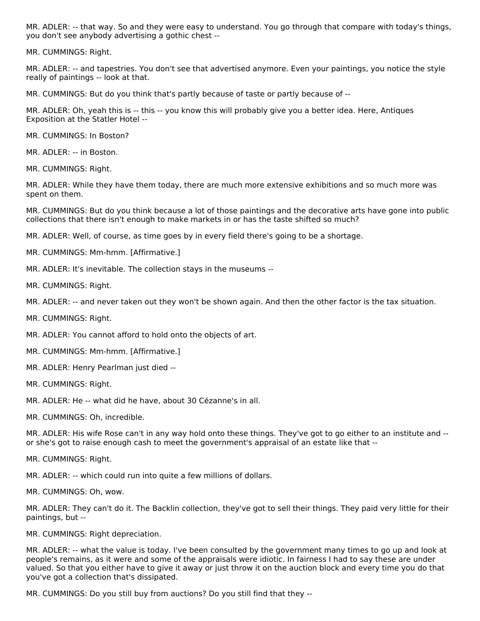MR. ADLER: -- that way. So and they were easy to understand. You go through that compare with today's things, you don't see anybody advertising a gothic chest --

MR. CUMMINGS: Right.

MR. ADLER: -- and tapestries. You don't see that advertised anymore. Even your paintings, you notice the style really of paintings -- look at that.

MR. CUMMINGS: But do you think that's partly because of taste or partly because of --

MR. ADLER: Oh, yeah this is -- this -- you know this will probably give you a better idea. Here, Antiques Exposition at the Statler Hotel --

MR. CUMMINGS: In Boston?

MR. ADLER: -- in Boston.

MR. CUMMINGS: Right.

MR. ADLER: While they have them today, there are much more extensive exhibitions and so much more was spent on them.

MR. CUMMINGS: But do you think because a lot of those paintings and the decorative arts have gone into public collections that there isn't enough to make markets in or has the taste shifted so much?

MR. ADLER: Well, of course, as time goes by in every field there's going to be a shortage.

MR. CUMMINGS: Mm-hmm. [Affirmative.]

MR. ADLER: It's inevitable. The collection stays in the museums --

MR. CUMMINGS: Right.

MR. ADLER: -- and never taken out they won't be shown again. And then the other factor is the tax situation.

MR. CUMMINGS: Right.

MR. ADLER: You cannot afford to hold onto the objects of art.

MR. CUMMINGS: Mm-hmm. [Affirmative.]

MR. ADLER: Henry Pearlman just died --

MR. CUMMINGS: Right.

MR. ADLER: He -- what did he have, about 30 Cézanne's in all.

MR. CUMMINGS: Oh, incredible.

MR. ADLER: His wife Rose can't in any way hold onto these things. They've got to go either to an institute and - or she's got to raise enough cash to meet the government's appraisal of an estate like that --

MR. CUMMINGS: Right.

MR. ADLER: -- which could run into quite a few millions of dollars.

MR. CUMMINGS: Oh, wow.

MR. ADLER: They can't do it. The Backlin collection, they've got to sell their things. They paid very little for their paintings, but --

MR. CUMMINGS: Right depreciation.

MR. ADLER: -- what the value is today. I've been consulted by the government many times to go up and look at people's remains, as it were and some of the appraisals were idiotic. In fairness I had to say these are under valued. So that you either have to give it away or just throw it on the auction block and every time you do that you've got a collection that's dissipated.

MR. CUMMINGS: Do you still buy from auctions? Do you still find that they --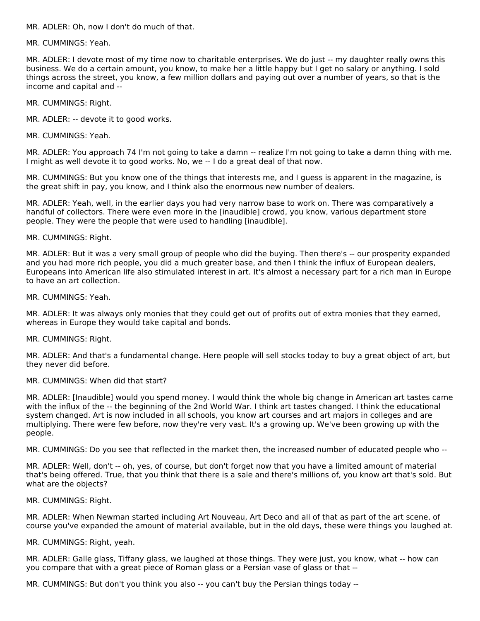MR. ADLER: Oh, now I don't do much of that.

MR. CUMMINGS: Yeah.

MR. ADLER: I devote most of my time now to charitable enterprises. We do just -- my daughter really owns this business. We do a certain amount, you know, to make her a little happy but I get no salary or anything. I sold things across the street, you know, a few million dollars and paying out over a number of years, so that is the income and capital and --

MR. CUMMINGS: Right.

MR. ADLER: -- devote it to good works.

MR. CUMMINGS: Yeah.

MR. ADLER: You approach 74 I'm not going to take a damn -- realize I'm not going to take a damn thing with me. I might as well devote it to good works. No, we -- I do a great deal of that now.

MR. CUMMINGS: But you know one of the things that interests me, and I guess is apparent in the magazine, is the great shift in pay, you know, and I think also the enormous new number of dealers.

MR. ADLER: Yeah, well, in the earlier days you had very narrow base to work on. There was comparatively a handful of collectors. There were even more in the [inaudible] crowd, you know, various department store people. They were the people that were used to handling [inaudible].

MR. CUMMINGS: Right.

MR. ADLER: But it was a very small group of people who did the buying. Then there's -- our prosperity expanded and you had more rich people, you did a much greater base, and then I think the influx of European dealers, Europeans into American life also stimulated interest in art. It's almost a necessary part for a rich man in Europe to have an art collection.

MR. CUMMINGS: Yeah.

MR. ADLER: It was always only monies that they could get out of profits out of extra monies that they earned, whereas in Europe they would take capital and bonds.

MR. CUMMINGS: Right.

MR. ADLER: And that's a fundamental change. Here people will sell stocks today to buy a great object of art, but they never did before.

#### MR. CUMMINGS: When did that start?

MR. ADLER: [Inaudible] would you spend money. I would think the whole big change in American art tastes came with the influx of the -- the beginning of the 2nd World War. I think art tastes changed. I think the educational system changed. Art is now included in all schools, you know art courses and art majors in colleges and are multiplying. There were few before, now they're very vast. It's a growing up. We've been growing up with the people.

MR. CUMMINGS: Do you see that reflected in the market then, the increased number of educated people who --

MR. ADLER: Well, don't -- oh, yes, of course, but don't forget now that you have a limited amount of material that's being offered. True, that you think that there is a sale and there's millions of, you know art that's sold. But what are the objects?

MR. CUMMINGS: Right.

MR. ADLER: When Newman started including Art Nouveau, Art Deco and all of that as part of the art scene, of course you've expanded the amount of material available, but in the old days, these were things you laughed at.

MR. CUMMINGS: Right, yeah.

MR. ADLER: Galle glass, Tiffany glass, we laughed at those things. They were just, you know, what -- how can you compare that with a great piece of Roman glass or a Persian vase of glass or that --

MR. CUMMINGS: But don't you think you also -- you can't buy the Persian things today --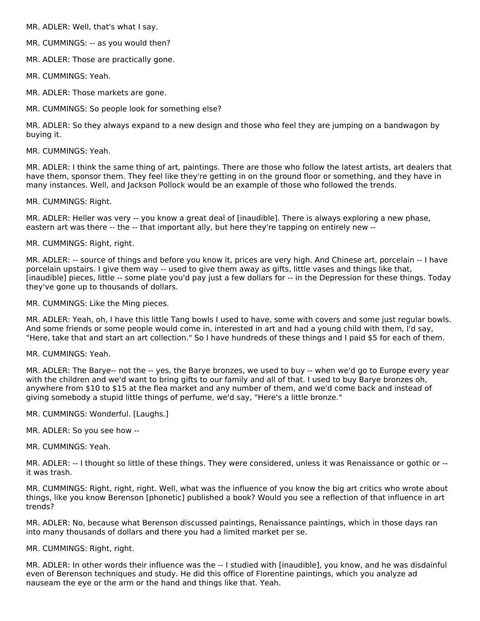MR. ADLER: Well, that's what I say.

MR. CUMMINGS: -- as you would then?

MR. ADLER: Those are practically gone.

MR. CUMMINGS: Yeah.

MR. ADLER: Those markets are gone.

MR. CUMMINGS: So people look for something else?

MR. ADLER: So they always expand to a new design and those who feel they are jumping on a bandwagon by buying it.

MR. CUMMINGS: Yeah.

MR. ADLER: I think the same thing of art, paintings. There are those who follow the latest artists, art dealers that have them, sponsor them. They feel like they're getting in on the ground floor or something, and they have in many instances. Well, and Jackson Pollock would be an example of those who followed the trends.

MR. CUMMINGS: Right.

MR. ADLER: Heller was very -- you know a great deal of [inaudible]. There is always exploring a new phase, eastern art was there -- the -- that important ally, but here they're tapping on entirely new --

MR. CUMMINGS: Right, right.

MR. ADLER: -- source of things and before you know it, prices are very high. And Chinese art, porcelain -- I have porcelain upstairs. I give them way -- used to give them away as gifts, little vases and things like that, [inaudible] pieces, little -- some plate you'd pay just a few dollars for -- in the Depression for these things. Today they've gone up to thousands of dollars.

MR. CUMMINGS: Like the Ming pieces.

MR. ADLER: Yeah, oh, I have this little Tang bowls I used to have, some with covers and some just regular bowls. And some friends or some people would come in, interested in art and had a young child with them, I'd say, "Here, take that and start an art collection." So I have hundreds of these things and I paid \$5 for each of them.

MR. CUMMINGS: Yeah.

MR. ADLER: The Barye-- not the -- yes, the Barye bronzes, we used to buy -- when we'd go to Europe every year with the children and we'd want to bring gifts to our family and all of that. I used to buy Barye bronzes oh, anywhere from \$10 to \$15 at the flea market and any number of them, and we'd come back and instead of giving somebody a stupid little things of perfume, we'd say, "Here's a little bronze."

MR. CUMMINGS: Wonderful. [Laughs.]

MR. ADLER: So you see how --

MR. CUMMINGS: Yeah.

MR. ADLER: -- I thought so little of these things. They were considered, unless it was Renaissance or gothic or - it was trash.

MR. CUMMINGS: Right, right, right. Well, what was the influence of you know the big art critics who wrote about things, like you know Berenson [phonetic] published a book? Would you see a reflection of that influence in art trends?

MR. ADLER: No, because what Berenson discussed paintings, Renaissance paintings, which in those days ran into many thousands of dollars and there you had a limited market per se.

MR. CUMMINGS: Right, right.

MR. ADLER: In other words their influence was the -- I studied with [inaudible], you know, and he was disdainful even of Berenson techniques and study. He did this office of Florentine paintings, which you analyze ad nauseam the eye or the arm or the hand and things like that. Yeah.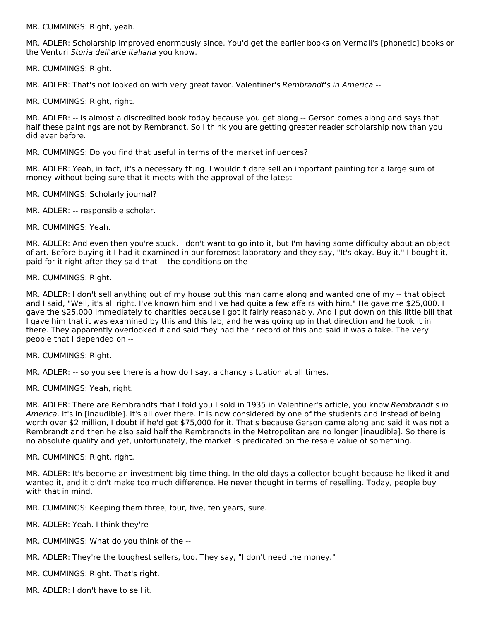MR. CUMMINGS: Right, yeah.

MR. ADLER: Scholarship improved enormously since. You'd get the earlier books on Vermali's [phonetic] books or the Venturi Storia dell'arte italiana you know.

MR. CUMMINGS: Right.

MR. ADLER: That's not looked on with very great favor. Valentiner's Rembrandt's in America --

MR. CUMMINGS: Right, right.

MR. ADLER: -- is almost a discredited book today because you get along -- Gerson comes along and says that half these paintings are not by Rembrandt. So I think you are getting greater reader scholarship now than you did ever before.

MR. CUMMINGS: Do you find that useful in terms of the market influences?

MR. ADLER: Yeah, in fact, it's a necessary thing. I wouldn't dare sell an important painting for a large sum of money without being sure that it meets with the approval of the latest --

MR. CUMMINGS: Scholarly journal?

MR. ADLER: -- responsible scholar.

MR. CUMMINGS: Yeah.

MR. ADLER: And even then you're stuck. I don't want to go into it, but I'm having some difficulty about an object of art. Before buying it I had it examined in our foremost laboratory and they say, "It's okay. Buy it." I bought it, paid for it right after they said that -- the conditions on the --

#### MR. CUMMINGS: Right.

MR. ADLER: I don't sell anything out of my house but this man came along and wanted one of my -- that object and I said, "Well, it's all right. I've known him and I've had quite a few affairs with him." He gave me \$25,000. I gave the \$25,000 immediately to charities because I got it fairly reasonably. And I put down on this little bill that I gave him that it was examined by this and this lab, and he was going up in that direction and he took it in there. They apparently overlooked it and said they had their record of this and said it was a fake. The very people that I depended on --

MR. CUMMINGS: Right.

MR. ADLER: -- so you see there is a how do I say, a chancy situation at all times.

MR. CUMMINGS: Yeah, right.

MR. ADLER: There are Rembrandts that I told you I sold in 1935 in Valentiner's article, you know Rembrandt's in America. It's in [inaudible]. It's all over there. It is now considered by one of the students and instead of being worth over \$2 million, I doubt if he'd get \$75,000 for it. That's because Gerson came along and said it was not a Rembrandt and then he also said half the Rembrandts in the Metropolitan are no longer [inaudible]. So there is no absolute quality and yet, unfortunately, the market is predicated on the resale value of something.

MR. CUMMINGS: Right, right.

MR. ADLER: It's become an investment big time thing. In the old days a collector bought because he liked it and wanted it, and it didn't make too much difference. He never thought in terms of reselling. Today, people buy with that in mind.

MR. CUMMINGS: Keeping them three, four, five, ten years, sure.

MR. ADLER: Yeah. I think they're --

- MR. CUMMINGS: What do you think of the --
- MR. ADLER: They're the toughest sellers, too. They say, "I don't need the money."
- MR. CUMMINGS: Right. That's right.
- MR. ADLER: I don't have to sell it.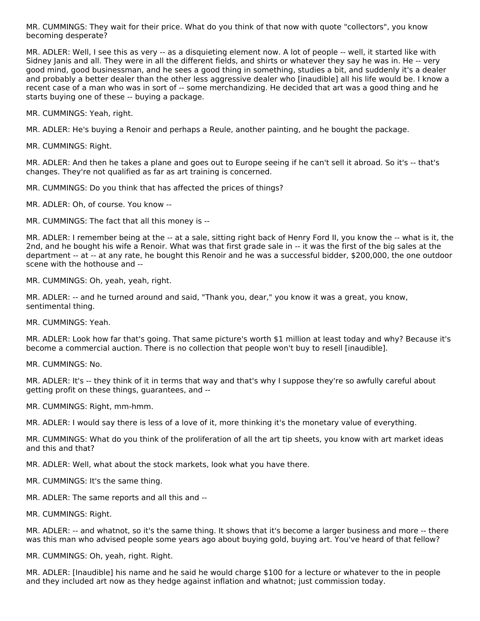MR. CUMMINGS: They wait for their price. What do you think of that now with quote "collectors", you know becoming desperate?

MR. ADLER: Well, I see this as very -- as a disquieting element now. A lot of people -- well, it started like with Sidney Janis and all. They were in all the different fields, and shirts or whatever they say he was in. He -- very good mind, good businessman, and he sees a good thing in something, studies a bit, and suddenly it's a dealer and probably a better dealer than the other less aggressive dealer who [inaudible] all his life would be. I know a recent case of a man who was in sort of -- some merchandizing. He decided that art was a good thing and he starts buying one of these -- buying a package.

MR. CUMMINGS: Yeah, right.

MR. ADLER: He's buying a Renoir and perhaps a Reule, another painting, and he bought the package.

MR. CUMMINGS: Right.

MR. ADLER: And then he takes a plane and goes out to Europe seeing if he can't sell it abroad. So it's -- that's changes. They're not qualified as far as art training is concerned.

MR. CUMMINGS: Do you think that has affected the prices of things?

MR. ADLER: Oh, of course. You know --

MR. CUMMINGS: The fact that all this money is --

MR. ADLER: I remember being at the -- at a sale, sitting right back of Henry Ford II, you know the -- what is it, the 2nd, and he bought his wife a Renoir. What was that first grade sale in -- it was the first of the big sales at the department -- at -- at any rate, he bought this Renoir and he was a successful bidder, \$200,000, the one outdoor scene with the hothouse and --

MR. CUMMINGS: Oh, yeah, yeah, right.

MR. ADLER: -- and he turned around and said, "Thank you, dear," you know it was a great, you know, sentimental thing.

MR. CUMMINGS: Yeah.

MR. ADLER: Look how far that's going. That same picture's worth \$1 million at least today and why? Because it's become a commercial auction. There is no collection that people won't buy to resell [inaudible].

MR. CUMMINGS: No.

MR. ADLER: It's -- they think of it in terms that way and that's why I suppose they're so awfully careful about getting profit on these things, guarantees, and --

MR. CUMMINGS: Right, mm-hmm.

MR. ADLER: I would say there is less of a love of it, more thinking it's the monetary value of everything.

MR. CUMMINGS: What do you think of the proliferation of all the art tip sheets, you know with art market ideas and this and that?

MR. ADLER: Well, what about the stock markets, look what you have there.

MR. CUMMINGS: It's the same thing.

MR. ADLER: The same reports and all this and --

MR. CUMMINGS: Right.

MR. ADLER: -- and whatnot, so it's the same thing. It shows that it's become a larger business and more -- there was this man who advised people some years ago about buying gold, buying art. You've heard of that fellow?

MR. CUMMINGS: Oh, yeah, right. Right.

MR. ADLER: [Inaudible] his name and he said he would charge \$100 for a lecture or whatever to the in people and they included art now as they hedge against inflation and whatnot; just commission today.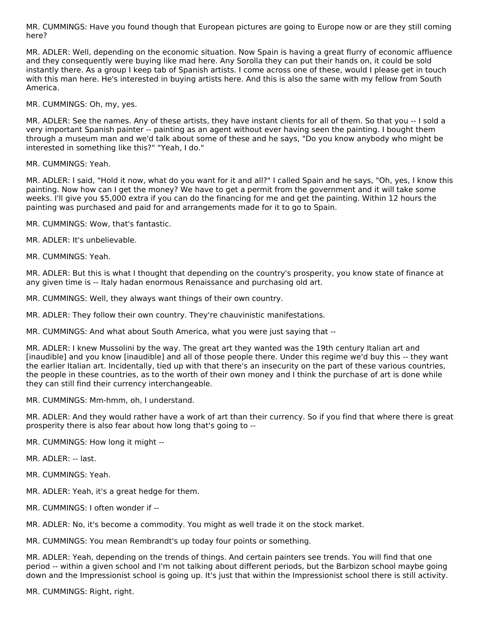MR. CUMMINGS: Have you found though that European pictures are going to Europe now or are they still coming here?

MR. ADLER: Well, depending on the economic situation. Now Spain is having a great flurry of economic affluence and they consequently were buying like mad here. Any Sorolla they can put their hands on, it could be sold instantly there. As a group I keep tab of Spanish artists. I come across one of these, would I please get in touch with this man here. He's interested in buying artists here. And this is also the same with my fellow from South America.

MR. CUMMINGS: Oh, my, yes.

MR. ADLER: See the names. Any of these artists, they have instant clients for all of them. So that you -- I sold a very important Spanish painter -- painting as an agent without ever having seen the painting. I bought them through a museum man and we'd talk about some of these and he says, "Do you know anybody who might be interested in something like this?" "Yeah, I do."

MR. CUMMINGS: Yeah.

MR. ADLER: I said, "Hold it now, what do you want for it and all?" I called Spain and he says, "Oh, yes, I know this painting. Now how can I get the money? We have to get a permit from the government and it will take some weeks. I'll give you \$5,000 extra if you can do the financing for me and get the painting. Within 12 hours the painting was purchased and paid for and arrangements made for it to go to Spain.

MR. CUMMINGS: Wow, that's fantastic.

MR. ADLER: It's unbelievable.

MR. CUMMINGS: Yeah.

MR. ADLER: But this is what I thought that depending on the country's prosperity, you know state of finance at any given time is -- Italy hadan enormous Renaissance and purchasing old art.

MR. CUMMINGS: Well, they always want things of their own country.

MR. ADLER: They follow their own country. They're chauvinistic manifestations.

MR. CUMMINGS: And what about South America, what you were just saying that --

MR. ADLER: I knew Mussolini by the way. The great art they wanted was the 19th century Italian art and [inaudible] and you know [inaudible] and all of those people there. Under this regime we'd buy this -- they want the earlier Italian art. Incidentally, tied up with that there's an insecurity on the part of these various countries, the people in these countries, as to the worth of their own money and I think the purchase of art is done while they can still find their currency interchangeable.

MR. CUMMINGS: Mm-hmm, oh, I understand.

MR. ADLER: And they would rather have a work of art than their currency. So if you find that where there is great prosperity there is also fear about how long that's going to --

MR. CUMMINGS: How long it might --

MR. ADLER: -- last.

MR. CUMMINGS: Yeah.

MR. ADLER: Yeah, it's a great hedge for them.

MR. CUMMINGS: I often wonder if --

MR. ADLER: No, it's become a commodity. You might as well trade it on the stock market.

MR. CUMMINGS: You mean Rembrandt's up today four points or something.

MR. ADLER: Yeah, depending on the trends of things. And certain painters see trends. You will find that one period -- within a given school and I'm not talking about different periods, but the Barbizon school maybe going down and the Impressionist school is going up. It's just that within the Impressionist school there is still activity.

MR. CUMMINGS: Right, right.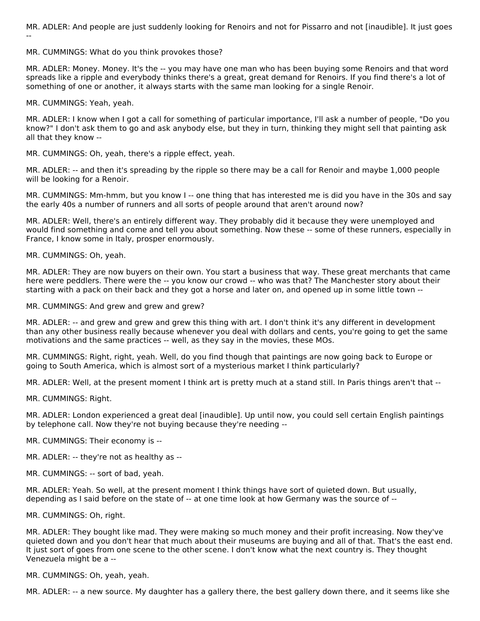MR. ADLER: And people are just suddenly looking for Renoirs and not for Pissarro and not [inaudible]. It just goes --

MR. CUMMINGS: What do you think provokes those?

MR. ADLER: Money. Money. It's the -- you may have one man who has been buying some Renoirs and that word spreads like a ripple and everybody thinks there's a great, great demand for Renoirs. If you find there's a lot of something of one or another, it always starts with the same man looking for a single Renoir.

MR. CUMMINGS: Yeah, yeah.

MR. ADLER: I know when I got a call for something of particular importance, I'll ask a number of people, "Do you know?" I don't ask them to go and ask anybody else, but they in turn, thinking they might sell that painting ask all that they know --

MR. CUMMINGS: Oh, yeah, there's a ripple effect, yeah.

MR. ADLER: -- and then it's spreading by the ripple so there may be a call for Renoir and maybe 1,000 people will be looking for a Renoir.

MR. CUMMINGS: Mm-hmm, but you know I -- one thing that has interested me is did you have in the 30s and say the early 40s a number of runners and all sorts of people around that aren't around now?

MR. ADLER: Well, there's an entirely different way. They probably did it because they were unemployed and would find something and come and tell you about something. Now these -- some of these runners, especially in France, I know some in Italy, prosper enormously.

MR. CUMMINGS: Oh, yeah.

MR. ADLER: They are now buyers on their own. You start a business that way. These great merchants that came here were peddlers. There were the -- you know our crowd -- who was that? The Manchester story about their starting with a pack on their back and they got a horse and later on, and opened up in some little town --

MR. CUMMINGS: And grew and grew and grew?

MR. ADLER: -- and grew and grew and grew this thing with art. I don't think it's any different in development than any other business really because whenever you deal with dollars and cents, you're going to get the same motivations and the same practices -- well, as they say in the movies, these MOs.

MR. CUMMINGS: Right, right, yeah. Well, do you find though that paintings are now going back to Europe or going to South America, which is almost sort of a mysterious market I think particularly?

MR. ADLER: Well, at the present moment I think art is pretty much at a stand still. In Paris things aren't that --

MR. CUMMINGS: Right.

MR. ADLER: London experienced a great deal [inaudible]. Up until now, you could sell certain English paintings by telephone call. Now they're not buying because they're needing --

MR. CUMMINGS: Their economy is --

MR. ADLER: -- they're not as healthy as --

MR. CUMMINGS: -- sort of bad, yeah.

MR. ADLER: Yeah. So well, at the present moment I think things have sort of quieted down. But usually, depending as I said before on the state of -- at one time look at how Germany was the source of --

MR. CUMMINGS: Oh, right.

MR. ADLER: They bought like mad. They were making so much money and their profit increasing. Now they've quieted down and you don't hear that much about their museums are buying and all of that. That's the east end. It just sort of goes from one scene to the other scene. I don't know what the next country is. They thought Venezuela might be a --

MR. CUMMINGS: Oh, yeah, yeah.

MR. ADLER: -- a new source. My daughter has a gallery there, the best gallery down there, and it seems like she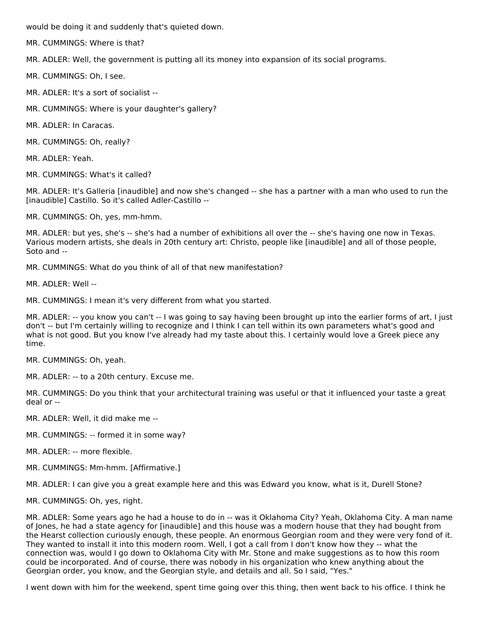would be doing it and suddenly that's quieted down.

MR. CUMMINGS: Where is that?

MR. ADLER: Well, the government is putting all its money into expansion of its social programs.

MR. CUMMINGS: Oh, I see.

MR. ADLER: It's a sort of socialist --

MR. CUMMINGS: Where is your daughter's gallery?

MR. ADLER: In Caracas.

MR. CUMMINGS: Oh, really?

MR. ADLER: Yeah.

MR. CUMMINGS: What's it called?

MR. ADLER: It's Galleria [inaudible] and now she's changed -- she has a partner with a man who used to run the [inaudible] Castillo. So it's called Adler-Castillo --

MR. CUMMINGS: Oh, yes, mm-hmm.

MR. ADLER: but yes, she's -- she's had a number of exhibitions all over the -- she's having one now in Texas. Various modern artists, she deals in 20th century art: Christo, people like [inaudible] and all of those people, Soto and --

MR. CUMMINGS: What do you think of all of that new manifestation?

MR. ADLER: Well --

MR. CUMMINGS: I mean it's very different from what you started.

MR. ADLER: -- you know you can't -- I was going to say having been brought up into the earlier forms of art, I just don't -- but I'm certainly willing to recognize and I think I can tell within its own parameters what's good and what is not good. But you know I've already had my taste about this. I certainly would love a Greek piece any time.

MR. CUMMINGS: Oh, yeah.

MR. ADLER: -- to a 20th century. Excuse me.

MR. CUMMINGS: Do you think that your architectural training was useful or that it influenced your taste a great deal or --

MR. ADLER: Well, it did make me --

MR. CUMMINGS: -- formed it in some way?

MR. ADLER: -- more flexible.

MR. CUMMINGS: Mm-hmm. [Affirmative.]

MR. ADLER: I can give you a great example here and this was Edward you know, what is it, Durell Stone?

MR. CUMMINGS: Oh, yes, right.

MR. ADLER: Some years ago he had a house to do in -- was it Oklahoma City? Yeah, Oklahoma City. A man name of Jones, he had a state agency for [inaudible] and this house was a modern house that they had bought from the Hearst collection curiously enough, these people. An enormous Georgian room and they were very fond of it. They wanted to install it into this modern room. Well, I got a call from I don't know how they -- what the connection was, would I go down to Oklahoma City with Mr. Stone and make suggestions as to how this room could be incorporated. And of course, there was nobody in his organization who knew anything about the Georgian order, you know, and the Georgian style, and details and all. So I said, "Yes."

I went down with him for the weekend, spent time going over this thing, then went back to his office. I think he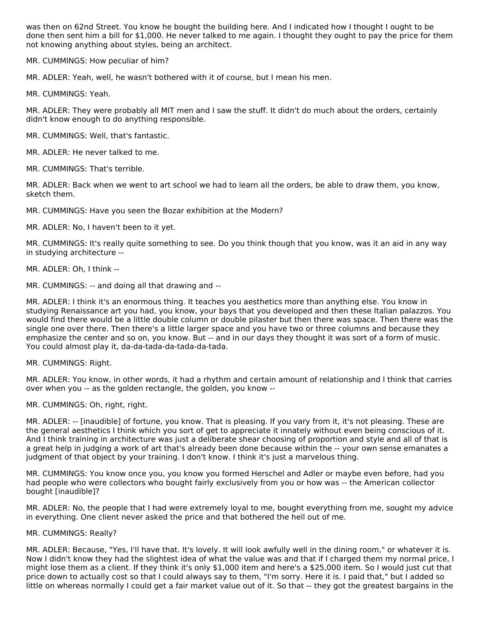was then on 62nd Street. You know he bought the building here. And I indicated how I thought I ought to be done then sent him a bill for \$1,000. He never talked to me again. I thought they ought to pay the price for them not knowing anything about styles, being an architect.

MR. CUMMINGS: How peculiar of him?

MR. ADLER: Yeah, well, he wasn't bothered with it of course, but I mean his men.

MR. CUMMINGS: Yeah.

MR. ADLER: They were probably all MIT men and I saw the stuff. It didn't do much about the orders, certainly didn't know enough to do anything responsible.

MR. CUMMINGS: Well, that's fantastic.

MR. ADLER: He never talked to me.

MR. CUMMINGS: That's terrible.

MR. ADLER: Back when we went to art school we had to learn all the orders, be able to draw them, you know, sketch them.

MR. CUMMINGS: Have you seen the Bozar exhibition at the Modern?

MR. ADLER: No, I haven't been to it yet.

MR. CUMMINGS: It's really quite something to see. Do you think though that you know, was it an aid in any way in studying architecture --

MR. ADLER: Oh, I think --

MR. CUMMINGS: -- and doing all that drawing and --

MR. ADLER: I think it's an enormous thing. It teaches you aesthetics more than anything else. You know in studying Renaissance art you had, you know, your bays that you developed and then these Italian palazzos. You would find there would be a little double column or double pilaster but then there was space. Then there was the single one over there. Then there's a little larger space and you have two or three columns and because they emphasize the center and so on, you know. But -- and in our days they thought it was sort of a form of music. You could almost play it, da-da-tada-da-tada-da-tada.

MR. CUMMINGS: Right.

MR. ADLER: You know, in other words, it had a rhythm and certain amount of relationship and I think that carries over when you -- as the golden rectangle, the golden, you know --

MR. CUMMINGS: Oh, right, right.

MR. ADLER: -- [inaudible] of fortune, you know. That is pleasing. If you vary from it, it's not pleasing. These are the general aesthetics I think which you sort of get to appreciate it innately without even being conscious of it. And I think training in architecture was just a deliberate shear choosing of proportion and style and all of that is a great help in judging a work of art that's already been done because within the -- your own sense emanates a judgment of that object by your training. I don't know. I think it's just a marvelous thing.

MR. CUMMINGS: You know once you, you know you formed Herschel and Adler or maybe even before, had you had people who were collectors who bought fairly exclusively from you or how was -- the American collector bought [inaudible]?

MR. ADLER: No, the people that I had were extremely loyal to me, bought everything from me, sought my advice in everything. One client never asked the price and that bothered the hell out of me.

#### MR. CUMMINGS: Really?

MR. ADLER: Because, "Yes, I'll have that. It's lovely. It will look awfully well in the dining room," or whatever it is. Now I didn't know they had the slightest idea of what the value was and that if I charged them my normal price, I might lose them as a client. If they think it's only \$1,000 item and here's a \$25,000 item. So I would just cut that price down to actually cost so that I could always say to them, "I'm sorry. Here it is. I paid that," but I added so little on whereas normally I could get a fair market value out of it. So that -- they got the greatest bargains in the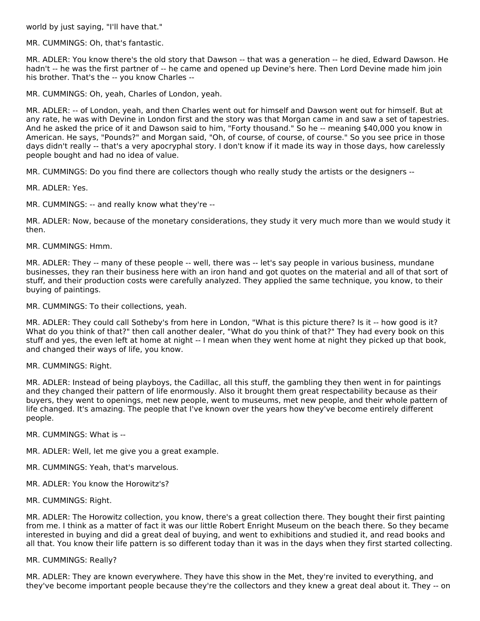world by just saying, "I'll have that."

MR. CUMMINGS: Oh, that's fantastic.

MR. ADLER: You know there's the old story that Dawson -- that was a generation -- he died, Edward Dawson. He hadn't -- he was the first partner of -- he came and opened up Devine's here. Then Lord Devine made him join his brother. That's the -- you know Charles --

MR. CUMMINGS: Oh, yeah, Charles of London, yeah.

MR. ADLER: -- of London, yeah, and then Charles went out for himself and Dawson went out for himself. But at any rate, he was with Devine in London first and the story was that Morgan came in and saw a set of tapestries. And he asked the price of it and Dawson said to him, "Forty thousand." So he -- meaning \$40,000 you know in American. He says, "Pounds?" and Morgan said, "Oh, of course, of course, of course." So you see price in those days didn't really -- that's a very apocryphal story. I don't know if it made its way in those days, how carelessly people bought and had no idea of value.

MR. CUMMINGS: Do you find there are collectors though who really study the artists or the designers --

MR. ADLER: Yes.

MR. CUMMINGS: -- and really know what they're --

MR. ADLER: Now, because of the monetary considerations, they study it very much more than we would study it then.

MR. CUMMINGS: Hmm.

MR. ADLER: They -- many of these people -- well, there was -- let's say people in various business, mundane businesses, they ran their business here with an iron hand and got quotes on the material and all of that sort of stuff, and their production costs were carefully analyzed. They applied the same technique, you know, to their buying of paintings.

MR. CUMMINGS: To their collections, yeah.

MR. ADLER: They could call Sotheby's from here in London, "What is this picture there? Is it -- how good is it? What do you think of that?" then call another dealer, "What do you think of that?" They had every book on this stuff and yes, the even left at home at night -- I mean when they went home at night they picked up that book, and changed their ways of life, you know.

MR. CUMMINGS: Right.

MR. ADLER: Instead of being playboys, the Cadillac, all this stuff, the gambling they then went in for paintings and they changed their pattern of life enormously. Also it brought them great respectability because as their buyers, they went to openings, met new people, went to museums, met new people, and their whole pattern of life changed. It's amazing. The people that I've known over the years how they've become entirely different people.

MR. CUMMINGS: What is --

MR. ADLER: Well, let me give you a great example.

- MR. CUMMINGS: Yeah, that's marvelous.
- MR. ADLER: You know the Horowitz's?
- MR. CUMMINGS: Right.

MR. ADLER: The Horowitz collection, you know, there's a great collection there. They bought their first painting from me. I think as a matter of fact it was our little Robert Enright Museum on the beach there. So they became interested in buying and did a great deal of buying, and went to exhibitions and studied it, and read books and all that. You know their life pattern is so different today than it was in the days when they first started collecting.

#### MR. CUMMINGS: Really?

MR. ADLER: They are known everywhere. They have this show in the Met, they're invited to everything, and they've become important people because they're the collectors and they knew a great deal about it. They -- on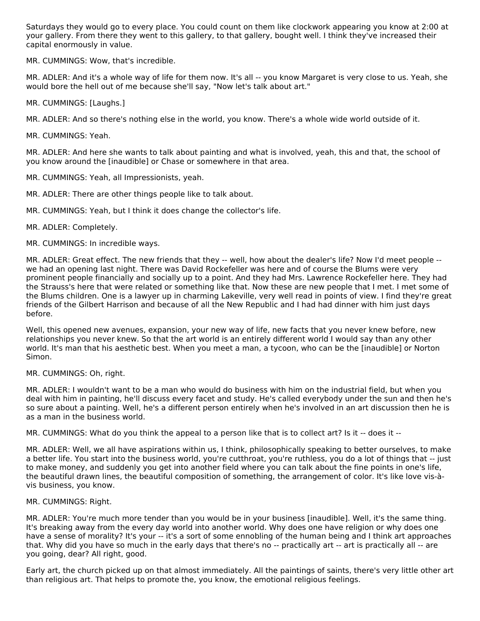Saturdays they would go to every place. You could count on them like clockwork appearing you know at 2:00 at your gallery. From there they went to this gallery, to that gallery, bought well. I think they've increased their capital enormously in value.

MR. CUMMINGS: Wow, that's incredible.

MR. ADLER: And it's a whole way of life for them now. It's all -- you know Margaret is very close to us. Yeah, she would bore the hell out of me because she'll say, "Now let's talk about art."

MR. CUMMINGS: [Laughs.]

MR. ADLER: And so there's nothing else in the world, you know. There's a whole wide world outside of it.

MR. CUMMINGS: Yeah.

MR. ADLER: And here she wants to talk about painting and what is involved, yeah, this and that, the school of you know around the [inaudible] or Chase or somewhere in that area.

MR. CUMMINGS: Yeah, all Impressionists, yeah.

MR. ADLER: There are other things people like to talk about.

MR. CUMMINGS: Yeah, but I think it does change the collector's life.

MR. ADLER: Completely.

MR. CUMMINGS: In incredible ways.

MR. ADLER: Great effect. The new friends that they -- well, how about the dealer's life? Now I'd meet people - we had an opening last night. There was David Rockefeller was here and of course the Blums were very prominent people financially and socially up to a point. And they had Mrs. Lawrence Rockefeller here. They had the Strauss's here that were related or something like that. Now these are new people that I met. I met some of the Blums children. One is a lawyer up in charming Lakeville, very well read in points of view. I find they're great friends of the Gilbert Harrison and because of all the New Republic and I had had dinner with him just days before.

Well, this opened new avenues, expansion, your new way of life, new facts that you never knew before, new relationships you never knew. So that the art world is an entirely different world I would say than any other world. It's man that his aesthetic best. When you meet a man, a tycoon, who can be the [inaudible] or Norton Simon.

MR. CUMMINGS: Oh, right.

MR. ADLER: I wouldn't want to be a man who would do business with him on the industrial field, but when you deal with him in painting, he'll discuss every facet and study. He's called everybody under the sun and then he's so sure about a painting. Well, he's a different person entirely when he's involved in an art discussion then he is as a man in the business world.

MR. CUMMINGS: What do you think the appeal to a person like that is to collect art? Is it -- does it --

MR. ADLER: Well, we all have aspirations within us, I think, philosophically speaking to better ourselves, to make a better life. You start into the business world, you're cutthroat, you're ruthless, you do a lot of things that -- just to make money, and suddenly you get into another field where you can talk about the fine points in one's life, the beautiful drawn lines, the beautiful composition of something, the arrangement of color. It's like love vis-àvis business, you know.

#### MR. CUMMINGS: Right.

MR. ADLER: You're much more tender than you would be in your business [inaudible]. Well, it's the same thing. It's breaking away from the every day world into another world. Why does one have religion or why does one have a sense of morality? It's your -- it's a sort of some ennobling of the human being and I think art approaches that. Why did you have so much in the early days that there's no -- practically art -- art is practically all -- are you going, dear? All right, good.

Early art, the church picked up on that almost immediately. All the paintings of saints, there's very little other art than religious art. That helps to promote the, you know, the emotional religious feelings.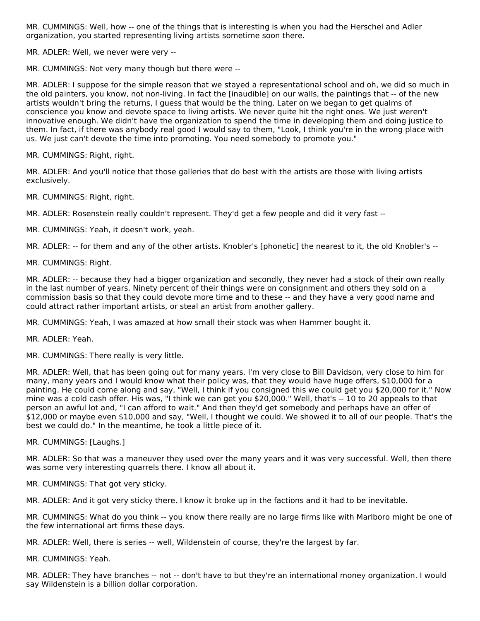MR. CUMMINGS: Well, how -- one of the things that is interesting is when you had the Herschel and Adler organization, you started representing living artists sometime soon there.

MR. ADLER: Well, we never were very --

MR. CUMMINGS: Not very many though but there were --

MR. ADLER: I suppose for the simple reason that we stayed a representational school and oh, we did so much in the old painters, you know, not non-living. In fact the [inaudible] on our walls, the paintings that -- of the new artists wouldn't bring the returns, I guess that would be the thing. Later on we began to get qualms of conscience you know and devote space to living artists. We never quite hit the right ones. We just weren't innovative enough. We didn't have the organization to spend the time in developing them and doing justice to them. In fact, if there was anybody real good I would say to them, "Look, I think you're in the wrong place with us. We just can't devote the time into promoting. You need somebody to promote you."

MR. CUMMINGS: Right, right.

MR. ADLER: And you'll notice that those galleries that do best with the artists are those with living artists exclusively.

MR. CUMMINGS: Right, right.

MR. ADLER: Rosenstein really couldn't represent. They'd get a few people and did it very fast --

MR. CUMMINGS: Yeah, it doesn't work, yeah.

MR. ADLER: -- for them and any of the other artists. Knobler's [phonetic] the nearest to it, the old Knobler's --

MR. CUMMINGS: Right.

MR. ADLER: -- because they had a bigger organization and secondly, they never had a stock of their own really in the last number of years. Ninety percent of their things were on consignment and others they sold on a commission basis so that they could devote more time and to these -- and they have a very good name and could attract rather important artists, or steal an artist from another gallery.

MR. CUMMINGS: Yeah, I was amazed at how small their stock was when Hammer bought it.

MR. ADLER: Yeah.

MR. CUMMINGS: There really is very little.

MR. ADLER: Well, that has been going out for many years. I'm very close to Bill Davidson, very close to him for many, many years and I would know what their policy was, that they would have huge offers, \$10,000 for a painting. He could come along and say, "Well, I think if you consigned this we could get you \$20,000 for it." Now mine was a cold cash offer. His was, "I think we can get you \$20,000." Well, that's -- 10 to 20 appeals to that person an awful lot and, "I can afford to wait." And then they'd get somebody and perhaps have an offer of \$12,000 or maybe even \$10,000 and say, "Well, I thought we could. We showed it to all of our people. That's the best we could do." In the meantime, he took a little piece of it.

MR. CUMMINGS: [Laughs.]

MR. ADLER: So that was a maneuver they used over the many years and it was very successful. Well, then there was some very interesting quarrels there. I know all about it.

MR. CUMMINGS: That got very sticky.

MR. ADLER: And it got very sticky there. I know it broke up in the factions and it had to be inevitable.

MR. CUMMINGS: What do you think -- you know there really are no large firms like with Marlboro might be one of the few international art firms these days.

MR. ADLER: Well, there is series -- well, Wildenstein of course, they're the largest by far.

MR. CUMMINGS: Yeah.

MR. ADLER: They have branches -- not -- don't have to but they're an international money organization. I would say Wildenstein is a billion dollar corporation.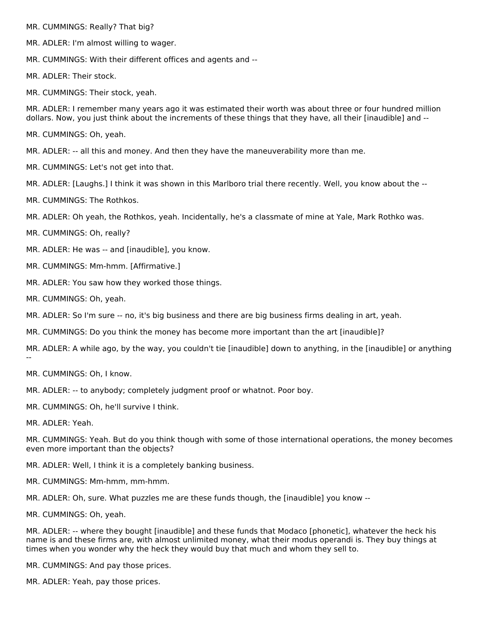MR. CUMMINGS: Really? That big?

- MR. ADLER: I'm almost willing to wager.
- MR. CUMMINGS: With their different offices and agents and --

MR. ADLER: Their stock.

MR. CUMMINGS: Their stock, yeah.

MR. ADLER: I remember many years ago it was estimated their worth was about three or four hundred million dollars. Now, you just think about the increments of these things that they have, all their [inaudible] and --

MR. CUMMINGS: Oh, yeah.

MR. ADLER: -- all this and money. And then they have the maneuverability more than me.

MR. CUMMINGS: Let's not get into that.

MR. ADLER: [Laughs.] I think it was shown in this Marlboro trial there recently. Well, you know about the --

MR. CUMMINGS: The Rothkos.

MR. ADLER: Oh yeah, the Rothkos, yeah. Incidentally, he's a classmate of mine at Yale, Mark Rothko was.

MR. CUMMINGS: Oh, really?

MR. ADLER: He was -- and [inaudible], you know.

- MR. CUMMINGS: Mm-hmm. [Affirmative.]
- MR. ADLER: You saw how they worked those things.
- MR. CUMMINGS: Oh, yeah.

MR. ADLER: So I'm sure -- no, it's big business and there are big business firms dealing in art, yeah.

MR. CUMMINGS: Do you think the money has become more important than the art [inaudible]?

MR. ADLER: A while ago, by the way, you couldn't tie [inaudible] down to anything, in the [inaudible] or anything --

MR. CUMMINGS: Oh, I know.

MR. ADLER: -- to anybody; completely judgment proof or whatnot. Poor boy.

- MR. CUMMINGS: Oh, he'll survive I think.
- MR. ADLER: Yeah.

MR. CUMMINGS: Yeah. But do you think though with some of those international operations, the money becomes even more important than the objects?

MR. ADLER: Well, I think it is a completely banking business.

MR. CUMMINGS: Mm-hmm, mm-hmm.

MR. ADLER: Oh, sure. What puzzles me are these funds though, the [inaudible] you know --

MR. CUMMINGS: Oh, yeah.

MR. ADLER: -- where they bought [inaudible] and these funds that Modaco [phonetic], whatever the heck his name is and these firms are, with almost unlimited money, what their modus operandi is. They buy things at times when you wonder why the heck they would buy that much and whom they sell to.

MR. CUMMINGS: And pay those prices.

MR. ADLER: Yeah, pay those prices.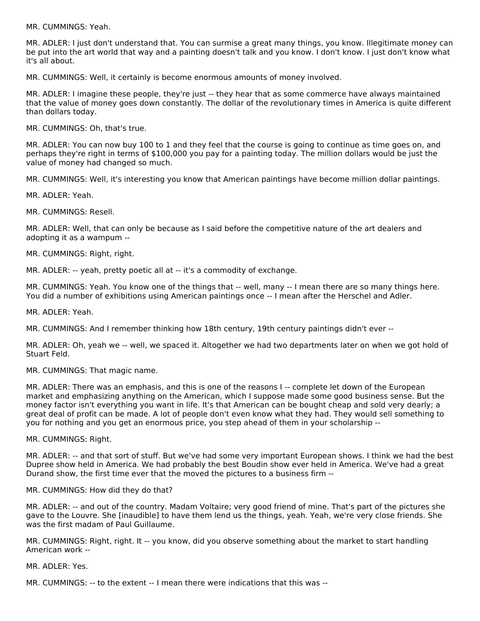MR. CUMMINGS: Yeah.

MR. ADLER: I just don't understand that. You can surmise a great many things, you know. Illegitimate money can be put into the art world that way and a painting doesn't talk and you know. I don't know. I just don't know what it's all about.

MR. CUMMINGS: Well, it certainly is become enormous amounts of money involved.

MR. ADLER: I imagine these people, they're just -- they hear that as some commerce have always maintained that the value of money goes down constantly. The dollar of the revolutionary times in America is quite different than dollars today.

MR. CUMMINGS: Oh, that's true.

MR. ADLER: You can now buy 100 to 1 and they feel that the course is going to continue as time goes on, and perhaps they're right in terms of \$100,000 you pay for a painting today. The million dollars would be just the value of money had changed so much.

MR. CUMMINGS: Well, it's interesting you know that American paintings have become million dollar paintings.

MR. ADLER: Yeah.

MR. CUMMINGS: Resell.

MR. ADLER: Well, that can only be because as I said before the competitive nature of the art dealers and adopting it as a wampum --

MR. CUMMINGS: Right, right.

MR. ADLER: -- yeah, pretty poetic all at -- it's a commodity of exchange.

MR. CUMMINGS: Yeah. You know one of the things that -- well, many -- I mean there are so many things here. You did a number of exhibitions using American paintings once -- I mean after the Herschel and Adler.

MR. ADLER: Yeah.

MR. CUMMINGS: And I remember thinking how 18th century, 19th century paintings didn't ever --

MR. ADLER: Oh, yeah we -- well, we spaced it. Altogether we had two departments later on when we got hold of Stuart Feld.

MR. CUMMINGS: That magic name.

MR. ADLER: There was an emphasis, and this is one of the reasons I -- complete let down of the European market and emphasizing anything on the American, which I suppose made some good business sense. But the money factor isn't everything you want in life. It's that American can be bought cheap and sold very dearly; a great deal of profit can be made. A lot of people don't even know what they had. They would sell something to you for nothing and you get an enormous price, you step ahead of them in your scholarship --

MR. CUMMINGS: Right.

MR. ADLER: -- and that sort of stuff. But we've had some very important European shows. I think we had the best Dupree show held in America. We had probably the best Boudin show ever held in America. We've had a great Durand show, the first time ever that the moved the pictures to a business firm --

MR. CUMMINGS: How did they do that?

MR. ADLER: -- and out of the country. Madam Voltaire; very good friend of mine. That's part of the pictures she gave to the Louvre. She [inaudible] to have them lend us the things, yeah. Yeah, we're very close friends. She was the first madam of Paul Guillaume.

MR. CUMMINGS: Right, right. It -- you know, did you observe something about the market to start handling American work --

MR. ADLER: Yes.

MR. CUMMINGS: -- to the extent -- I mean there were indications that this was --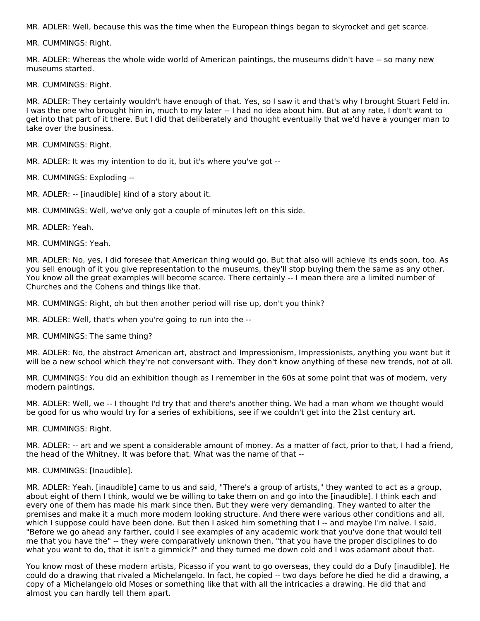MR. ADLER: Well, because this was the time when the European things began to skyrocket and get scarce.

MR. CUMMINGS: Right.

MR. ADLER: Whereas the whole wide world of American paintings, the museums didn't have -- so many new museums started.

MR. CUMMINGS: Right.

MR. ADLER: They certainly wouldn't have enough of that. Yes, so I saw it and that's why I brought Stuart Feld in. I was the one who brought him in, much to my later -- I had no idea about him. But at any rate, I don't want to get into that part of it there. But I did that deliberately and thought eventually that we'd have a younger man to take over the business.

MR. CUMMINGS: Right.

MR. ADLER: It was my intention to do it, but it's where you've got --

MR. CUMMINGS: Exploding --

MR. ADLER: -- [inaudible] kind of a story about it.

MR. CUMMINGS: Well, we've only got a couple of minutes left on this side.

MR. ADLER: Yeah.

MR. CUMMINGS: Yeah.

MR. ADLER: No, yes, I did foresee that American thing would go. But that also will achieve its ends soon, too. As you sell enough of it you give representation to the museums, they'll stop buying them the same as any other. You know all the great examples will become scarce. There certainly -- I mean there are a limited number of Churches and the Cohens and things like that.

MR. CUMMINGS: Right, oh but then another period will rise up, don't you think?

MR. ADLER: Well, that's when you're going to run into the --

MR. CUMMINGS: The same thing?

MR. ADLER: No, the abstract American art, abstract and Impressionism, Impressionists, anything you want but it will be a new school which they're not conversant with. They don't know anything of these new trends, not at all.

MR. CUMMINGS: You did an exhibition though as I remember in the 60s at some point that was of modern, very modern paintings.

MR. ADLER: Well, we -- I thought I'd try that and there's another thing. We had a man whom we thought would be good for us who would try for a series of exhibitions, see if we couldn't get into the 21st century art.

MR. CUMMINGS: Right.

MR. ADLER: -- art and we spent a considerable amount of money. As a matter of fact, prior to that, I had a friend, the head of the Whitney. It was before that. What was the name of that --

#### MR. CUMMINGS: [Inaudible].

MR. ADLER: Yeah, [inaudible] came to us and said, "There's a group of artists," they wanted to act as a group, about eight of them I think, would we be willing to take them on and go into the [inaudible]. I think each and every one of them has made his mark since then. But they were very demanding. They wanted to alter the premises and make it a much more modern looking structure. And there were various other conditions and all, which I suppose could have been done. But then I asked him something that I -- and maybe I'm naïve. I said, "Before we go ahead any farther, could I see examples of any academic work that you've done that would tell me that you have the" -- they were comparatively unknown then, "that you have the proper disciplines to do what you want to do, that it isn't a gimmick?" and they turned me down cold and I was adamant about that.

You know most of these modern artists, Picasso if you want to go overseas, they could do a Dufy [inaudible]. He could do a drawing that rivaled a Michelangelo. In fact, he copied -- two days before he died he did a drawing, a copy of a Michelangelo old Moses or something like that with all the intricacies a drawing. He did that and almost you can hardly tell them apart.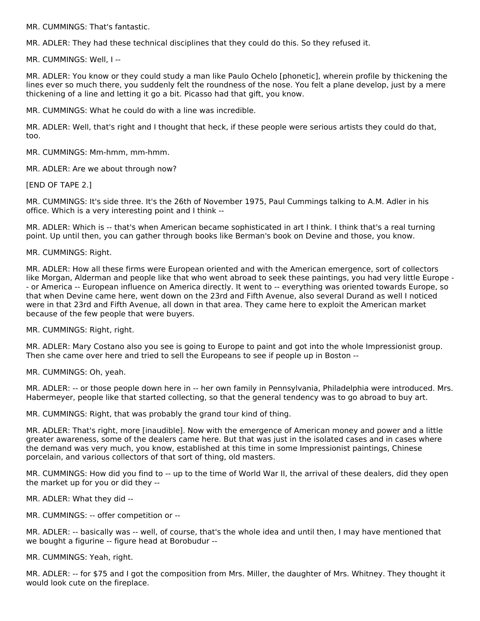MR. CUMMINGS: That's fantastic.

MR. ADLER: They had these technical disciplines that they could do this. So they refused it.

MR. CUMMINGS: Well, I --

MR. ADLER: You know or they could study a man like Paulo Ochelo [phonetic], wherein profile by thickening the lines ever so much there, you suddenly felt the roundness of the nose. You felt a plane develop, just by a mere thickening of a line and letting it go a bit. Picasso had that gift, you know.

MR. CUMMINGS: What he could do with a line was incredible.

MR. ADLER: Well, that's right and I thought that heck, if these people were serious artists they could do that, too.

MR. CUMMINGS: Mm-hmm, mm-hmm.

MR. ADLER: Are we about through now?

[END OF TAPE 2.]

MR. CUMMINGS: It's side three. It's the 26th of November 1975, Paul Cummings talking to A.M. Adler in his office. Which is a very interesting point and I think --

MR. ADLER: Which is -- that's when American became sophisticated in art I think. I think that's a real turning point. Up until then, you can gather through books like Berman's book on Devine and those, you know.

MR. CUMMINGS: Right.

MR. ADLER: How all these firms were European oriented and with the American emergence, sort of collectors like Morgan, Alderman and people like that who went abroad to seek these paintings, you had very little Europe - - or America -- European influence on America directly. It went to -- everything was oriented towards Europe, so that when Devine came here, went down on the 23rd and Fifth Avenue, also several Durand as well I noticed were in that 23rd and Fifth Avenue, all down in that area. They came here to exploit the American market because of the few people that were buyers.

MR. CUMMINGS: Right, right.

MR. ADLER: Mary Costano also you see is going to Europe to paint and got into the whole Impressionist group. Then she came over here and tried to sell the Europeans to see if people up in Boston --

MR. CUMMINGS: Oh, yeah.

MR. ADLER: -- or those people down here in -- her own family in Pennsylvania, Philadelphia were introduced. Mrs. Habermeyer, people like that started collecting, so that the general tendency was to go abroad to buy art.

MR. CUMMINGS: Right, that was probably the grand tour kind of thing.

MR. ADLER: That's right, more [inaudible]. Now with the emergence of American money and power and a little greater awareness, some of the dealers came here. But that was just in the isolated cases and in cases where the demand was very much, you know, established at this time in some Impressionist paintings, Chinese porcelain, and various collectors of that sort of thing, old masters.

MR. CUMMINGS: How did you find to -- up to the time of World War II, the arrival of these dealers, did they open the market up for you or did they --

MR. ADLER: What they did --

MR. CUMMINGS: -- offer competition or --

MR. ADLER: -- basically was -- well, of course, that's the whole idea and until then, I may have mentioned that we bought a figurine -- figure head at Borobudur --

MR. CUMMINGS: Yeah, right.

MR. ADLER: -- for \$75 and I got the composition from Mrs. Miller, the daughter of Mrs. Whitney. They thought it would look cute on the fireplace.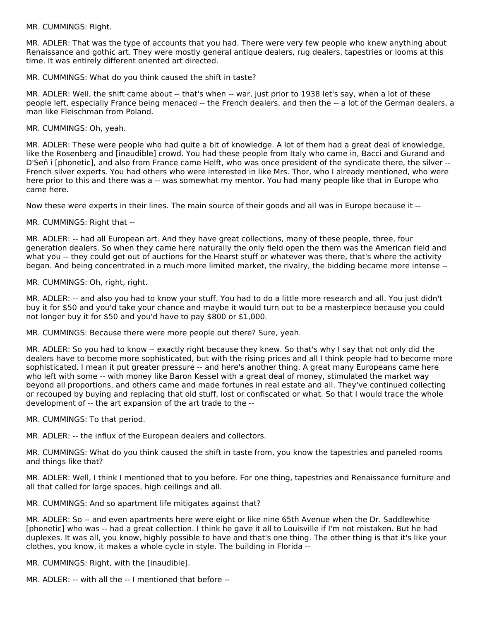MR. CUMMINGS: Right.

MR. ADLER: That was the type of accounts that you had. There were very few people who knew anything about Renaissance and gothic art. They were mostly general antique dealers, rug dealers, tapestries or looms at this time. It was entirely different oriented art directed.

MR. CUMMINGS: What do you think caused the shift in taste?

MR. ADLER: Well, the shift came about -- that's when -- war, just prior to 1938 let's say, when a lot of these people left, especially France being menaced -- the French dealers, and then the -- a lot of the German dealers, a man like Fleischman from Poland.

MR. CUMMINGS: Oh, yeah.

MR. ADLER: These were people who had quite a bit of knowledge. A lot of them had a great deal of knowledge, like the Rosenberg and [inaudible] crowd. You had these people from Italy who came in, Bacci and Gurand and D'Señ i [phonetic], and also from France came Helft, who was once president of the syndicate there, the silver -- French silver experts. You had others who were interested in like Mrs. Thor, who I already mentioned, who were here prior to this and there was a -- was somewhat my mentor. You had many people like that in Europe who came here.

Now these were experts in their lines. The main source of their goods and all was in Europe because it --

MR. CUMMINGS: Right that --

MR. ADLER: -- had all European art. And they have great collections, many of these people, three, four generation dealers. So when they came here naturally the only field open the them was the American field and what you -- they could get out of auctions for the Hearst stuff or whatever was there, that's where the activity began. And being concentrated in a much more limited market, the rivalry, the bidding became more intense --

MR. CUMMINGS: Oh, right, right.

MR. ADLER: -- and also you had to know your stuff. You had to do a little more research and all. You just didn't buy it for \$50 and you'd take your chance and maybe it would turn out to be a masterpiece because you could not longer buy it for \$50 and you'd have to pay \$800 or \$1,000.

MR. CUMMINGS: Because there were more people out there? Sure, yeah.

MR. ADLER: So you had to know -- exactly right because they knew. So that's why I say that not only did the dealers have to become more sophisticated, but with the rising prices and all I think people had to become more sophisticated. I mean it put greater pressure -- and here's another thing. A great many Europeans came here who left with some -- with money like Baron Kessel with a great deal of money, stimulated the market way beyond all proportions, and others came and made fortunes in real estate and all. They've continued collecting or recouped by buying and replacing that old stuff, lost or confiscated or what. So that I would trace the whole development of -- the art expansion of the art trade to the --

MR. CUMMINGS: To that period.

MR. ADLER: -- the influx of the European dealers and collectors.

MR. CUMMINGS: What do you think caused the shift in taste from, you know the tapestries and paneled rooms and things like that?

MR. ADLER: Well, I think I mentioned that to you before. For one thing, tapestries and Renaissance furniture and all that called for large spaces, high ceilings and all.

MR. CUMMINGS: And so apartment life mitigates against that?

MR. ADLER: So -- and even apartments here were eight or like nine 65th Avenue when the Dr. Saddlewhite [phonetic] who was -- had a great collection. I think he gave it all to Louisville if I'm not mistaken. But he had duplexes. It was all, you know, highly possible to have and that's one thing. The other thing is that it's like your clothes, you know, it makes a whole cycle in style. The building in Florida --

MR. CUMMINGS: Right, with the [inaudible].

MR. ADLER: -- with all the -- I mentioned that before --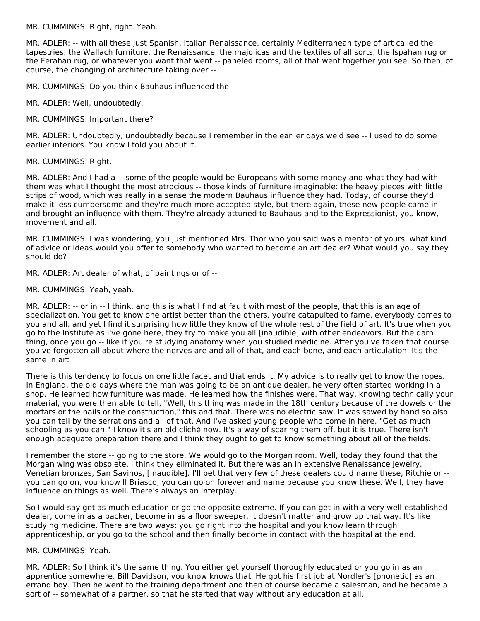MR. CUMMINGS: Right, right. Yeah.

MR. ADLER: -- with all these just Spanish, Italian Renaissance, certainly Mediterranean type of art called the tapestries, the Wallach furniture, the Renaissance, the majolicas and the textiles of all sorts, the Ispahan rug or the Ferahan rug, or whatever you want that went -- paneled rooms, all of that went together you see. So then, of course, the changing of architecture taking over --

MR. CUMMINGS: Do you think Bauhaus influenced the --

MR. ADLER: Well, undoubtedly.

MR. CUMMINGS: Important there?

MR. ADLER: Undoubtedly, undoubtedly because I remember in the earlier days we'd see -- I used to do some earlier interiors. You know I told you about it.

MR. CUMMINGS: Right.

MR. ADLER: And I had a -- some of the people would be Europeans with some money and what they had with them was what I thought the most atrocious -- those kinds of furniture imaginable: the heavy pieces with little strips of wood, which was really in a sense the modern Bauhaus influence they had. Today, of course they'd make it less cumbersome and they're much more accepted style, but there again, these new people came in and brought an influence with them. They're already attuned to Bauhaus and to the Expressionist, you know, movement and all.

MR. CUMMINGS: I was wondering, you just mentioned Mrs. Thor who you said was a mentor of yours, what kind of advice or ideas would you offer to somebody who wanted to become an art dealer? What would you say they should do?

MR. ADLER: Art dealer of what, of paintings or of --

MR. CUMMINGS: Yeah, yeah.

MR. ADLER: -- or in -- I think, and this is what I find at fault with most of the people, that this is an age of specialization. You get to know one artist better than the others, you're catapulted to fame, everybody comes to you and all, and yet I find it surprising how little they know of the whole rest of the field of art. It's true when you go to the Institute as I've gone here, they try to make you all [inaudible] with other endeavors. But the darn thing, once you go -- like if you're studying anatomy when you studied medicine. After you've taken that course you've forgotten all about where the nerves are and all of that, and each bone, and each articulation. It's the same in art.

There is this tendency to focus on one little facet and that ends it. My advice is to really get to know the ropes. In England, the old days where the man was going to be an antique dealer, he very often started working in a shop. He learned how furniture was made. He learned how the finishes were. That way, knowing technically your material, you were then able to tell, "Well, this thing was made in the 18th century because of the dowels or the mortars or the nails or the construction," this and that. There was no electric saw. It was sawed by hand so also you can tell by the serrations and all of that. And I've asked young people who come in here, "Get as much schooling as you can." I know it's an old cliché now. It's a way of scaring them off, but it is true. There isn't enough adequate preparation there and I think they ought to get to know something about all of the fields.

I remember the store -- going to the store. We would go to the Morgan room. Well, today they found that the Morgan wing was obsolete. I think they eliminated it. But there was an in extensive Renaissance jewelry, Venetian bronzes, San Savinos, [inaudible]. I'll bet that very few of these dealers could name these, Ritchie or - you can go on, you know Il Briasco, you can go on forever and name because you know these. Well, they have influence on things as well. There's always an interplay.

So I would say get as much education or go the opposite extreme. If you can get in with a very well-established dealer, come in as a packer, become in as a floor sweeper. It doesn't matter and grow up that way. It's like studying medicine. There are two ways: you go right into the hospital and you know learn through apprenticeship, or you go to the school and then finally become in contact with the hospital at the end.

#### MR. CUMMINGS: Yeah.

MR. ADLER: So I think it's the same thing. You either get yourself thoroughly educated or you go in as an apprentice somewhere. Bill Davidson, you know knows that. He got his first job at Nordler's [phonetic] as an errand boy. Then he went to the training department and then of course became a salesman, and he became a sort of -- somewhat of a partner, so that he started that way without any education at all.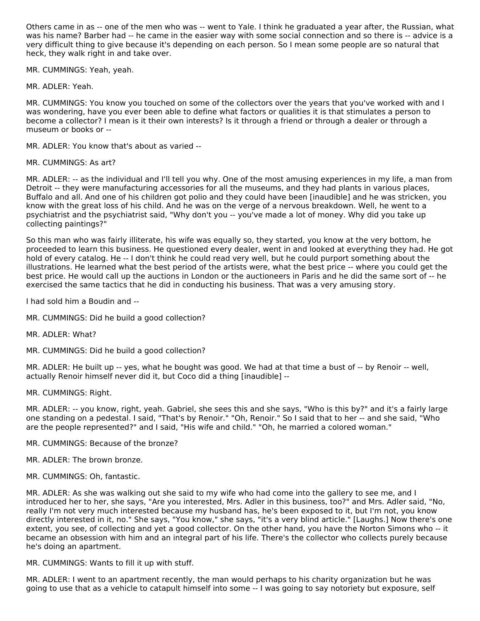Others came in as -- one of the men who was -- went to Yale. I think he graduated a year after, the Russian, what was his name? Barber had -- he came in the easier way with some social connection and so there is -- advice is a very difficult thing to give because it's depending on each person. So I mean some people are so natural that heck, they walk right in and take over.

MR. CUMMINGS: Yeah, yeah.

MR. ADLER: Yeah.

MR. CUMMINGS: You know you touched on some of the collectors over the years that you've worked with and I was wondering, have you ever been able to define what factors or qualities it is that stimulates a person to become a collector? I mean is it their own interests? Is it through a friend or through a dealer or through a museum or books or --

MR. ADLER: You know that's about as varied --

MR. CUMMINGS: As art?

MR. ADLER: -- as the individual and I'll tell you why. One of the most amusing experiences in my life, a man from Detroit -- they were manufacturing accessories for all the museums, and they had plants in various places, Buffalo and all. And one of his children got polio and they could have been [inaudible] and he was stricken, you know with the great loss of his child. And he was on the verge of a nervous breakdown. Well, he went to a psychiatrist and the psychiatrist said, "Why don't you -- you've made a lot of money. Why did you take up collecting paintings?"

So this man who was fairly illiterate, his wife was equally so, they started, you know at the very bottom, he proceeded to learn this business. He questioned every dealer, went in and looked at everything they had. He got hold of every catalog. He -- I don't think he could read very well, but he could purport something about the illustrations. He learned what the best period of the artists were, what the best price -- where you could get the best price. He would call up the auctions in London or the auctioneers in Paris and he did the same sort of -- he exercised the same tactics that he did in conducting his business. That was a very amusing story.

I had sold him a Boudin and --

- MR. CUMMINGS: Did he build a good collection?
- MR. ADLER: What?
- MR. CUMMINGS: Did he build a good collection?

MR. ADLER: He built up -- yes, what he bought was good. We had at that time a bust of -- by Renoir -- well, actually Renoir himself never did it, but Coco did a thing [inaudible] --

MR. CUMMINGS: Right.

MR. ADLER: -- you know, right, yeah. Gabriel, she sees this and she says, "Who is this by?" and it's a fairly large one standing on a pedestal. I said, "That's by Renoir." "Oh, Renoir." So I said that to her -- and she said, "Who are the people represented?" and I said, "His wife and child." "Oh, he married a colored woman."

- MR. CUMMINGS: Because of the bronze?
- MR. ADLER: The brown bronze.
- MR. CUMMINGS: Oh, fantastic.

MR. ADLER: As she was walking out she said to my wife who had come into the gallery to see me, and I introduced her to her, she says, "Are you interested, Mrs. Adler in this business, too?" and Mrs. Adler said, "No, really I'm not very much interested because my husband has, he's been exposed to it, but I'm not, you know directly interested in it, no." She says, "You know," she says, "it's a very blind article." [Laughs.] Now there's one extent, you see, of collecting and yet a good collector. On the other hand, you have the Norton Simons who -- it became an obsession with him and an integral part of his life. There's the collector who collects purely because he's doing an apartment.

MR. CUMMINGS: Wants to fill it up with stuff.

MR. ADLER: I went to an apartment recently, the man would perhaps to his charity organization but he was going to use that as a vehicle to catapult himself into some -- I was going to say notoriety but exposure, self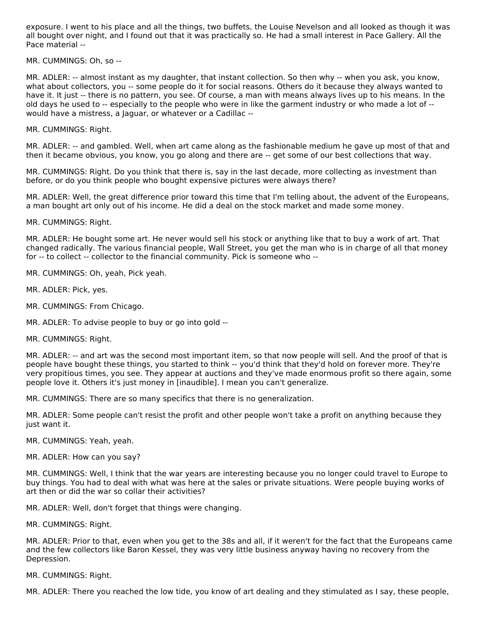exposure. I went to his place and all the things, two buffets, the Louise Nevelson and all looked as though it was all bought over night, and I found out that it was practically so. He had a small interest in Pace Gallery. All the Pace material --

MR. CUMMINGS: Oh, so --

MR. ADLER: -- almost instant as my daughter, that instant collection. So then why -- when you ask, you know, what about collectors, you -- some people do it for social reasons. Others do it because they always wanted to have it. It just -- there is no pattern, you see. Of course, a man with means always lives up to his means. In the old days he used to -- especially to the people who were in like the garment industry or who made a lot of - would have a mistress, a Jaguar, or whatever or a Cadillac --

MR. CUMMINGS: Right.

MR. ADLER: -- and gambled. Well, when art came along as the fashionable medium he gave up most of that and then it became obvious, you know, you go along and there are -- get some of our best collections that way.

MR. CUMMINGS: Right. Do you think that there is, say in the last decade, more collecting as investment than before, or do you think people who bought expensive pictures were always there?

MR. ADLER: Well, the great difference prior toward this time that I'm telling about, the advent of the Europeans, a man bought art only out of his income. He did a deal on the stock market and made some money.

MR. CUMMINGS: Right.

MR. ADLER: He bought some art. He never would sell his stock or anything like that to buy a work of art. That changed radically. The various financial people, Wall Street, you get the man who is in charge of all that money for -- to collect -- collector to the financial community. Pick is someone who --

MR. CUMMINGS: Oh, yeah, Pick yeah.

MR. ADLER: Pick, yes.

MR. CUMMINGS: From Chicago.

MR. ADLER: To advise people to buy or go into gold --

MR. CUMMINGS: Right.

MR. ADLER: -- and art was the second most important item, so that now people will sell. And the proof of that is people have bought these things, you started to think -- you'd think that they'd hold on forever more. They're very propitious times, you see. They appear at auctions and they've made enormous profit so there again, some people love it. Others it's just money in [inaudible]. I mean you can't generalize.

MR. CUMMINGS: There are so many specifics that there is no generalization.

MR. ADLER: Some people can't resist the profit and other people won't take a profit on anything because they just want it.

MR. CUMMINGS: Yeah, yeah.

MR. ADLER: How can you say?

MR. CUMMINGS: Well, I think that the war years are interesting because you no longer could travel to Europe to buy things. You had to deal with what was here at the sales or private situations. Were people buying works of art then or did the war so collar their activities?

MR. ADLER: Well, don't forget that things were changing.

MR. CUMMINGS: Right.

MR. ADLER: Prior to that, even when you get to the 38s and all, if it weren't for the fact that the Europeans came and the few collectors like Baron Kessel, they was very little business anyway having no recovery from the Depression.

MR. CUMMINGS: Right.

MR. ADLER: There you reached the low tide, you know of art dealing and they stimulated as I say, these people,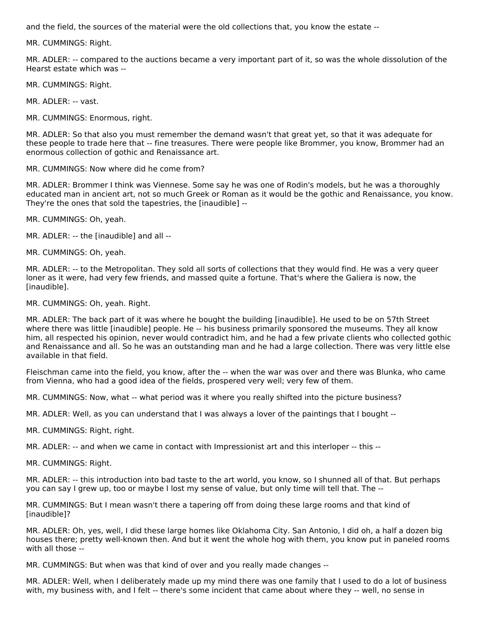and the field, the sources of the material were the old collections that, you know the estate --

MR. CUMMINGS: Right.

MR. ADLER: -- compared to the auctions became a very important part of it, so was the whole dissolution of the Hearst estate which was --

MR. CUMMINGS: Right.

MR. ADLER: -- vast.

MR. CUMMINGS: Enormous, right.

MR. ADLER: So that also you must remember the demand wasn't that great yet, so that it was adequate for these people to trade here that -- fine treasures. There were people like Brommer, you know, Brommer had an enormous collection of gothic and Renaissance art.

MR. CUMMINGS: Now where did he come from?

MR. ADLER: Brommer I think was Viennese. Some say he was one of Rodin's models, but he was a thoroughly educated man in ancient art, not so much Greek or Roman as it would be the gothic and Renaissance, you know. They're the ones that sold the tapestries, the [inaudible] --

MR. CUMMINGS: Oh, yeah.

MR. ADLER: -- the [inaudible] and all --

MR. CUMMINGS: Oh, yeah.

MR. ADLER: -- to the Metropolitan. They sold all sorts of collections that they would find. He was a very queer loner as it were, had very few friends, and massed quite a fortune. That's where the Galiera is now, the [inaudible].

MR. CUMMINGS: Oh, yeah. Right.

MR. ADLER: The back part of it was where he bought the building [inaudible]. He used to be on 57th Street where there was little [inaudible] people. He -- his business primarily sponsored the museums. They all know him, all respected his opinion, never would contradict him, and he had a few private clients who collected gothic and Renaissance and all. So he was an outstanding man and he had a large collection. There was very little else available in that field.

Fleischman came into the field, you know, after the -- when the war was over and there was Blunka, who came from Vienna, who had a good idea of the fields, prospered very well; very few of them.

MR. CUMMINGS: Now, what -- what period was it where you really shifted into the picture business?

MR. ADLER: Well, as you can understand that I was always a lover of the paintings that I bought --

MR. CUMMINGS: Right, right.

MR. ADLER: -- and when we came in contact with Impressionist art and this interloper -- this --

MR. CUMMINGS: Right.

MR. ADLER: -- this introduction into bad taste to the art world, you know, so I shunned all of that. But perhaps you can say I grew up, too or maybe I lost my sense of value, but only time will tell that. The --

MR. CUMMINGS: But I mean wasn't there a tapering off from doing these large rooms and that kind of [inaudible]?

MR. ADLER: Oh, yes, well, I did these large homes like Oklahoma City. San Antonio, I did oh, a half a dozen big houses there; pretty well-known then. And but it went the whole hog with them, you know put in paneled rooms with all those --

MR. CUMMINGS: But when was that kind of over and you really made changes --

MR. ADLER: Well, when I deliberately made up my mind there was one family that I used to do a lot of business with, my business with, and I felt -- there's some incident that came about where they -- well, no sense in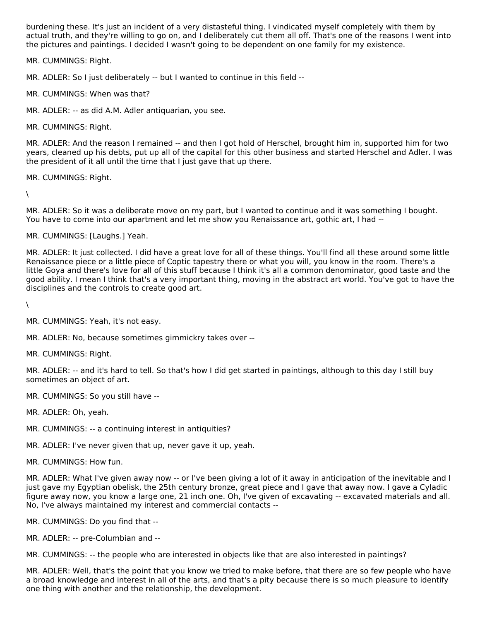burdening these. It's just an incident of a very distasteful thing. I vindicated myself completely with them by actual truth, and they're willing to go on, and I deliberately cut them all off. That's one of the reasons I went into the pictures and paintings. I decided I wasn't going to be dependent on one family for my existence.

MR. CUMMINGS: Right.

MR. ADLER: So I just deliberately -- but I wanted to continue in this field --

MR. CUMMINGS: When was that?

MR. ADLER: -- as did A.M. Adler antiquarian, you see.

MR. CUMMINGS: Right.

MR. ADLER: And the reason I remained -- and then I got hold of Herschel, brought him in, supported him for two years, cleaned up his debts, put up all of the capital for this other business and started Herschel and Adler. I was the president of it all until the time that I just gave that up there.

MR. CUMMINGS: Right.

 $\setminus$ 

MR. ADLER: So it was a deliberate move on my part, but I wanted to continue and it was something I bought. You have to come into our apartment and let me show you Renaissance art, gothic art, I had --

MR. CUMMINGS: [Laughs.] Yeah.

MR. ADLER: It just collected. I did have a great love for all of these things. You'll find all these around some little Renaissance piece or a little piece of Coptic tapestry there or what you will, you know in the room. There's a little Goya and there's love for all of this stuff because I think it's all a common denominator, good taste and the good ability. I mean I think that's a very important thing, moving in the abstract art world. You've got to have the disciplines and the controls to create good art.

 $\lambda$ 

MR. CUMMINGS: Yeah, it's not easy.

MR. ADLER: No, because sometimes gimmickry takes over --

MR. CUMMINGS: Right.

MR. ADLER: -- and it's hard to tell. So that's how I did get started in paintings, although to this day I still buy sometimes an object of art.

MR. CUMMINGS: So you still have --

MR. ADLER: Oh, yeah.

MR. CUMMINGS: -- a continuing interest in antiquities?

MR. ADLER: I've never given that up, never gave it up, yeah.

MR. CUMMINGS: How fun.

MR. ADLER: What I've given away now -- or I've been giving a lot of it away in anticipation of the inevitable and I just gave my Egyptian obelisk, the 25th century bronze, great piece and I gave that away now. I gave a Cyladic figure away now, you know a large one, 21 inch one. Oh, I've given of excavating -- excavated materials and all. No, I've always maintained my interest and commercial contacts --

MR. CUMMINGS: Do you find that --

MR. ADLER: -- pre-Columbian and --

MR. CUMMINGS: -- the people who are interested in objects like that are also interested in paintings?

MR. ADLER: Well, that's the point that you know we tried to make before, that there are so few people who have a broad knowledge and interest in all of the arts, and that's a pity because there is so much pleasure to identify one thing with another and the relationship, the development.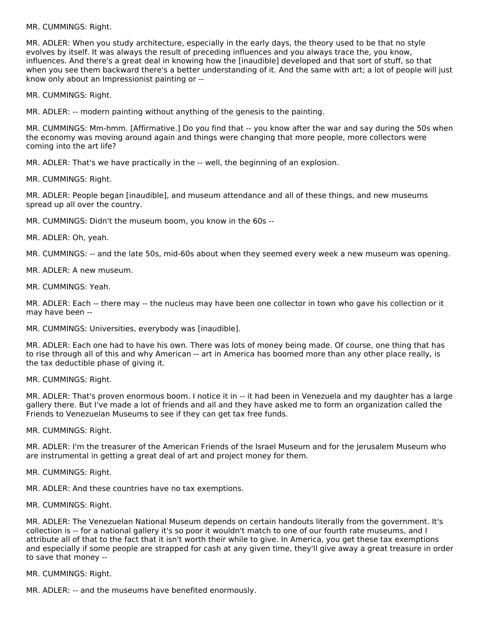MR. CUMMINGS: Right.

MR. ADLER: When you study architecture, especially in the early days, the theory used to be that no style evolves by itself. It was always the result of preceding influences and you always trace the, you know, influences. And there's a great deal in knowing how the [inaudible] developed and that sort of stuff, so that when you see them backward there's a better understanding of it. And the same with art; a lot of people will just know only about an Impressionist painting or --

MR. CUMMINGS: Right.

MR. ADLER: -- modern painting without anything of the genesis to the painting.

MR. CUMMINGS: Mm-hmm. [Affirmative.] Do you find that -- you know after the war and say during the 50s when the economy was moving around again and things were changing that more people, more collectors were coming into the art life?

MR. ADLER: That's we have practically in the -- well, the beginning of an explosion.

MR. CUMMINGS: Right.

MR. ADLER: People began [inaudible], and museum attendance and all of these things, and new museums spread up all over the country.

MR. CUMMINGS: Didn't the museum boom, you know in the 60s --

MR. ADLER: Oh, yeah.

MR. CUMMINGS: -- and the late 50s, mid-60s about when they seemed every week a new museum was opening.

MR. ADLER: A new museum.

MR. CUMMINGS: Yeah.

MR. ADLER: Each -- there may -- the nucleus may have been one collector in town who gave his collection or it may have been --

MR. CUMMINGS: Universities, everybody was [inaudible].

MR. ADLER: Each one had to have his own. There was lots of money being made. Of course, one thing that has to rise through all of this and why American -- art in America has boomed more than any other place really, is the tax deductible phase of giving it.

MR. CUMMINGS: Right.

MR. ADLER: That's proven enormous boom. I notice it in -- it had been in Venezuela and my daughter has a large gallery there. But I've made a lot of friends and all and they have asked me to form an organization called the Friends to Venezuelan Museums to see if they can get tax free funds.

MR. CUMMINGS: Right.

MR. ADLER: I'm the treasurer of the American Friends of the Israel Museum and for the Jerusalem Museum who are instrumental in getting a great deal of art and project money for them.

MR. CUMMINGS: Right.

MR. ADLER: And these countries have no tax exemptions.

MR. CUMMINGS: Right.

MR. ADLER: The Venezuelan National Museum depends on certain handouts literally from the government. It's collection is -- for a national gallery it's so poor it wouldn't match to one of our fourth rate museums, and I attribute all of that to the fact that it isn't worth their while to give. In America, you get these tax exemptions and especially if some people are strapped for cash at any given time, they'll give away a great treasure in order to save that money --

MR. CUMMINGS: Right.

MR. ADLER: -- and the museums have benefited enormously.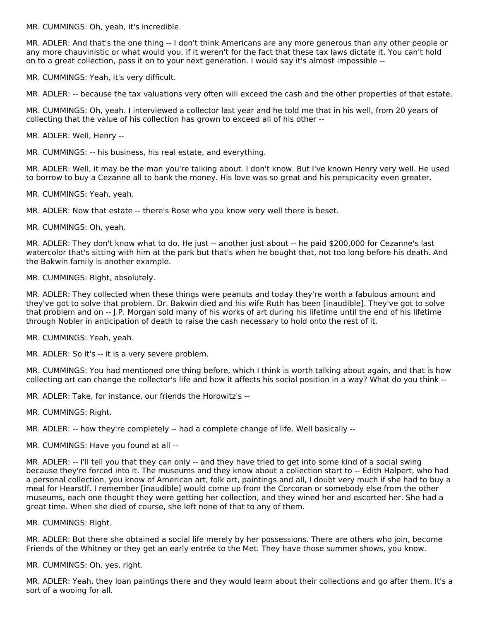MR. CUMMINGS: Oh, yeah, it's incredible.

MR. ADLER: And that's the one thing -- I don't think Americans are any more generous than any other people or any more chauvinistic or what would you, if it weren't for the fact that these tax laws dictate it. You can't hold on to a great collection, pass it on to your next generation. I would say it's almost impossible --

MR. CUMMINGS: Yeah, it's very difficult.

MR. ADLER: -- because the tax valuations very often will exceed the cash and the other properties of that estate.

MR. CUMMINGS: Oh, yeah. I interviewed a collector last year and he told me that in his well, from 20 years of collecting that the value of his collection has grown to exceed all of his other --

MR. ADLER: Well, Henry --

MR. CUMMINGS: -- his business, his real estate, and everything.

MR. ADLER: Well, it may be the man you're talking about. I don't know. But I've known Henry very well. He used to borrow to buy a Cezanne all to bank the money. His love was so great and his perspicacity even greater.

MR. CUMMINGS: Yeah, yeah.

MR. ADLER: Now that estate -- there's Rose who you know very well there is beset.

MR. CUMMINGS: Oh, yeah.

MR. ADLER: They don't know what to do. He just -- another just about -- he paid \$200,000 for Cezanne's last watercolor that's sitting with him at the park but that's when he bought that, not too long before his death. And the Bakwin family is another example.

MR. CUMMINGS: Right, absolutely.

MR. ADLER: They collected when these things were peanuts and today they're worth a fabulous amount and they've got to solve that problem. Dr. Bakwin died and his wife Ruth has been [inaudible]. They've got to solve that problem and on -- J.P. Morgan sold many of his works of art during his lifetime until the end of his lifetime through Nobler in anticipation of death to raise the cash necessary to hold onto the rest of it.

MR. CUMMINGS: Yeah, yeah.

MR. ADLER: So it's -- it is a very severe problem.

MR. CUMMINGS: You had mentioned one thing before, which I think is worth talking about again, and that is how collecting art can change the collector's life and how it affects his social position in a way? What do you think --

MR. ADLER: Take, for instance, our friends the Horowitz's --

MR. CUMMINGS: Right.

MR. ADLER: -- how they're completely -- had a complete change of life. Well basically --

MR. CUMMINGS: Have you found at all --

MR. ADLER: -- I'll tell you that they can only -- and they have tried to get into some kind of a social swing because they're forced into it. The museums and they know about a collection start to -- Edith Halpert, who had a personal collection, you know of American art, folk art, paintings and all, I doubt very much if she had to buy a meal for Hearstlf. I remember [inaudible] would come up from the Corcoran or somebody else from the other museums, each one thought they were getting her collection, and they wined her and escorted her. She had a great time. When she died of course, she left none of that to any of them.

MR. CUMMINGS: Right.

MR. ADLER: But there she obtained a social life merely by her possessions. There are others who join, become Friends of the Whitney or they get an early entrée to the Met. They have those summer shows, you know.

MR. CUMMINGS: Oh, yes, right.

MR. ADLER: Yeah, they loan paintings there and they would learn about their collections and go after them. It's a sort of a wooing for all.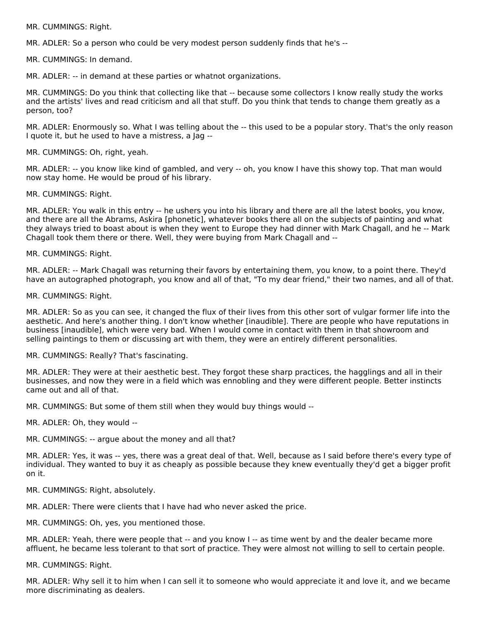MR. CUMMINGS: Right.

MR. ADLER: So a person who could be very modest person suddenly finds that he's --

MR. CUMMINGS: In demand.

MR. ADLER: -- in demand at these parties or whatnot organizations.

MR. CUMMINGS: Do you think that collecting like that -- because some collectors I know really study the works and the artists' lives and read criticism and all that stuff. Do you think that tends to change them greatly as a person, too?

MR. ADLER: Enormously so. What I was telling about the -- this used to be a popular story. That's the only reason I quote it, but he used to have a mistress, a Jag --

MR. CUMMINGS: Oh, right, yeah.

MR. ADLER: -- you know like kind of gambled, and very -- oh, you know I have this showy top. That man would now stay home. He would be proud of his library.

MR. CUMMINGS: Right.

MR. ADLER: You walk in this entry -- he ushers you into his library and there are all the latest books, you know, and there are all the Abrams, Askira [phonetic], whatever books there all on the subjects of painting and what they always tried to boast about is when they went to Europe they had dinner with Mark Chagall, and he -- Mark Chagall took them there or there. Well, they were buying from Mark Chagall and --

MR. CUMMINGS: Right.

MR. ADLER: -- Mark Chagall was returning their favors by entertaining them, you know, to a point there. They'd have an autographed photograph, you know and all of that, "To my dear friend," their two names, and all of that.

MR. CUMMINGS: Right.

MR. ADLER: So as you can see, it changed the flux of their lives from this other sort of vulgar former life into the aesthetic. And here's another thing. I don't know whether [inaudible]. There are people who have reputations in business [inaudible], which were very bad. When I would come in contact with them in that showroom and selling paintings to them or discussing art with them, they were an entirely different personalities.

MR. CUMMINGS: Really? That's fascinating.

MR. ADLER: They were at their aesthetic best. They forgot these sharp practices, the hagglings and all in their businesses, and now they were in a field which was ennobling and they were different people. Better instincts came out and all of that.

MR. CUMMINGS: But some of them still when they would buy things would --

MR. ADLER: Oh, they would --

MR. CUMMINGS: -- argue about the money and all that?

MR. ADLER: Yes, it was -- yes, there was a great deal of that. Well, because as I said before there's every type of individual. They wanted to buy it as cheaply as possible because they knew eventually they'd get a bigger profit on it.

MR. CUMMINGS: Right, absolutely.

MR. ADLER: There were clients that I have had who never asked the price.

MR. CUMMINGS: Oh, yes, you mentioned those.

MR. ADLER: Yeah, there were people that -- and you know I -- as time went by and the dealer became more affluent, he became less tolerant to that sort of practice. They were almost not willing to sell to certain people.

MR. CUMMINGS: Right.

MR. ADLER: Why sell it to him when I can sell it to someone who would appreciate it and love it, and we became more discriminating as dealers.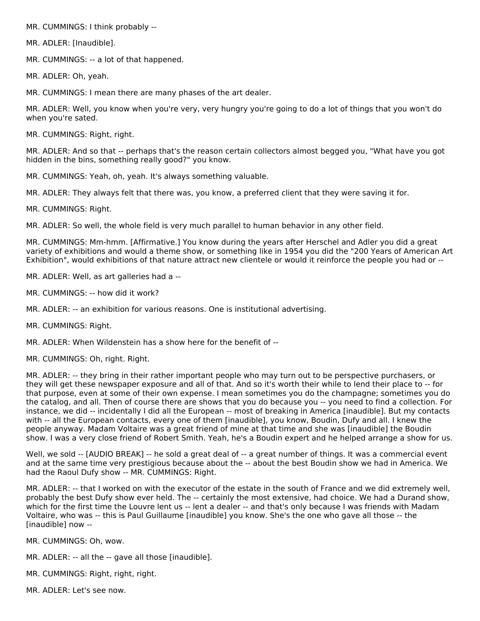MR. CUMMINGS: I think probably --

MR. ADLER: [Inaudible].

MR. CUMMINGS: -- a lot of that happened.

MR. ADLER: Oh, yeah.

MR. CUMMINGS: I mean there are many phases of the art dealer.

MR. ADLER: Well, you know when you're very, very hungry you're going to do a lot of things that you won't do when you're sated.

MR. CUMMINGS: Right, right.

MR. ADLER: And so that -- perhaps that's the reason certain collectors almost begged you, "What have you got hidden in the bins, something really good?" you know.

MR. CUMMINGS: Yeah, oh, yeah. It's always something valuable.

MR. ADLER: They always felt that there was, you know, a preferred client that they were saving it for.

MR. CUMMINGS: Right.

MR. ADLER: So well, the whole field is very much parallel to human behavior in any other field.

MR. CUMMINGS: Mm-hmm. [Affirmative.] You know during the years after Herschel and Adler you did a great variety of exhibitions and would a theme show, or something like in 1954 you did the "200 Years of American Art Exhibition", would exhibitions of that nature attract new clientele or would it reinforce the people you had or --

MR. ADLER: Well, as art galleries had a --

MR. CUMMINGS: -- how did it work?

MR. ADLER: -- an exhibition for various reasons. One is institutional advertising.

MR. CUMMINGS: Right.

MR. ADLER: When Wildenstein has a show here for the benefit of --

MR. CUMMINGS: Oh, right. Right.

MR. ADLER: -- they bring in their rather important people who may turn out to be perspective purchasers, or they will get these newspaper exposure and all of that. And so it's worth their while to lend their place to -- for that purpose, even at some of their own expense. I mean sometimes you do the champagne; sometimes you do the catalog, and all. Then of course there are shows that you do because you -- you need to find a collection. For instance, we did -- incidentally I did all the European -- most of breaking in America [inaudible]. But my contacts with -- all the European contacts, every one of them [inaudible], you know, Boudin, Dufy and all. I knew the people anyway. Madam Voltaire was a great friend of mine at that time and she was [inaudible] the Boudin show. I was a very close friend of Robert Smith. Yeah, he's a Boudin expert and he helped arrange a show for us.

Well, we sold -- [AUDIO BREAK] -- he sold a great deal of -- a great number of things. It was a commercial event and at the same time very prestigious because about the -- about the best Boudin show we had in America. We had the Raoul Dufy show -- MR. CUMMINGS: Right.

MR. ADLER: -- that I worked on with the executor of the estate in the south of France and we did extremely well, probably the best Dufy show ever held. The -- certainly the most extensive, had choice. We had a Durand show, which for the first time the Louvre lent us -- lent a dealer -- and that's only because I was friends with Madam Voltaire, who was -- this is Paul Guillaume [inaudible] you know. She's the one who gave all those -- the [inaudible] now --

MR. CUMMINGS: Oh, wow.

MR. ADLER: -- all the -- gave all those [inaudible].

MR. CUMMINGS: Right, right, right.

MR. ADLER: Let's see now.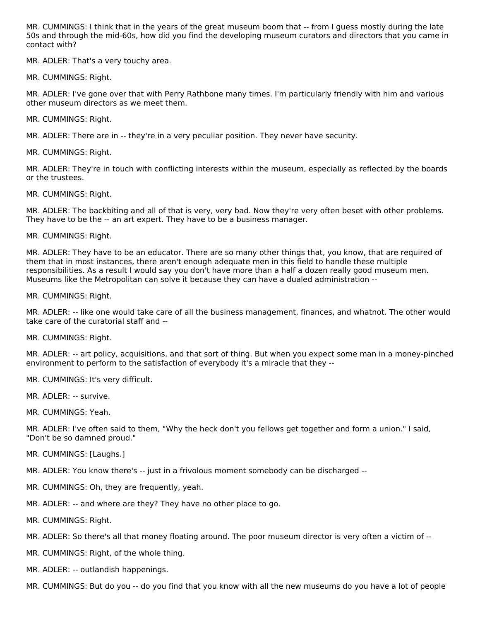MR. CUMMINGS: I think that in the years of the great museum boom that -- from I guess mostly during the late 50s and through the mid-60s, how did you find the developing museum curators and directors that you came in contact with?

MR. ADLER: That's a very touchy area.

MR. CUMMINGS: Right.

MR. ADLER: I've gone over that with Perry Rathbone many times. I'm particularly friendly with him and various other museum directors as we meet them.

MR. CUMMINGS: Right.

MR. ADLER: There are in -- they're in a very peculiar position. They never have security.

MR. CUMMINGS: Right.

MR. ADLER: They're in touch with conflicting interests within the museum, especially as reflected by the boards or the trustees.

MR. CUMMINGS: Right.

MR. ADLER: The backbiting and all of that is very, very bad. Now they're very often beset with other problems. They have to be the -- an art expert. They have to be a business manager.

MR. CUMMINGS: Right.

MR. ADLER: They have to be an educator. There are so many other things that, you know, that are required of them that in most instances, there aren't enough adequate men in this field to handle these multiple responsibilities. As a result I would say you don't have more than a half a dozen really good museum men. Museums like the Metropolitan can solve it because they can have a dualed administration --

MR. CUMMINGS: Right.

MR. ADLER: -- like one would take care of all the business management, finances, and whatnot. The other would take care of the curatorial staff and --

MR. CUMMINGS: Right.

MR. ADLER: -- art policy, acquisitions, and that sort of thing. But when you expect some man in a money-pinched environment to perform to the satisfaction of everybody it's a miracle that they --

MR. CUMMINGS: It's very difficult.

MR. ADLER: -- survive.

MR. CUMMINGS: Yeah.

MR. ADLER: I've often said to them, "Why the heck don't you fellows get together and form a union." I said, "Don't be so damned proud."

MR. CUMMINGS: [Laughs.]

MR. ADLER: You know there's -- just in a frivolous moment somebody can be discharged --

MR. CUMMINGS: Oh, they are frequently, yeah.

MR. ADLER: -- and where are they? They have no other place to go.

MR. CUMMINGS: Right.

MR. ADLER: So there's all that money floating around. The poor museum director is very often a victim of --

MR. CUMMINGS: Right, of the whole thing.

MR. ADLER: -- outlandish happenings.

MR. CUMMINGS: But do you -- do you find that you know with all the new museums do you have a lot of people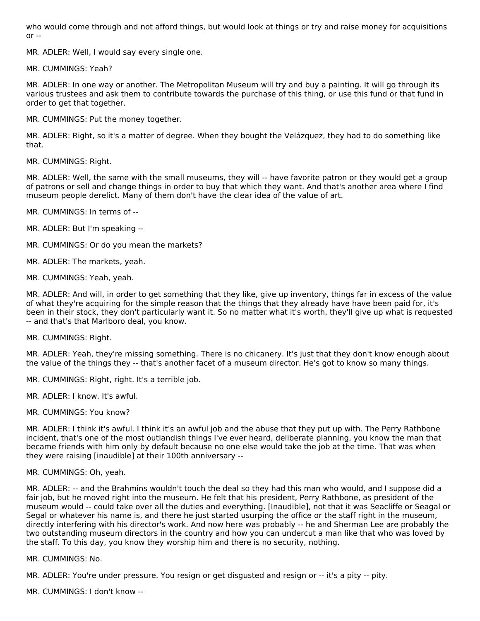who would come through and not afford things, but would look at things or try and raise money for acquisitions  $or -$ 

MR. ADLER: Well, I would say every single one.

MR. CUMMINGS: Yeah?

MR. ADLER: In one way or another. The Metropolitan Museum will try and buy a painting. It will go through its various trustees and ask them to contribute towards the purchase of this thing, or use this fund or that fund in order to get that together.

MR. CUMMINGS: Put the money together.

MR. ADLER: Right, so it's a matter of degree. When they bought the Velázquez, they had to do something like that.

MR. CUMMINGS: Right.

MR. ADLER: Well, the same with the small museums, they will -- have favorite patron or they would get a group of patrons or sell and change things in order to buy that which they want. And that's another area where I find museum people derelict. Many of them don't have the clear idea of the value of art.

MR. CUMMINGS: In terms of --

MR. ADLER: But I'm speaking --

MR. CUMMINGS: Or do you mean the markets?

MR. ADLER: The markets, yeah.

MR. CUMMINGS: Yeah, yeah.

MR. ADLER: And will, in order to get something that they like, give up inventory, things far in excess of the value of what they're acquiring for the simple reason that the things that they already have have been paid for, it's been in their stock, they don't particularly want it. So no matter what it's worth, they'll give up what is requested -- and that's that Marlboro deal, you know.

MR. CUMMINGS: Right.

MR. ADLER: Yeah, they're missing something. There is no chicanery. It's just that they don't know enough about the value of the things they -- that's another facet of a museum director. He's got to know so many things.

MR. CUMMINGS: Right, right. It's a terrible job.

MR. ADLER: I know. It's awful.

MR. CUMMINGS: You know?

MR. ADLER: I think it's awful. I think it's an awful job and the abuse that they put up with. The Perry Rathbone incident, that's one of the most outlandish things I've ever heard, deliberate planning, you know the man that became friends with him only by default because no one else would take the job at the time. That was when they were raising [inaudible] at their 100th anniversary --

#### MR. CUMMINGS: Oh, yeah.

MR. ADLER: -- and the Brahmins wouldn't touch the deal so they had this man who would, and I suppose did a fair job, but he moved right into the museum. He felt that his president, Perry Rathbone, as president of the museum would -- could take over all the duties and everything. [Inaudible], not that it was Seacliffe or Seagal or Segal or whatever his name is, and there he just started usurping the office or the staff right in the museum, directly interfering with his director's work. And now here was probably -- he and Sherman Lee are probably the two outstanding museum directors in the country and how you can undercut a man like that who was loved by the staff. To this day, you know they worship him and there is no security, nothing.

MR. CUMMINGS: No.

MR. ADLER: You're under pressure. You resign or get disgusted and resign or -- it's a pity -- pity.

MR. CUMMINGS: I don't know --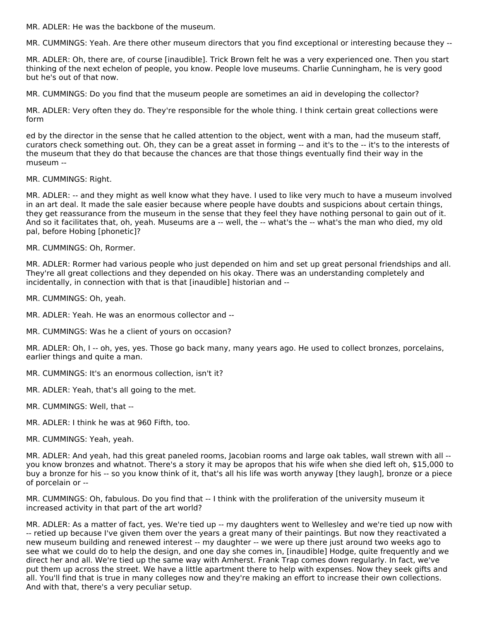MR. ADLER: He was the backbone of the museum.

MR. CUMMINGS: Yeah. Are there other museum directors that you find exceptional or interesting because they --

MR. ADLER: Oh, there are, of course [inaudible]. Trick Brown felt he was a very experienced one. Then you start thinking of the next echelon of people, you know. People love museums. Charlie Cunningham, he is very good but he's out of that now.

MR. CUMMINGS: Do you find that the museum people are sometimes an aid in developing the collector?

MR. ADLER: Very often they do. They're responsible for the whole thing. I think certain great collections were form

ed by the director in the sense that he called attention to the object, went with a man, had the museum staff, curators check something out. Oh, they can be a great asset in forming -- and it's to the -- it's to the interests of the museum that they do that because the chances are that those things eventually find their way in the museum --

MR. CUMMINGS: Right.

MR. ADLER: -- and they might as well know what they have. I used to like very much to have a museum involved in an art deal. It made the sale easier because where people have doubts and suspicions about certain things, they get reassurance from the museum in the sense that they feel they have nothing personal to gain out of it. And so it facilitates that, oh, yeah. Museums are a -- well, the -- what's the -- what's the man who died, my old pal, before Hobing [phonetic]?

MR. CUMMINGS: Oh, Rormer.

MR. ADLER: Rormer had various people who just depended on him and set up great personal friendships and all. They're all great collections and they depended on his okay. There was an understanding completely and incidentally, in connection with that is that [inaudible] historian and --

MR. CUMMINGS: Oh, yeah.

MR. ADLER: Yeah. He was an enormous collector and --

MR. CUMMINGS: Was he a client of yours on occasion?

MR. ADLER: Oh, I -- oh, yes, yes. Those go back many, many years ago. He used to collect bronzes, porcelains, earlier things and quite a man.

- MR. CUMMINGS: It's an enormous collection, isn't it?
- MR. ADLER: Yeah, that's all going to the met.
- MR. CUMMINGS: Well, that --
- MR. ADLER: I think he was at 960 Fifth, too.
- MR. CUMMINGS: Yeah, yeah.

MR. ADLER: And yeah, had this great paneled rooms, Jacobian rooms and large oak tables, wall strewn with all - you know bronzes and whatnot. There's a story it may be apropos that his wife when she died left oh, \$15,000 to buy a bronze for his -- so you know think of it, that's all his life was worth anyway [they laugh], bronze or a piece of porcelain or --

MR. CUMMINGS: Oh, fabulous. Do you find that -- I think with the proliferation of the university museum it increased activity in that part of the art world?

MR. ADLER: As a matter of fact, yes. We're tied up -- my daughters went to Wellesley and we're tied up now with -- retied up because I've given them over the years a great many of their paintings. But now they reactivated a new museum building and renewed interest -- my daughter -- we were up there just around two weeks ago to see what we could do to help the design, and one day she comes in, [inaudible] Hodge, quite frequently and we direct her and all. We're tied up the same way with Amherst. Frank Trap comes down regularly. In fact, we've put them up across the street. We have a little apartment there to help with expenses. Now they seek gifts and all. You'll find that is true in many colleges now and they're making an effort to increase their own collections. And with that, there's a very peculiar setup.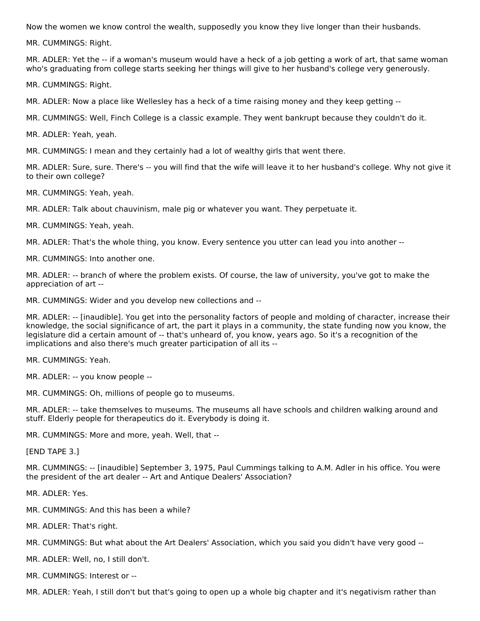Now the women we know control the wealth, supposedly you know they live longer than their husbands.

MR. CUMMINGS: Right.

MR. ADLER: Yet the -- if a woman's museum would have a heck of a job getting a work of art, that same woman who's graduating from college starts seeking her things will give to her husband's college very generously.

MR. CUMMINGS: Right.

MR. ADLER: Now a place like Wellesley has a heck of a time raising money and they keep getting --

MR. CUMMINGS: Well, Finch College is a classic example. They went bankrupt because they couldn't do it.

MR. ADLER: Yeah, yeah.

MR. CUMMINGS: I mean and they certainly had a lot of wealthy girls that went there.

MR. ADLER: Sure, sure. There's -- you will find that the wife will leave it to her husband's college. Why not give it to their own college?

MR. CUMMINGS: Yeah, yeah.

MR. ADLER: Talk about chauvinism, male pig or whatever you want. They perpetuate it.

MR. CUMMINGS: Yeah, yeah.

MR. ADLER: That's the whole thing, you know. Every sentence you utter can lead you into another --

MR. CUMMINGS: Into another one.

MR. ADLER: -- branch of where the problem exists. Of course, the law of university, you've got to make the appreciation of art --

MR. CUMMINGS: Wider and you develop new collections and --

MR. ADLER: -- [inaudible]. You get into the personality factors of people and molding of character, increase their knowledge, the social significance of art, the part it plays in a community, the state funding now you know, the legislature did a certain amount of -- that's unheard of, you know, years ago. So it's a recognition of the implications and also there's much greater participation of all its --

MR. CUMMINGS: Yeah.

MR. ADLER: -- you know people --

MR. CUMMINGS: Oh, millions of people go to museums.

MR. ADLER: -- take themselves to museums. The museums all have schools and children walking around and stuff. Elderly people for therapeutics do it. Everybody is doing it.

MR. CUMMINGS: More and more, yeah. Well, that --

[END TAPE 3.]

MR. CUMMINGS: -- [inaudible] September 3, 1975, Paul Cummings talking to A.M. Adler in his office. You were the president of the art dealer -- Art and Antique Dealers' Association?

MR. ADLER: Yes.

MR. CUMMINGS: And this has been a while?

MR. ADLER: That's right.

MR. CUMMINGS: But what about the Art Dealers' Association, which you said you didn't have very good --

MR. ADLER: Well, no, I still don't.

MR. CUMMINGS: Interest or --

MR. ADLER: Yeah, I still don't but that's going to open up a whole big chapter and it's negativism rather than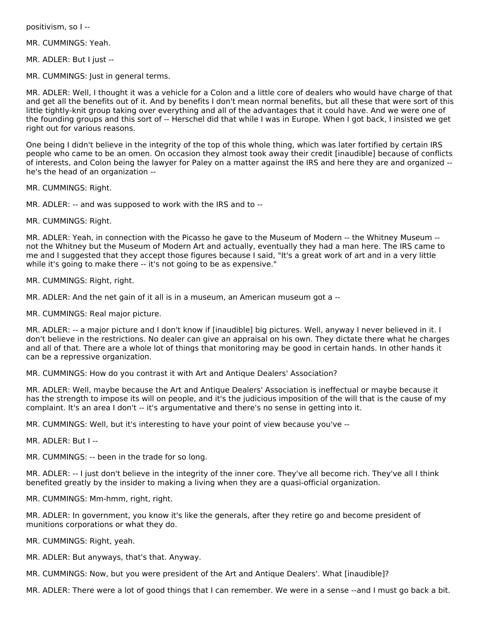positivism, so I --

MR. CUMMINGS: Yeah.

MR. ADLER: But I just --

MR. CUMMINGS: Just in general terms.

MR. ADLER: Well, I thought it was a vehicle for a Colon and a little core of dealers who would have charge of that and get all the benefits out of it. And by benefits I don't mean normal benefits, but all these that were sort of this little tightly-knit group taking over everything and all of the advantages that it could have. And we were one of the founding groups and this sort of -- Herschel did that while I was in Europe. When I got back, I insisted we get right out for various reasons.

One being I didn't believe in the integrity of the top of this whole thing, which was later fortified by certain IRS people who came to be an omen. On occasion they almost took away their credit [inaudible] because of conflicts of interests, and Colon being the lawyer for Paley on a matter against the IRS and here they are and organized - he's the head of an organization --

MR. CUMMINGS: Right.

MR. ADLER: -- and was supposed to work with the IRS and to --

MR. CUMMINGS: Right.

MR. ADLER: Yeah, in connection with the Picasso he gave to the Museum of Modern -- the Whitney Museum - not the Whitney but the Museum of Modern Art and actually, eventually they had a man here. The IRS came to me and I suggested that they accept those figures because I said, "It's a great work of art and in a very little while it's going to make there -- it's not going to be as expensive."

MR. CUMMINGS: Right, right.

MR. ADLER: And the net gain of it all is in a museum, an American museum got a --

MR. CUMMINGS: Real major picture.

MR. ADLER: -- a major picture and I don't know if [inaudible] big pictures. Well, anyway I never believed in it. I don't believe in the restrictions. No dealer can give an appraisal on his own. They dictate there what he charges and all of that. There are a whole lot of things that monitoring may be good in certain hands. In other hands it can be a repressive organization.

MR. CUMMINGS: How do you contrast it with Art and Antique Dealers' Association?

MR. ADLER: Well, maybe because the Art and Antique Dealers' Association is ineffectual or maybe because it has the strength to impose its will on people, and it's the judicious imposition of the will that is the cause of my complaint. It's an area I don't -- it's argumentative and there's no sense in getting into it.

MR. CUMMINGS: Well, but it's interesting to have your point of view because you've --

MR. ADLER: But I --

MR. CUMMINGS: -- been in the trade for so long.

MR. ADLER: -- I just don't believe in the integrity of the inner core. They've all become rich. They've all I think benefited greatly by the insider to making a living when they are a quasi-official organization.

MR. CUMMINGS: Mm-hmm, right, right.

MR. ADLER: In government, you know it's like the generals, after they retire go and become president of munitions corporations or what they do.

MR. CUMMINGS: Right, yeah.

MR. ADLER: But anyways, that's that. Anyway.

MR. CUMMINGS: Now, but you were president of the Art and Antique Dealers'. What [inaudible]?

MR. ADLER: There were a lot of good things that I can remember. We were in a sense --and I must go back a bit.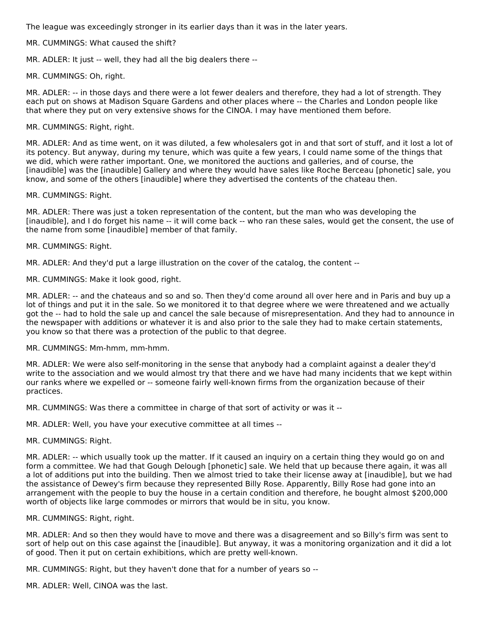The league was exceedingly stronger in its earlier days than it was in the later years.

MR. CUMMINGS: What caused the shift?

MR. ADLER: It just -- well, they had all the big dealers there --

MR. CUMMINGS: Oh, right.

MR. ADLER: -- in those days and there were a lot fewer dealers and therefore, they had a lot of strength. They each put on shows at Madison Square Gardens and other places where -- the Charles and London people like that where they put on very extensive shows for the CINOA. I may have mentioned them before.

MR. CUMMINGS: Right, right.

MR. ADLER: And as time went, on it was diluted, a few wholesalers got in and that sort of stuff, and it lost a lot of its potency. But anyway, during my tenure, which was quite a few years, I could name some of the things that we did, which were rather important. One, we monitored the auctions and galleries, and of course, the [inaudible] was the [inaudible] Gallery and where they would have sales like Roche Berceau [phonetic] sale, you know, and some of the others [inaudible] where they advertised the contents of the chateau then.

MR. CUMMINGS: Right.

MR. ADLER: There was just a token representation of the content, but the man who was developing the [inaudible], and I do forget his name -- it will come back -- who ran these sales, would get the consent, the use of the name from some [inaudible] member of that family.

MR. CUMMINGS: Right.

MR. ADLER: And they'd put a large illustration on the cover of the catalog, the content --

MR. CUMMINGS: Make it look good, right.

MR. ADLER: -- and the chateaus and so and so. Then they'd come around all over here and in Paris and buy up a lot of things and put it in the sale. So we monitored it to that degree where we were threatened and we actually got the -- had to hold the sale up and cancel the sale because of misrepresentation. And they had to announce in the newspaper with additions or whatever it is and also prior to the sale they had to make certain statements, you know so that there was a protection of the public to that degree.

MR. CUMMINGS: Mm-hmm, mm-hmm.

MR. ADLER: We were also self-monitoring in the sense that anybody had a complaint against a dealer they'd write to the association and we would almost try that there and we have had many incidents that we kept within our ranks where we expelled or -- someone fairly well-known firms from the organization because of their practices.

MR. CUMMINGS: Was there a committee in charge of that sort of activity or was it --

MR. ADLER: Well, you have your executive committee at all times --

MR. CUMMINGS: Right.

MR. ADLER: -- which usually took up the matter. If it caused an inquiry on a certain thing they would go on and form a committee. We had that Gough Delough [phonetic] sale. We held that up because there again, it was all a lot of additions put into the building. Then we almost tried to take their license away at [inaudible], but we had the assistance of Dewey's firm because they represented Billy Rose. Apparently, Billy Rose had gone into an arrangement with the people to buy the house in a certain condition and therefore, he bought almost \$200,000 worth of objects like large commodes or mirrors that would be in situ, you know.

MR. CUMMINGS: Right, right.

MR. ADLER: And so then they would have to move and there was a disagreement and so Billy's firm was sent to sort of help out on this case against the [inaudible]. But anyway, it was a monitoring organization and it did a lot of good. Then it put on certain exhibitions, which are pretty well-known.

MR. CUMMINGS: Right, but they haven't done that for a number of years so --

MR. ADLER: Well, CINOA was the last.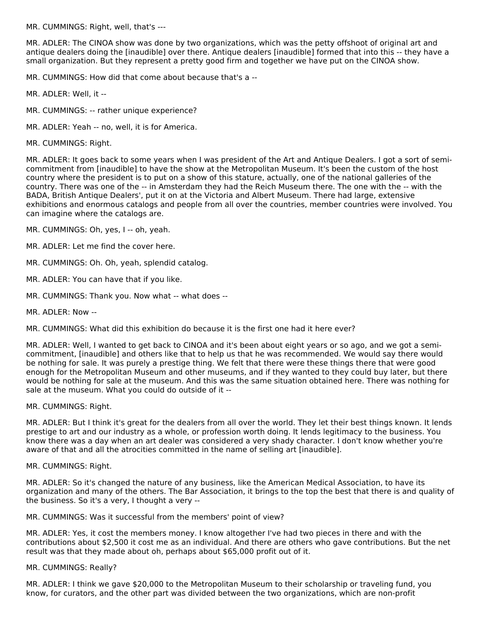MR. CUMMINGS: Right, well, that's ---

MR. ADLER: The CINOA show was done by two organizations, which was the petty offshoot of original art and antique dealers doing the [inaudible] over there. Antique dealers [inaudible] formed that into this -- they have a small organization. But they represent a pretty good firm and together we have put on the CINOA show.

MR. CUMMINGS: How did that come about because that's a --

MR. ADLER: Well, it --

MR. CUMMINGS: -- rather unique experience?

MR. ADLER: Yeah -- no, well, it is for America.

MR. CUMMINGS: Right.

MR. ADLER: It goes back to some years when I was president of the Art and Antique Dealers. I got a sort of semicommitment from [inaudible] to have the show at the Metropolitan Museum. It's been the custom of the host country where the president is to put on a show of this stature, actually, one of the national galleries of the country. There was one of the -- in Amsterdam they had the Reich Museum there. The one with the -- with the BADA, British Antique Dealers', put it on at the Victoria and Albert Museum. There had large, extensive exhibitions and enormous catalogs and people from all over the countries, member countries were involved. You can imagine where the catalogs are.

MR. CUMMINGS: Oh, yes, I -- oh, yeah.

MR. ADLER: Let me find the cover here.

MR. CUMMINGS: Oh. Oh, yeah, splendid catalog.

MR. ADLER: You can have that if you like.

- MR. CUMMINGS: Thank you. Now what -- what does --
- MR. ADLER: Now --

MR. CUMMINGS: What did this exhibition do because it is the first one had it here ever?

MR. ADLER: Well, I wanted to get back to CINOA and it's been about eight years or so ago, and we got a semicommitment, [inaudible] and others like that to help us that he was recommended. We would say there would be nothing for sale. It was purely a prestige thing. We felt that there were these things there that were good enough for the Metropolitan Museum and other museums, and if they wanted to they could buy later, but there would be nothing for sale at the museum. And this was the same situation obtained here. There was nothing for sale at the museum. What you could do outside of it --

MR. CUMMINGS: Right.

MR. ADLER: But I think it's great for the dealers from all over the world. They let their best things known. It lends prestige to art and our industry as a whole, or profession worth doing. It lends legitimacy to the business. You know there was a day when an art dealer was considered a very shady character. I don't know whether you're aware of that and all the atrocities committed in the name of selling art [inaudible].

MR. CUMMINGS: Right.

MR. ADLER: So it's changed the nature of any business, like the American Medical Association, to have its organization and many of the others. The Bar Association, it brings to the top the best that there is and quality of the business. So it's a very, I thought a very --

MR. CUMMINGS: Was it successful from the members' point of view?

MR. ADLER: Yes, it cost the members money. I know altogether I've had two pieces in there and with the contributions about \$2,500 it cost me as an individual. And there are others who gave contributions. But the net result was that they made about oh, perhaps about \$65,000 profit out of it.

#### MR. CUMMINGS: Really?

MR. ADLER: I think we gave \$20,000 to the Metropolitan Museum to their scholarship or traveling fund, you know, for curators, and the other part was divided between the two organizations, which are non-profit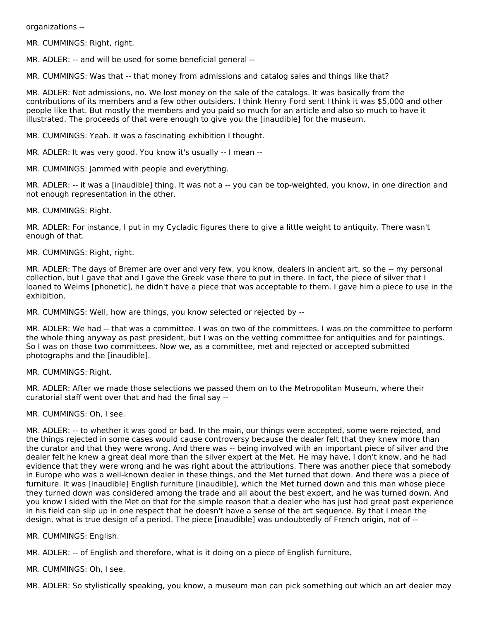organizations --

MR. CUMMINGS: Right, right.

MR. ADLER: -- and will be used for some beneficial general --

MR. CUMMINGS: Was that -- that money from admissions and catalog sales and things like that?

MR. ADLER: Not admissions, no. We lost money on the sale of the catalogs. It was basically from the contributions of its members and a few other outsiders. I think Henry Ford sent I think it was \$5,000 and other people like that. But mostly the members and you paid so much for an article and also so much to have it illustrated. The proceeds of that were enough to give you the [inaudible] for the museum.

MR. CUMMINGS: Yeah. It was a fascinating exhibition I thought.

MR. ADLER: It was very good. You know it's usually -- I mean --

MR. CUMMINGS: Jammed with people and everything.

MR. ADLER: -- it was a [inaudible] thing. It was not a -- you can be top-weighted, you know, in one direction and not enough representation in the other.

MR. CUMMINGS: Right.

MR. ADLER: For instance, I put in my Cycladic figures there to give a little weight to antiquity. There wasn't enough of that.

MR. CUMMINGS: Right, right.

MR. ADLER: The days of Bremer are over and very few, you know, dealers in ancient art, so the -- my personal collection, but I gave that and I gave the Greek vase there to put in there. In fact, the piece of silver that I loaned to Weims [phonetic], he didn't have a piece that was acceptable to them. I gave him a piece to use in the exhibition.

MR. CUMMINGS: Well, how are things, you know selected or rejected by --

MR. ADLER: We had -- that was a committee. I was on two of the committees. I was on the committee to perform the whole thing anyway as past president, but I was on the vetting committee for antiquities and for paintings. So I was on those two committees. Now we, as a committee, met and rejected or accepted submitted photographs and the [inaudible].

MR. CUMMINGS: Right.

MR. ADLER: After we made those selections we passed them on to the Metropolitan Museum, where their curatorial staff went over that and had the final say --

MR. CUMMINGS: Oh, I see.

MR. ADLER: -- to whether it was good or bad. In the main, our things were accepted, some were rejected, and the things rejected in some cases would cause controversy because the dealer felt that they knew more than the curator and that they were wrong. And there was -- being involved with an important piece of silver and the dealer felt he knew a great deal more than the silver expert at the Met. He may have, I don't know, and he had evidence that they were wrong and he was right about the attributions. There was another piece that somebody in Europe who was a well-known dealer in these things, and the Met turned that down. And there was a piece of furniture. It was [inaudible] English furniture [inaudible], which the Met turned down and this man whose piece they turned down was considered among the trade and all about the best expert, and he was turned down. And you know I sided with the Met on that for the simple reason that a dealer who has just had great past experience in his field can slip up in one respect that he doesn't have a sense of the art sequence. By that I mean the design, what is true design of a period. The piece [inaudible] was undoubtedly of French origin, not of --

MR. CUMMINGS: English.

MR. ADLER: -- of English and therefore, what is it doing on a piece of English furniture.

MR. CUMMINGS: Oh, I see.

MR. ADLER: So stylistically speaking, you know, a museum man can pick something out which an art dealer may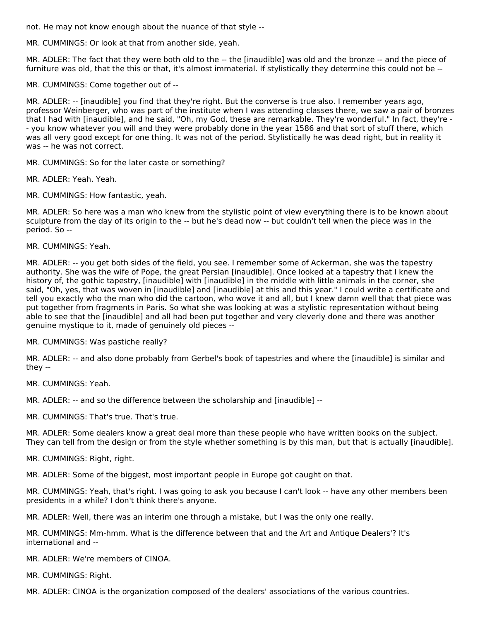not. He may not know enough about the nuance of that style --

MR. CUMMINGS: Or look at that from another side, yeah.

MR. ADLER: The fact that they were both old to the -- the [inaudible] was old and the bronze -- and the piece of furniture was old, that the this or that, it's almost immaterial. If stylistically they determine this could not be --

MR. CUMMINGS: Come together out of --

MR. ADLER: -- [inaudible] you find that they're right. But the converse is true also. I remember years ago, professor Weinberger, who was part of the institute when I was attending classes there, we saw a pair of bronzes that I had with [inaudible], and he said, "Oh, my God, these are remarkable. They're wonderful." In fact, they're - - you know whatever you will and they were probably done in the year 1586 and that sort of stuff there, which was all very good except for one thing. It was not of the period. Stylistically he was dead right, but in reality it was -- he was not correct.

MR. CUMMINGS: So for the later caste or something?

MR. ADLER: Yeah. Yeah.

MR. CUMMINGS: How fantastic, yeah.

MR. ADLER: So here was a man who knew from the stylistic point of view everything there is to be known about sculpture from the day of its origin to the -- but he's dead now -- but couldn't tell when the piece was in the period. So --

MR. CUMMINGS: Yeah.

MR. ADLER: -- you get both sides of the field, you see. I remember some of Ackerman, she was the tapestry authority. She was the wife of Pope, the great Persian [inaudible]. Once looked at a tapestry that I knew the history of, the gothic tapestry, [inaudible] with [inaudible] in the middle with little animals in the corner, she said, "Oh, yes, that was woven in [inaudible] and [inaudible] at this and this year." I could write a certificate and tell you exactly who the man who did the cartoon, who wove it and all, but I knew damn well that that piece was put together from fragments in Paris. So what she was looking at was a stylistic representation without being able to see that the [inaudible] and all had been put together and very cleverly done and there was another genuine mystique to it, made of genuinely old pieces --

MR. CUMMINGS: Was pastiche really?

MR. ADLER: -- and also done probably from Gerbel's book of tapestries and where the [inaudible] is similar and they --

MR. CUMMINGS: Yeah.

MR. ADLER: -- and so the difference between the scholarship and [inaudible] --

MR. CUMMINGS: That's true. That's true.

MR. ADLER: Some dealers know a great deal more than these people who have written books on the subject. They can tell from the design or from the style whether something is by this man, but that is actually [inaudible].

MR. CUMMINGS: Right, right.

MR. ADLER: Some of the biggest, most important people in Europe got caught on that.

MR. CUMMINGS: Yeah, that's right. I was going to ask you because I can't look -- have any other members been presidents in a while? I don't think there's anyone.

MR. ADLER: Well, there was an interim one through a mistake, but I was the only one really.

MR. CUMMINGS: Mm-hmm. What is the difference between that and the Art and Antique Dealers'? It's international and --

MR. ADLER: We're members of CINOA.

MR. CUMMINGS: Right.

MR. ADLER: CINOA is the organization composed of the dealers' associations of the various countries.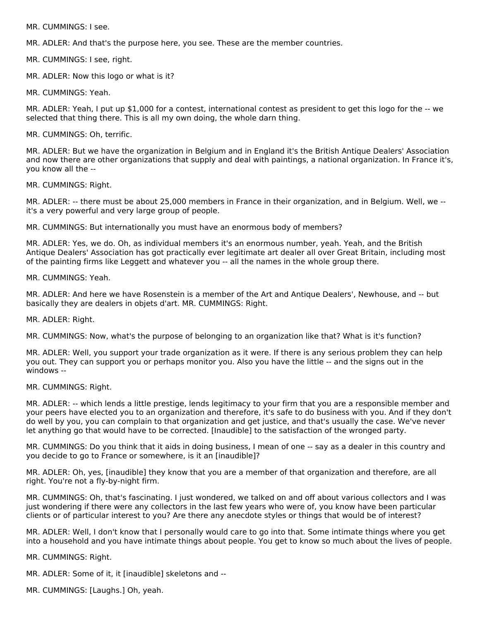MR. CUMMINGS: I see.

MR. ADLER: And that's the purpose here, you see. These are the member countries.

MR. CUMMINGS: I see, right.

MR. ADLER: Now this logo or what is it?

MR. CUMMINGS: Yeah.

MR. ADLER: Yeah, I put up \$1,000 for a contest, international contest as president to get this logo for the -- we selected that thing there. This is all my own doing, the whole darn thing.

#### MR. CUMMINGS: Oh, terrific.

MR. ADLER: But we have the organization in Belgium and in England it's the British Antique Dealers' Association and now there are other organizations that supply and deal with paintings, a national organization. In France it's, you know all the --

MR. CUMMINGS: Right.

MR. ADLER: -- there must be about 25,000 members in France in their organization, and in Belgium. Well, we - it's a very powerful and very large group of people.

MR. CUMMINGS: But internationally you must have an enormous body of members?

MR. ADLER: Yes, we do. Oh, as individual members it's an enormous number, yeah. Yeah, and the British Antique Dealers' Association has got practically ever legitimate art dealer all over Great Britain, including most of the painting firms like Leggett and whatever you -- all the names in the whole group there.

#### MR. CUMMINGS: Yeah.

MR. ADLER: And here we have Rosenstein is a member of the Art and Antique Dealers', Newhouse, and -- but basically they are dealers in objets d'art. MR. CUMMINGS: Right.

MR. ADLER: Right.

MR. CUMMINGS: Now, what's the purpose of belonging to an organization like that? What is it's function?

MR. ADLER: Well, you support your trade organization as it were. If there is any serious problem they can help you out. They can support you or perhaps monitor you. Also you have the little -- and the signs out in the windows --

#### MR. CUMMINGS: Right.

MR. ADLER: -- which lends a little prestige, lends legitimacy to your firm that you are a responsible member and your peers have elected you to an organization and therefore, it's safe to do business with you. And if they don't do well by you, you can complain to that organization and get justice, and that's usually the case. We've never let anything go that would have to be corrected. [Inaudible] to the satisfaction of the wronged party.

MR. CUMMINGS: Do you think that it aids in doing business, I mean of one -- say as a dealer in this country and you decide to go to France or somewhere, is it an [inaudible]?

MR. ADLER: Oh, yes, [inaudible] they know that you are a member of that organization and therefore, are all right. You're not a fly-by-night firm.

MR. CUMMINGS: Oh, that's fascinating. I just wondered, we talked on and off about various collectors and I was just wondering if there were any collectors in the last few years who were of, you know have been particular clients or of particular interest to you? Are there any anecdote styles or things that would be of interest?

MR. ADLER: Well, I don't know that I personally would care to go into that. Some intimate things where you get into a household and you have intimate things about people. You get to know so much about the lives of people.

MR. CUMMINGS: Right.

MR. ADLER: Some of it, it [inaudible] skeletons and --

MR. CUMMINGS: [Laughs.] Oh, yeah.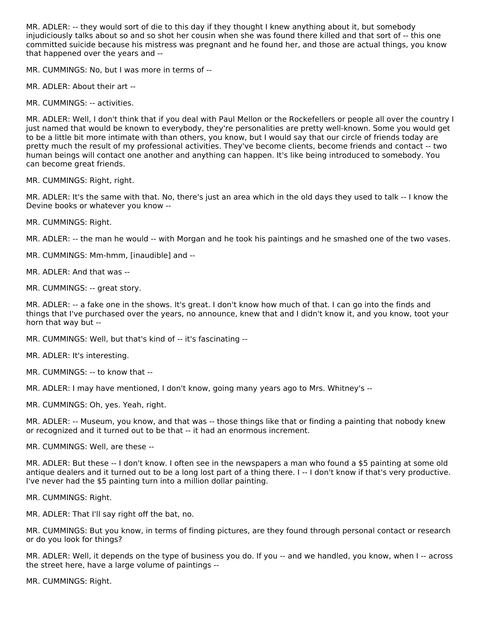MR. ADLER: -- they would sort of die to this day if they thought I knew anything about it, but somebody injudiciously talks about so and so shot her cousin when she was found there killed and that sort of -- this one committed suicide because his mistress was pregnant and he found her, and those are actual things, you know that happened over the years and --

MR. CUMMINGS: No, but I was more in terms of --

MR. ADLER: About their art --

MR. CUMMINGS: -- activities.

MR. ADLER: Well, I don't think that if you deal with Paul Mellon or the Rockefellers or people all over the country I just named that would be known to everybody, they're personalities are pretty well-known. Some you would get to be a little bit more intimate with than others, you know, but I would say that our circle of friends today are pretty much the result of my professional activities. They've become clients, become friends and contact -- two human beings will contact one another and anything can happen. It's like being introduced to somebody. You can become great friends.

MR. CUMMINGS: Right, right.

MR. ADLER: It's the same with that. No, there's just an area which in the old days they used to talk -- I know the Devine books or whatever you know --

MR. CUMMINGS: Right.

MR. ADLER: -- the man he would -- with Morgan and he took his paintings and he smashed one of the two vases.

MR. CUMMINGS: Mm-hmm, [inaudible] and --

MR. ADLER: And that was --

MR. CUMMINGS: -- great story.

MR. ADLER: -- a fake one in the shows. It's great. I don't know how much of that. I can go into the finds and things that I've purchased over the years, no announce, knew that and I didn't know it, and you know, toot your horn that way but --

MR. CUMMINGS: Well, but that's kind of -- it's fascinating --

MR. ADLER: It's interesting.

MR. CUMMINGS: -- to know that --

MR. ADLER: I may have mentioned, I don't know, going many years ago to Mrs. Whitney's --

MR. CUMMINGS: Oh, yes. Yeah, right.

MR. ADLER: -- Museum, you know, and that was -- those things like that or finding a painting that nobody knew or recognized and it turned out to be that -- it had an enormous increment.

MR. CUMMINGS: Well, are these --

MR. ADLER: But these -- I don't know. I often see in the newspapers a man who found a \$5 painting at some old antique dealers and it turned out to be a long lost part of a thing there. I -- I don't know if that's very productive. I've never had the \$5 painting turn into a million dollar painting.

MR. CUMMINGS: Right.

MR. ADLER: That I'll say right off the bat, no.

MR. CUMMINGS: But you know, in terms of finding pictures, are they found through personal contact or research or do you look for things?

MR. ADLER: Well, it depends on the type of business you do. If you -- and we handled, you know, when I -- across the street here, have a large volume of paintings --

MR. CUMMINGS: Right.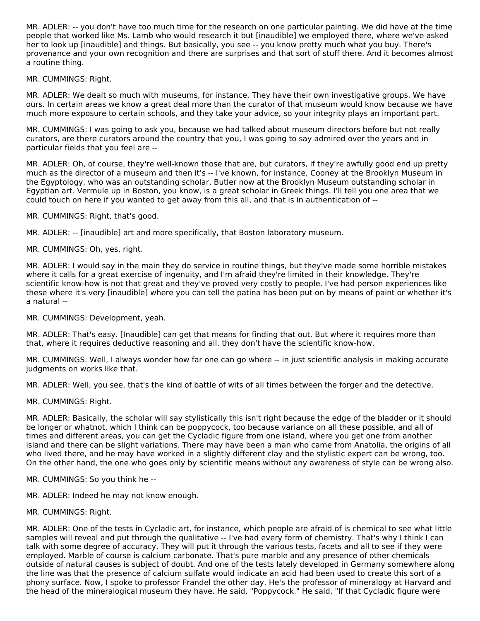MR. ADLER: -- you don't have too much time for the research on one particular painting. We did have at the time people that worked like Ms. Lamb who would research it but [inaudible] we employed there, where we've asked her to look up [inaudible] and things. But basically, you see -- you know pretty much what you buy. There's provenance and your own recognition and there are surprises and that sort of stuff there. And it becomes almost a routine thing.

MR. CUMMINGS: Right.

MR. ADLER: We dealt so much with museums, for instance. They have their own investigative groups. We have ours. In certain areas we know a great deal more than the curator of that museum would know because we have much more exposure to certain schools, and they take your advice, so your integrity plays an important part.

MR. CUMMINGS: I was going to ask you, because we had talked about museum directors before but not really curators, are there curators around the country that you, I was going to say admired over the years and in particular fields that you feel are --

MR. ADLER: Oh, of course, they're well-known those that are, but curators, if they're awfully good end up pretty much as the director of a museum and then it's -- I've known, for instance, Cooney at the Brooklyn Museum in the Egyptology, who was an outstanding scholar. Butler now at the Brooklyn Museum outstanding scholar in Egyptian art. Vermule up in Boston, you know, is a great scholar in Greek things. I'll tell you one area that we could touch on here if you wanted to get away from this all, and that is in authentication of --

MR. CUMMINGS: Right, that's good.

MR. ADLER: -- [inaudible] art and more specifically, that Boston laboratory museum.

MR. CUMMINGS: Oh, yes, right.

MR. ADLER: I would say in the main they do service in routine things, but they've made some horrible mistakes where it calls for a great exercise of ingenuity, and I'm afraid they're limited in their knowledge. They're scientific know-how is not that great and they've proved very costly to people. I've had person experiences like these where it's very [inaudible] where you can tell the patina has been put on by means of paint or whether it's a natural --

MR. CUMMINGS: Development, yeah.

MR. ADLER: That's easy. [Inaudible] can get that means for finding that out. But where it requires more than that, where it requires deductive reasoning and all, they don't have the scientific know-how.

MR. CUMMINGS: Well, I always wonder how far one can go where -- in just scientific analysis in making accurate judgments on works like that.

MR. ADLER: Well, you see, that's the kind of battle of wits of all times between the forger and the detective.

MR. CUMMINGS: Right.

MR. ADLER: Basically, the scholar will say stylistically this isn't right because the edge of the bladder or it should be longer or whatnot, which I think can be poppycock, too because variance on all these possible, and all of times and different areas, you can get the Cycladic figure from one island, where you get one from another island and there can be slight variations. There may have been a man who came from Anatolia, the origins of all who lived there, and he may have worked in a slightly different clay and the stylistic expert can be wrong, too. On the other hand, the one who goes only by scientific means without any awareness of style can be wrong also.

MR. CUMMINGS: So you think he --

MR. ADLER: Indeed he may not know enough.

MR. CUMMINGS: Right.

MR. ADLER: One of the tests in Cycladic art, for instance, which people are afraid of is chemical to see what little samples will reveal and put through the qualitative -- I've had every form of chemistry. That's why I think I can talk with some degree of accuracy. They will put it through the various tests, facets and all to see if they were employed. Marble of course is calcium carbonate. That's pure marble and any presence of other chemicals outside of natural causes is subject of doubt. And one of the tests lately developed in Germany somewhere along the line was that the presence of calcium sulfate would indicate an acid had been used to create this sort of a phony surface. Now, I spoke to professor Frandel the other day. He's the professor of mineralogy at Harvard and the head of the mineralogical museum they have. He said, "Poppycock." He said, "If that Cycladic figure were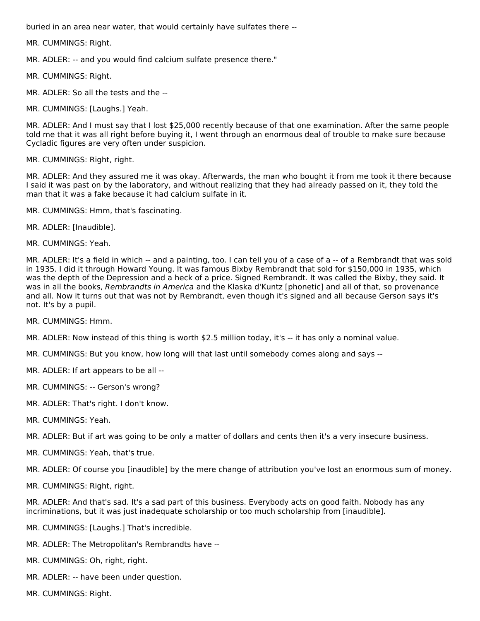buried in an area near water, that would certainly have sulfates there --

MR. CUMMINGS: Right.

MR. ADLER: -- and you would find calcium sulfate presence there."

MR. CUMMINGS: Right.

MR. ADLER: So all the tests and the --

MR. CUMMINGS: [Laughs.] Yeah.

MR. ADLER: And I must say that I lost \$25,000 recently because of that one examination. After the same people told me that it was all right before buying it, I went through an enormous deal of trouble to make sure because Cycladic figures are very often under suspicion.

MR. CUMMINGS: Right, right.

MR. ADLER: And they assured me it was okay. Afterwards, the man who bought it from me took it there because I said it was past on by the laboratory, and without realizing that they had already passed on it, they told the man that it was a fake because it had calcium sulfate in it.

MR. CUMMINGS: Hmm, that's fascinating.

MR. ADLER: [Inaudible].

MR. CUMMINGS: Yeah.

MR. ADLER: It's a field in which -- and a painting, too. I can tell you of a case of a -- of a Rembrandt that was sold in 1935. I did it through Howard Young. It was famous Bixby Rembrandt that sold for \$150,000 in 1935, which was the depth of the Depression and a heck of a price. Signed Rembrandt. It was called the Bixby, they said. It was in all the books, Rembrandts in America and the Klaska d'Kuntz [phonetic] and all of that, so provenance and all. Now it turns out that was not by Rembrandt, even though it's signed and all because Gerson says it's not. It's by a pupil.

MR. CUMMINGS: Hmm.

MR. ADLER: Now instead of this thing is worth \$2.5 million today, it's -- it has only a nominal value.

MR. CUMMINGS: But you know, how long will that last until somebody comes along and says --

MR. ADLER: If art appears to be all --

MR. CUMMINGS: -- Gerson's wrong?

MR. ADLER: That's right. I don't know.

MR. CUMMINGS: Yeah.

MR. ADLER: But if art was going to be only a matter of dollars and cents then it's a very insecure business.

MR. CUMMINGS: Yeah, that's true.

MR. ADLER: Of course you [inaudible] by the mere change of attribution you've lost an enormous sum of money.

MR. CUMMINGS: Right, right.

MR. ADLER: And that's sad. It's a sad part of this business. Everybody acts on good faith. Nobody has any incriminations, but it was just inadequate scholarship or too much scholarship from [inaudible].

- MR. CUMMINGS: [Laughs.] That's incredible.
- MR. ADLER: The Metropolitan's Rembrandts have --
- MR. CUMMINGS: Oh, right, right.
- MR. ADLER: -- have been under question.
- MR. CUMMINGS: Right.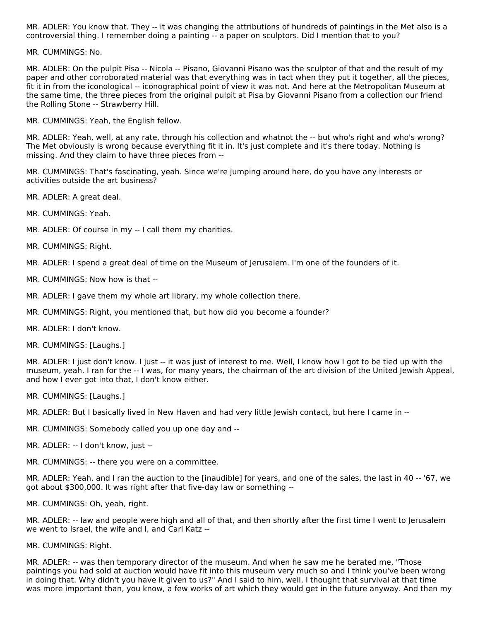MR. ADLER: You know that. They -- it was changing the attributions of hundreds of paintings in the Met also is a controversial thing. I remember doing a painting -- a paper on sculptors. Did I mention that to you?

MR. CUMMINGS: No.

MR. ADLER: On the pulpit Pisa -- Nicola -- Pisano, Giovanni Pisano was the sculptor of that and the result of my paper and other corroborated material was that everything was in tact when they put it together, all the pieces, fit it in from the iconological -- iconographical point of view it was not. And here at the Metropolitan Museum at the same time, the three pieces from the original pulpit at Pisa by Giovanni Pisano from a collection our friend the Rolling Stone -- Strawberry Hill.

MR. CUMMINGS: Yeah, the English fellow.

MR. ADLER: Yeah, well, at any rate, through his collection and whatnot the -- but who's right and who's wrong? The Met obviously is wrong because everything fit it in. It's just complete and it's there today. Nothing is missing. And they claim to have three pieces from --

MR. CUMMINGS: That's fascinating, yeah. Since we're jumping around here, do you have any interests or activities outside the art business?

MR. ADLER: A great deal.

MR. CUMMINGS: Yeah.

MR. ADLER: Of course in my -- I call them my charities.

MR. CUMMINGS: Right.

MR. ADLER: I spend a great deal of time on the Museum of Jerusalem. I'm one of the founders of it.

MR. CUMMINGS: Now how is that --

MR. ADLER: I gave them my whole art library, my whole collection there.

MR. CUMMINGS: Right, you mentioned that, but how did you become a founder?

MR. ADLER: I don't know.

MR. CUMMINGS: [Laughs.]

MR. ADLER: I just don't know. I just -- it was just of interest to me. Well, I know how I got to be tied up with the museum, yeah. I ran for the -- I was, for many years, the chairman of the art division of the United Jewish Appeal, and how I ever got into that, I don't know either.

MR. CUMMINGS: [Laughs.]

MR. ADLER: But I basically lived in New Haven and had very little Jewish contact, but here I came in --

MR. CUMMINGS: Somebody called you up one day and --

MR. ADLER: -- I don't know, just --

MR. CUMMINGS: -- there you were on a committee.

MR. ADLER: Yeah, and I ran the auction to the [inaudible] for years, and one of the sales, the last in 40 -- '67, we got about \$300,000. It was right after that five-day law or something --

MR. CUMMINGS: Oh, yeah, right.

MR. ADLER: -- law and people were high and all of that, and then shortly after the first time I went to Jerusalem we went to Israel, the wife and I, and Carl Katz --

MR. CUMMINGS: Right.

MR. ADLER: -- was then temporary director of the museum. And when he saw me he berated me, "Those paintings you had sold at auction would have fit into this museum very much so and I think you've been wrong in doing that. Why didn't you have it given to us?" And I said to him, well, I thought that survival at that time was more important than, you know, a few works of art which they would get in the future anyway. And then my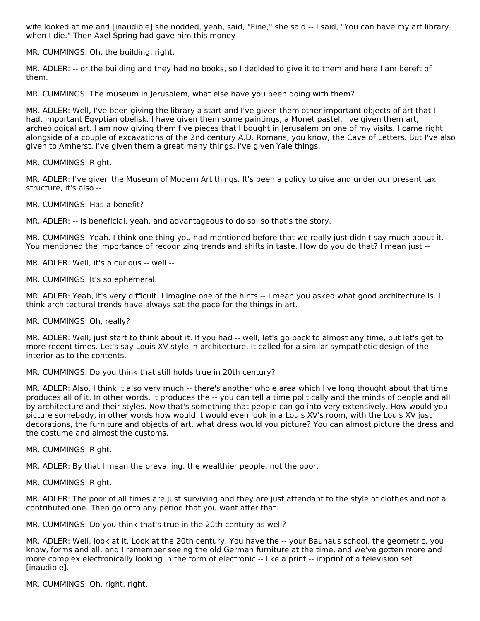wife looked at me and [inaudible] she nodded, yeah, said, "Fine," she said -- I said, "You can have my art library when I die." Then Axel Spring had gave him this money --

MR. CUMMINGS: Oh, the building, right.

MR. ADLER: -- or the building and they had no books, so I decided to give it to them and here I am bereft of them.

MR. CUMMINGS: The museum in Jerusalem, what else have you been doing with them?

MR. ADLER: Well, I've been giving the library a start and I've given them other important objects of art that I had, important Egyptian obelisk. I have given them some paintings, a Monet pastel. I've given them art, archeological art. I am now giving them five pieces that I bought in Jerusalem on one of my visits. I came right alongside of a couple of excavations of the 2nd century A.D. Romans, you know, the Cave of Letters. But I've also given to Amherst. I've given them a great many things. I've given Yale things.

MR. CUMMINGS: Right.

MR. ADLER: I've given the Museum of Modern Art things. It's been a policy to give and under our present tax structure, it's also --

MR. CUMMINGS: Has a benefit?

MR. ADLER: -- is beneficial, yeah, and advantageous to do so, so that's the story.

MR. CUMMINGS: Yeah. I think one thing you had mentioned before that we really just didn't say much about it. You mentioned the importance of recognizing trends and shifts in taste. How do you do that? I mean just --

MR. ADLER: Well, it's a curious -- well --

MR. CUMMINGS: It's so ephemeral.

MR. ADLER: Yeah, it's very difficult. I imagine one of the hints -- I mean you asked what good architecture is. I think architectural trends have always set the pace for the things in art.

MR. CUMMINGS: Oh, really?

MR. ADLER: Well, just start to think about it. If you had -- well, let's go back to almost any time, but let's get to more recent times. Let's say Louis XV style in architecture. It called for a similar sympathetic design of the interior as to the contents.

MR. CUMMINGS: Do you think that still holds true in 20th century?

MR. ADLER: Also, I think it also very much -- there's another whole area which I've long thought about that time produces all of it. In other words, it produces the -- you can tell a time politically and the minds of people and all by architecture and their styles. Now that's something that people can go into very extensively. How would you picture somebody, in other words how would it would even look in a Louis XV's room, with the Louis XV just decorations, the furniture and objects of art, what dress would you picture? You can almost picture the dress and the costume and almost the customs.

MR. CUMMINGS: Right.

MR. ADLER: By that I mean the prevailing, the wealthier people, not the poor.

MR. CUMMINGS: Right.

MR. ADLER: The poor of all times are just surviving and they are just attendant to the style of clothes and not a contributed one. Then go onto any period that you want after that.

MR. CUMMINGS: Do you think that's true in the 20th century as well?

MR. ADLER: Well, look at it. Look at the 20th century. You have the -- your Bauhaus school, the geometric, you know, forms and all, and I remember seeing the old German furniture at the time, and we've gotten more and more complex electronically looking in the form of electronic -- like a print -- imprint of a television set [inaudible].

MR. CUMMINGS: Oh, right, right.